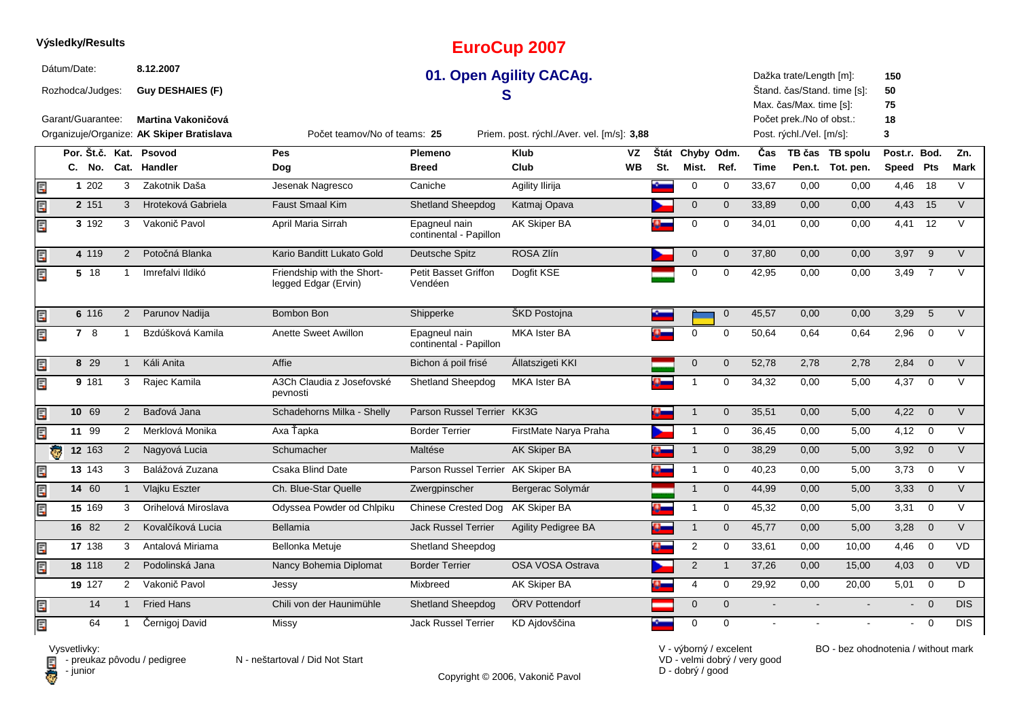|    | Dátum/Date:       |             |                      | 8.12.2007                                 |                                                    |                                         | 01. Open Agility CACAg.                    |     |                 |                |                | Dažka trate/Length [m]:  |                             | 150            |                |                |
|----|-------------------|-------------|----------------------|-------------------------------------------|----------------------------------------------------|-----------------------------------------|--------------------------------------------|-----|-----------------|----------------|----------------|--------------------------|-----------------------------|----------------|----------------|----------------|
|    | Rozhodca/Judges:  |             |                      | <b>Guy DESHAIES (F)</b>                   |                                                    |                                         | S                                          |     |                 |                |                | Max. čas/Max. time [s]:  | Stand. čas/Stand. time [s]: | 50<br>75       |                |                |
|    | Garant/Guarantee: |             |                      | Martina Vakoničová                        |                                                    |                                         |                                            |     |                 |                |                | Počet prek./No of obst.: |                             | 18             |                |                |
|    |                   |             |                      | Organizuje/Organize: AK Skiper Bratislava | Počet teamov/No of teams: 25                       |                                         | Priem. post. rýchl./Aver. vel. [m/s]: 3,88 |     |                 |                |                | Post. rýchl./Vel. [m/s]: |                             | 3              |                |                |
|    |                   |             |                      | Por. Št.č. Kat. Psovod                    | Pes                                                | Plemeno                                 | Klub<br>VZ                                 |     | Štát Chyby Odm. |                | Čas            |                          | TB čas TB spolu             | Post.r. Bod.   |                | Zn.            |
|    | C.                | No.         |                      | Cat. Handler                              | Dog                                                | <b>Breed</b>                            | Club<br><b>WB</b>                          | St. | Mist.           | Ref.           | <b>Time</b>    |                          | Pen.t. Tot. pen.            | Speed          | Pts            | <b>Mark</b>    |
| E  |                   | 1 202       | 3                    | Zakotnik Daša                             | Jesenak Nagresco                                   | Caniche                                 | Agility Ilirija                            | Ł   | $\mathbf 0$     | $\mathbf 0$    | 33,67          | 0,00                     | 0,00                        | 4,46           | 18             | $\vee$         |
| Ę  |                   | 2 151       | 3                    | Hroteková Gabriela                        | <b>Faust Smaal Kim</b>                             | Shetland Sheepdog                       | Katmaj Opava                               |     | $\mathbf 0$     | $\mathbf{0}$   | 33,89          | 0,00                     | 0,00                        | 4,43           | 15             | $\vee$         |
| E  |                   | 3 192       | 3                    | Vakonič Pavol                             | April Maria Sirrah                                 | Epagneul nain<br>continental - Papillon | AK Skiper BA                               |     | 0               | 0              | 34,01          | 0,00                     | 0,00                        | 4,41           | 12             | $\vee$         |
| E  |                   | 4 1 1 9     | 2                    | Potočná Blanka                            | Kario Banditt Lukato Gold                          | Deutsche Spitz                          | ROSA Zlín                                  |     | $\mathbf 0$     | $\mathbf{0}$   | 37,80          | 0,00                     | 0,00                        | 3,97           | 9              | $\vee$         |
| E  |                   | 5 18        | $\mathbf{1}$         | Imrefalvi Ildikó                          | Friendship with the Short-<br>legged Edgar (Ervin) | <b>Petit Basset Griffon</b><br>Vendéen  | Dogfit KSE                                 |     | $\mathbf 0$     | $\Omega$       | 42,95          | 0,00                     | 0,00                        | 3,49           | $\overline{7}$ | $\vee$         |
| Er |                   | 6 116       | 2                    | Parunov Nadija                            | Bombon Bon                                         | Shipperke                               | ŠKD Postojna                               |     |                 | $\mathbf{0}$   | 45,57          | 0,00                     | 0,00                        | 3,29           | 5              | $\vee$         |
| Er |                   | 78          |                      | Bzdúšková Kamila                          | Anette Sweet Awillon                               | Epagneul nain<br>continental - Papillon | <b>MKA Ister BA</b>                        |     | $\mathbf 0$     | $\Omega$       | 50,64          | 0,64                     | 0,64                        | 2,96           | $\mathbf 0$    | $\vee$         |
| E  |                   | 8 29        | $\mathbf{1}$         | Káli Anita                                | Affie                                              | Bichon á poil frisé                     | Állatszigeti KKI                           |     | $\mathbf 0$     | $\mathbf{0}$   | 52,78          | 2,78                     | 2,78                        | 2,84           | $\mathbf 0$    | $\overline{V}$ |
| E  |                   | 9 181       | 3                    | Rajec Kamila                              | A3Ch Claudia z Josefovské<br>pevnosti              | Shetland Sheepdog                       | MKA Ister BA                               |     | $\mathbf 1$     | 0              | 34,32          | 0,00                     | 5,00                        | 4,37           | $\mathbf 0$    | $\vee$         |
| E  |                   | 10 69       | 2                    | Baďová Jana                               | Schadehorns Milka - Shelly                         | Parson Russel Terrier KK3G              |                                            | o.  | $\mathbf{1}$    | $\mathbf{0}$   | 35,51          | 0,00                     | 5,00                        | 4,22           | $\mathbf 0$    | $\vee$         |
| E  |                   | 11 99       | $\mathbf{2}^{\circ}$ | Merklová Monika                           | Axa Ťapka                                          | <b>Border Terrier</b>                   | FirstMate Narya Praha                      |     | $\mathbf{1}$    | $\mathbf 0$    | 36,45          | 0,00                     | 5,00                        | 4,12           | $\mathbf 0$    | $\vee$         |
|    | G                 | 12 163      | $\overline{2}$       | Nagyová Lucia                             | Schumacher                                         | Maltése                                 | AK Skiper BA                               | o_  | $\mathbf{1}$    | $\mathbf{0}$   | 38,29          | 0,00                     | 5,00                        | 3,92           | $\overline{0}$ | $\vee$         |
| E  |                   | $13 \; 143$ | 3                    | Balážová Zuzana                           | Csaka Blind Date                                   | Parson Russel Terrier AK Skiper BA      |                                            | Ø.  | $\mathbf{1}$    | $\mathbf 0$    | 40,23          | 0,00                     | 5,00                        | 3,73           | $\mathbf 0$    | $\vee$         |
| Ę  |                   | 14 60       |                      | Vlajku Eszter                             | Ch. Blue-Star Quelle                               | Zwergpinscher                           | Bergerac Solymár                           |     | $\mathbf{1}$    | $\mathbf{0}$   | 44,99          | 0,00                     | 5,00                        | 3,33           | $\overline{0}$ | $\vee$         |
| E  |                   | 15 169      | 3                    | Orihelová Miroslava                       | Odyssea Powder od Chlpiku                          | <b>Chinese Crested Dog</b>              | AK Skiper BA                               | A.  | $\mathbf{1}$    | $\mathbf 0$    | 45,32          | 0,00                     | 5,00                        | 3,31           | $\mathbf 0$    | $\vee$         |
|    |                   | 16 82       | 2                    | Kovalčíková Lucia                         | Bellamia                                           | <b>Jack Russel Terrier</b>              | <b>Agility Pedigree BA</b>                 | Ø.  | $\mathbf{1}$    | $\mathbf 0$    | 45,77          | 0,00                     | 5,00                        | 3,28           | $\overline{0}$ | $\vee$         |
| E  |                   | 17 138      | 3                    | Antalová Miriama                          | Bellonka Metuje                                    | Shetland Sheepdog                       |                                            | o-  | $\sqrt{2}$      | 0              | 33,61          | 0,00                     | 10,00                       | 4,46           | $\mathbf 0$    | VD             |
| E  |                   | 18 118      | 2                    | Podolinská Jana                           | Nancy Bohemia Diplomat                             | <b>Border Terrier</b>                   | OSA VOSA Ostrava                           |     | 2               | $\overline{1}$ | 37,26          | 0,00                     | 15,00                       | 4,03           | $\overline{0}$ | VD             |
|    |                   | 19 127      | $\mathbf{2}^{\circ}$ | Vakonič Pavol                             | Jessy                                              | Mixbreed                                | AK Skiper BA                               |     | 4               | 0              | 29,92          | 0,00                     | 20,00                       | 5,01           | $\mathbf 0$    | D              |
| Ę  |                   | 14          | $\overline{1}$       | <b>Fried Hans</b>                         | Chili von der Haunimühle                           | <b>Shetland Sheepdog</b>                | ÖRV Pottendorf                             |     | $\mathbf{0}$    | $\mathbf{0}$   | $\blacksquare$ |                          |                             | $\blacksquare$ | $\overline{0}$ | DIS            |
| E  |                   | 64          |                      | Černigoj David                            | Missy                                              | <b>Jack Russel Terrier</b>              | KD Ajdovščina                              |     | $\mathbf 0$     | $\mathbf 0$    |                |                          |                             |                | $\overline{0}$ | <b>DIS</b>     |

**EuroCup 2007**

**Výsledky/Results**

Vysvetlivky:<br>⊟ - preukaz pôvodu / pedigree N - neštartoval / Did Not Start **D** - junior

Copyright © 2006, Vakonič Pavol

VD - velmi dobrý / very good D - dobrý / good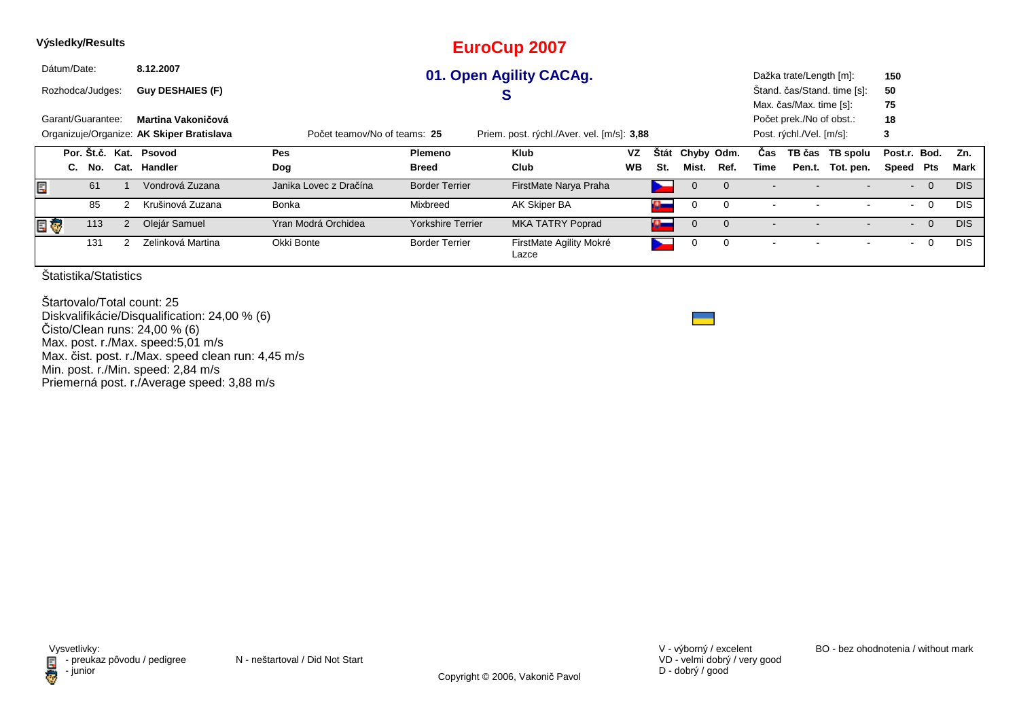|   | Výsledky/Results |                                                                                                                         |                |                         |                        |                          | <b>EuroCup 2007</b>              |           |              |                |                |                          |                          |                             |                |                |            |
|---|------------------|-------------------------------------------------------------------------------------------------------------------------|----------------|-------------------------|------------------------|--------------------------|----------------------------------|-----------|--------------|----------------|----------------|--------------------------|--------------------------|-----------------------------|----------------|----------------|------------|
|   | Dátum/Date:      |                                                                                                                         |                | 8.12.2007               |                        |                          | 01. Open Agility CACAg.          |           |              |                |                |                          | Dažka trate/Length [m]:  |                             | 150            |                |            |
|   | Rozhodca/Judges: |                                                                                                                         |                | <b>Guy DESHAIES (F)</b> |                        |                          | S                                |           |              |                |                |                          |                          | Štand. čas/Stand. time [s]: | 50             |                |            |
|   |                  |                                                                                                                         |                |                         |                        |                          |                                  |           |              |                |                |                          | Max. čas/Max. time [s]:  |                             | 75             |                |            |
|   |                  | Garant/Guarantee:<br>Martina Vakoničová                                                                                 |                |                         |                        |                          |                                  |           |              |                |                |                          | Počet prek./No of obst.: |                             | 18             |                |            |
|   |                  | Organizuje/Organize: AK Skiper Bratislava<br>Priem. post. rýchl./Aver. vel. [m/s]: 3,88<br>Počet teamov/No of teams: 25 |                |                         |                        |                          |                                  |           |              |                |                |                          | Post. rýchl./Vel. [m/s]: |                             | 3              |                |            |
|   |                  |                                                                                                                         |                | Por. Št.č. Kat. Psovod  | Pes                    | Plemeno                  | <b>Klub</b>                      | VZ        | <b>Stát</b>  | Chyby Odm.     |                | Cas                      |                          | TB čas TB spolu             | Post.r. Bod.   |                | Zn.        |
|   | C.               | No.                                                                                                                     |                | Cat. Handler            | Dog                    | <b>Breed</b>             | Club                             | <b>WB</b> | St.          | Mist.          | Ref.           | Time                     |                          | Pen.t. Tot. pen.            | Speed          | Pts            | Mark       |
| E |                  | 61                                                                                                                      |                | Vondrová Zuzana         | Janika Lovec z Dračína | <b>Border Terrier</b>    | FirstMate Narya Praha            |           | ∼            | $\overline{0}$ | $\overline{0}$ |                          |                          |                             | $\sim$         | $\overline{0}$ | <b>DIS</b> |
|   |                  | 85                                                                                                                      |                | Krušinová Zuzana        | <b>Bonka</b>           | Mixbreed                 | AK Skiper BA                     |           | $\alpha$     | 0              | $\Omega$       | $\overline{\phantom{a}}$ |                          |                             | $\blacksquare$ | $\overline{0}$ | <b>DIS</b> |
|   |                  | 113                                                                                                                     | $\overline{2}$ | Olejár Samuel           | Yran Modrá Orchidea    | <b>Yorkshire Terrier</b> | <b>MKA TATRY Poprad</b>          |           | $\mathbf{a}$ | $\mathbf 0$    | $\Omega$       |                          |                          |                             | $\sim$         | $\overline{0}$ | <b>DIS</b> |
|   |                  | 131                                                                                                                     |                | Zelinková Martina       | Okki Bonte             | <b>Border Terrier</b>    | FirstMate Agility Mokré<br>Lazce |           |              |                | 0              | $\overline{\phantom{a}}$ |                          |                             | $\blacksquare$ | $\mathbf 0$    | <b>DIS</b> |

Štartovalo/Total count: 25 Diskvalifikácie/Disqualification: 24,00 % (6)Čisto/Clean runs: 24,00 % (6) Max. post. r./Max. speed:5,01 m/s Max. čist. post. r./Max. speed clean run: 4,45 m/sMin. post. r./Min. speed: 2,84 m/s Priemerná post. r./Average speed: 3,88 m/s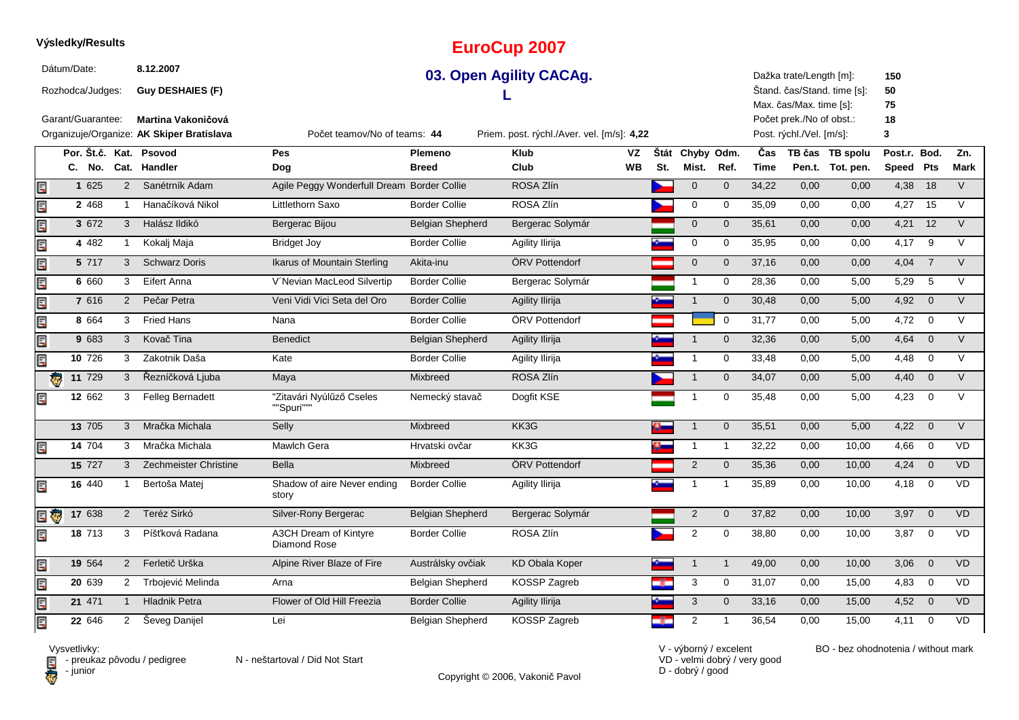### **Výsledky/Results**

Dátum/Date:

Rozhodca/Judges:

**Guy DESHAIES (F)**

**8.12.2007**

Garant/Guarantee: **Martina Vakoničová**

## **EuroCup 2007**

### **03. Open Agility CACAg.L**

Dažka trate/Length [m]:Štand. čas/Stand. time [s]:

Max. čas/Max. time [s]:Počet prek./No of obst.: **7518**

**15050**

Post. rýchl./Vel. [m/s]:

|     |                        |                      | Organizuje/Organize: AK Skiper Bratislava | Počet teamov/No of teams: 44               |                         | Priem. post. rýchl./Aver. vel. [m/s]: 4,22 |           |      |                |                |             | Post. rýchl./Vel. [m/s]: |                  | 3         |                |                |
|-----|------------------------|----------------------|-------------------------------------------|--------------------------------------------|-------------------------|--------------------------------------------|-----------|------|----------------|----------------|-------------|--------------------------|------------------|-----------|----------------|----------------|
|     | Por. Št.č. Kat. Psovod |                      |                                           | Pes                                        | Plemeno                 | <b>Klub</b>                                | VZ        | Štát | Chyby Odm.     |                | Čas         |                          | TB čas TB spolu  | Post.r.   | Bod.           | Zn.            |
|     |                        |                      | C. No. Cat. Handler                       | Dog                                        | <b>Breed</b>            | Club                                       | <b>WB</b> | St.  | Mist.          | Ref.           | <b>Time</b> |                          | Pen.t. Tot. pen. | Speed Pts |                | Mark           |
| Ē,  | 1 625                  | $\overline{2}$       | Sanétrník Adam                            | Agile Peggy Wonderfull Dream Border Collie |                         | ROSA Zlín                                  |           |      | $\mathbf{0}$   | $\overline{0}$ | 34,22       | 0,00                     | 0,00             | 4,38      | 18             | $\vee$         |
| E   | 2 4 6 8                |                      | Hanačíková Nikol                          | Littlethorn Saxo                           | <b>Border Collie</b>    | ROSA Zlín                                  |           |      | 0              | $\mathbf 0$    | 35,09       | 0,00                     | 0,00             | 4,27      | 15             | $\vee$         |
| E   | 3 672                  | 3                    | Halász Ildikó                             | Bergerac Bijou                             | Belgian Shepherd        | Bergerac Solymár                           |           |      | $\mathbf{0}$   | $\mathbf{0}$   | 35,61       | 0,00                     | 0,00             | $4,21$ 12 |                | $\vee$         |
| E   | 4 4 8 2                |                      | Kokalj Maja                               | <b>Bridget Joy</b>                         | <b>Border Collie</b>    | Agility Ilirija                            |           |      | 0              | $\mathbf 0$    | 35,95       | 0,00                     | 0,00             | 4,17      | 9              | $\vee$         |
| Ę   | 5 717                  | 3                    | <b>Schwarz Doris</b>                      | Ikarus of Mountain Sterling                | Akita-inu               | ÖRV Pottendorf                             |           |      | $\mathbf{0}$   | $\mathbf{0}$   | 37,16       | 0,00                     | 0,00             | 4,04      | $\overline{7}$ | $\vee$         |
| Ę   | 6 6 6 0                | 3                    | Eifert Anna                               | V'Nevian MacLeod Silvertip                 | <b>Border Collie</b>    | Bergerac Solymár                           |           |      | -1             | $\mathbf 0$    | 28,36       | 0,00                     | 5,00             | 5,29      | 5              | $\vee$         |
| Ę   | 7 616                  | $\overline{2}$       | Pečar Petra                               | Veni Vidi Vici Seta del Oro                | <b>Border Collie</b>    | Agility Ilirija                            |           |      |                | $\overline{0}$ | 30,48       | 0,00                     | 5,00             | 4,92      | $\overline{0}$ | $\vee$         |
| Ę   | 8 6 6 4                | 3                    | Fried Hans                                | Nana                                       | <b>Border Collie</b>    | ÖRV Pottendorf                             |           |      |                | $\mathbf 0$    | 31,77       | 0,00                     | 5,00             | 4,72      | $\mathbf 0$    | $\vee$         |
| Ę   | 9 683                  | 3                    | Kovač Tina                                | <b>Benedict</b>                            | <b>Belgian Shepherd</b> | Agility Ilirija                            |           |      |                | $\mathbf 0$    | 32,36       | 0,00                     | 5,00             | 4,64      | $\overline{0}$ | $\vee$         |
| Ę   | 10 726                 | 3                    | Zakotnik Daša                             | Kate                                       | <b>Border Collie</b>    | Agility Ilirija                            |           |      |                | 0              | 33,48       | 0,00                     | 5,00             | 4,48      | $\overline{0}$ | $\vee$         |
| e   | 11 729                 | 3                    | Řezníčková Ljuba                          | Maya                                       | Mixbreed                | ROSA Zlín                                  |           |      |                | $\mathbf 0$    | 34,07       | 0,00                     | 5,00             | 4,40      | $\overline{0}$ | $\vee$         |
| Ę   | 12 662                 | 3                    | Felleg Bernadett                          | "Zitavári Nyúlűző Cseles<br>""Spuri"""     | Nemecký stavač          | Dogfit KSE                                 |           |      |                | $\mathbf 0$    | 35,48       | 0,00                     | 5,00             | 4,23      | $\mathbf 0$    | $\vee$         |
|     | 13 705                 | 3                    | Mračka Michala                            | Selly                                      | Mixbreed                | KK3G                                       |           | a.   | $\overline{1}$ | $\mathbf{0}$   | 35,51       | 0,00                     | 5,00             | $4,22$ 0  |                | $\vee$         |
| E   | 14 704                 | 3                    | Mračka Michala                            | Mawlch Gera                                | Hrvatski ovčar          | KK3G                                       |           |      |                | $\overline{1}$ | 32,22       | 0,00                     | 10,00            | 4,66      | $\overline{0}$ | <b>VD</b>      |
|     | 15 727                 | 3                    | Zechmeister Christine                     | <b>Bella</b>                               | Mixbreed                | ÖRV Pottendorf                             |           |      | 2              | $\mathbf{0}$   | 35,36       | 0,00                     | 10,00            | 4,24      | $\overline{0}$ | V <sub>D</sub> |
| Ę   | 16 440                 |                      | Bertoša Matei                             | Shadow of aire Never ending<br>story       | <b>Border Collie</b>    | Agility Ilirija                            |           |      |                | $\overline{1}$ | 35,89       | 0,00                     | 10,00            | 4,18      | $\mathbf 0$    | <b>VD</b>      |
| E G | 17 638                 | $\overline{2}$       | Teréz Sirkó                               | Silver-Rony Bergerac                       | Belgian Shepherd        | Bergerac Solymár                           |           |      | $\overline{2}$ | $\mathbf 0$    | 37,82       | 0,00                     | 10,00            | $3,97$ 0  |                | <b>VD</b>      |
| Ę   | 18 713                 | 3                    | Píšťková Radana                           | A3CH Dream of Kintyre<br>Diamond Rose      | <b>Border Collie</b>    | ROSA Zlín                                  |           |      | 2              | $\mathbf 0$    | 38,80       | 0,00                     | 10,00            | 3,87      | $\mathbf 0$    | VD.            |
| Ę   | 19 564                 | $\overline{2}$       | Ferletič Urška                            | Alpine River Blaze of Fire                 | Austrálsky ovčiak       | <b>KD Obala Koper</b>                      |           |      | $\mathbf 1$    | $\overline{1}$ | 49,00       | 0,00                     | 10,00            | 3,06      | $\overline{0}$ | <b>VD</b>      |
| E   | 20 639                 | $2^{\circ}$          | Trbojević Melinda                         | Arna                                       | Belgian Shepherd        | KOSSP Zagreb                               |           | -6   | 3              | 0              | 31,07       | 0,00                     | 15,00            | 4,83      | $\overline{0}$ | VD.            |
| Ę   | $21 \overline{471}$    |                      | <b>Hladnik Petra</b>                      | Flower of Old Hill Freezia                 | <b>Border Collie</b>    | Agility Ilirija                            |           |      | 3              | $\mathbf{0}$   | 33,16       | 0,00                     | 15,00            | 4,52      | $\overline{0}$ | <b>VD</b>      |
| E   | 22 646                 | $\mathbf{2}^{\circ}$ | Ševeg Danijel                             | Lei                                        | Belgian Shepherd        | KOSSP Zagreb                               |           | -62  | 2              |                | 36,54       | 0,00                     | 15,00            | 4,11      | $\mathbf 0$    | <b>VD</b>      |

Vysvetlivky:<br>E preuka:<br>iunior: - junior

preukaz pôvodu / pedigree N - neštartoval / Did Not Start

Copyright © 2006, Vakonič Pavol

VD - velmi dobrý / very goodD - dobrý / good

V - výborný / excelent BO - bez ohodnotenia / without mark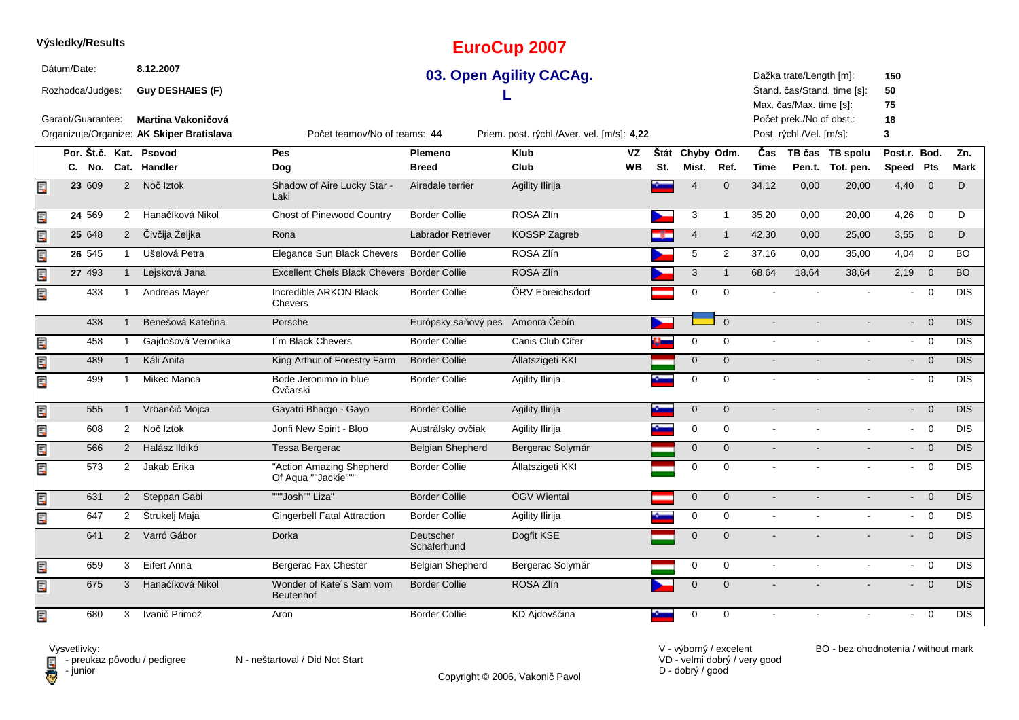|    | Dátum/Date:       |        |                | 8.12.2007                                 |                                                 |                                  | 03. Open Agility CACAg.                    |    |             |                 |                |                | Dažka trate/Length [m]:                             |                             | 150            |                                   |                  |
|----|-------------------|--------|----------------|-------------------------------------------|-------------------------------------------------|----------------------------------|--------------------------------------------|----|-------------|-----------------|----------------|----------------|-----------------------------------------------------|-----------------------------|----------------|-----------------------------------|------------------|
|    | Rozhodca/Judges:  |        |                | <b>Guy DESHAIES (F)</b>                   |                                                 |                                  |                                            |    |             |                 |                |                |                                                     | Štand. čas/Stand. time [s]: | 50             |                                   |                  |
|    | Garant/Guarantee: |        |                | <b>Martina Vakoničová</b>                 |                                                 |                                  |                                            |    |             |                 |                |                | Max. čas/Max. time [s]:<br>Počet prek./No of obst.: |                             | 75<br>18       |                                   |                  |
|    |                   |        |                | Organizuje/Organize: AK Skiper Bratislava | Počet teamov/No of teams: 44                    |                                  | Priem. post. rýchl./Aver. vel. [m/s]: 4,22 |    |             |                 |                |                | Post. rýchl./Vel. [m/s]:                            |                             | 3              |                                   |                  |
|    |                   |        |                | Por. Št.č. Kat. Psovod                    | <b>Pes</b>                                      | <b>Plemeno</b>                   | <b>Klub</b>                                | VZ |             | Štát Chyby Odm. |                | Čas            |                                                     | TB čas TB spolu             | Post.r. Bod.   |                                   | Zn.              |
|    |                   | C. No. |                | Cat. Handler                              | Dog                                             | <b>Breed</b>                     | Club                                       | WВ | St.         | Mist. Ref.      |                | <b>Time</b>    |                                                     | Pen.t. Tot. pen.            | Speed Pts      |                                   | <b>Mark</b>      |
| E  |                   | 23 609 | $\overline{2}$ | Noč Iztok                                 | Shadow of Aire Lucky Star -<br>Laki             | Airedale terrier                 | Agility Ilirija                            |    |             | $\overline{4}$  | $\Omega$       | 34,12          | 0,00                                                | 20,00                       | 4,40           | $\overline{0}$                    | D                |
| E  |                   | 24 569 | $\mathbf{2}$   | Hanačíková Nikol                          | <b>Ghost of Pinewood Country</b>                | <b>Border Collie</b>             | ROSA Zlín                                  |    |             | 3               | -1             | 35,20          | 0,00                                                | 20,00                       | 4,26           | $\mathbf 0$                       | D                |
| E  |                   | 25 648 | $\overline{2}$ | Čivčija Željka                            | Rona                                            | Labrador Retriever               | KOSSP Zagreb                               |    |             | $\overline{4}$  | $\mathbf{1}$   | 42,30          | 0,00                                                | 25,00                       | 3,55           | $\mathbf{0}$                      | D                |
| E  |                   | 26 545 |                | Ušelová Petra                             | Elegance Sun Black Chevers                      | <b>Border Collie</b>             | ROSA Zlín                                  |    |             | 5               | $\overline{2}$ | 37,16          | 0,00                                                | 35,00                       | 4,04           | $\mathbf 0$                       | <b>BO</b>        |
| E  |                   | 27 493 | $\mathbf{1}$   | Lejsková Jana                             | Excellent Chels Black Chevers Border Collie     |                                  | ROSA Zlín                                  |    |             | 3               | $\mathbf{1}$   | 68,64          | 18,64                                               | 38,64                       | 2,19           | $\overline{0}$                    | <b>BO</b>        |
| E  |                   | 433    |                | Andreas Mayer                             | Incredible ARKON Black<br>Chevers               | <b>Border Collie</b>             | ÖRV Ebreichsdorf                           |    |             | $\Omega$        | $\Omega$       |                |                                                     |                             |                | $\Omega$                          | $\overline{DIS}$ |
|    |                   | 438    |                | Benešová Kateřina                         | Porsche                                         | Európsky saňový pes Amonra Čebín |                                            |    |             |                 | $\Omega$       |                |                                                     |                             |                | $\overline{0}$<br>$\sim$ 10 $\pm$ | DIS              |
| Ę  |                   | 458    | $\mathbf 1$    | Gajdošová Veronika                        | I'm Black Chevers                               | <b>Border Collie</b>             | Canis Club Cífer                           |    | $\bullet^-$ | $\mathbf 0$     | $\mathbf 0$    | $\sim$         |                                                     | $\sim$                      | $\sim$         | $\overline{0}$                    | $\overline{DIS}$ |
| E. |                   | 489    | 1              | Káli Anita                                | King Arthur of Forestry Farm                    | <b>Border Collie</b>             | Állatszigeti KKI                           |    |             | $\overline{0}$  | $\Omega$       |                |                                                     |                             |                | $\overline{0}$                    | DIS              |
| Ę  |                   | 499    | -1             | Mikec Manca                               | Bode Jeronimo in blue<br>Ovčarski               | <b>Border Collie</b>             | Agility Ilirija                            |    |             | $\mathbf 0$     | $\Omega$       |                |                                                     | $\sim$                      | $\blacksquare$ | $\overline{0}$                    | <b>DIS</b>       |
| E  |                   | 555    | 1              | Vrbančič Mojca                            | Gayatri Bhargo - Gayo                           | <b>Border Collie</b>             | Agility Ilirija                            |    |             | $\mathbf 0$     | $\mathbf{0}$   |                |                                                     | $\blacksquare$              |                | $- 0$                             | <b>DIS</b>       |
| E  |                   | 608    | $\overline{2}$ | Noč Iztok                                 | Jonfi New Spirit - Bloo                         | Austrálsky ovčiak                | Agility Ilirija                            |    |             | $\mathbf 0$     | $\mathbf 0$    |                |                                                     |                             |                | $\overline{\mathbf{0}}$           | $\overline{DIS}$ |
| Ē, |                   | 566    | $\overline{2}$ | Halász Ildikó                             | Tessa Bergerac                                  | <b>Belgian Shepherd</b>          | Bergerac Solymár                           |    |             | $\mathbf{0}$    | $\Omega$       |                |                                                     |                             |                | $- 0$                             | $\overline{DIS}$ |
| 國  |                   | 573    | $\overline{2}$ | Jakab Erika                               | "Action Amazing Shepherd<br>Of Aqua ""Jackie""" | <b>Border Collie</b>             | Állatszigeti KKI                           |    |             | 0               | 0              |                |                                                     |                             | $\blacksquare$ | $\overline{0}$                    | DIS              |
| E  |                   | 631    | $2^{\circ}$    | Steppan Gabi                              | """Josh"" Liza"                                 | <b>Border Collie</b>             | ÖGV Wiental                                |    |             | $\mathbf{0}$    | $\mathbf{0}$   |                |                                                     |                             |                | $\overline{0}$                    | <b>DIS</b>       |
| 同  |                   | 647    | $\mathbf{2}$   | Štrukelj Maja                             | <b>Gingerbell Fatal Attraction</b>              | <b>Border Collie</b>             | Agility Ilirija                            |    |             | $\mathbf 0$     | $\Omega$       |                |                                                     |                             |                | $- 0$                             | <b>DIS</b>       |
|    |                   | 641    | 2              | Varró Gábor                               | Dorka                                           | Deutscher<br>Schäferhund         | Dogfit KSE                                 |    |             | $\mathbf{0}$    | $\Omega$       |                |                                                     |                             |                | $\overline{0}$                    | $\overline{DIS}$ |
| E  |                   | 659    | 3              | Eifert Anna                               | Bergerac Fax Chester                            | Belgian Shepherd                 | Bergerac Solymár                           |    |             | $\mathbf 0$     | $\Omega$       | $\overline{a}$ |                                                     |                             |                | $\overline{0}$                    | <b>DIS</b>       |
| E. |                   | 675    | 3              | Hanačíková Nikol                          | Wonder of Kate's Sam vom<br>Beutenhof           | <b>Border Collie</b>             | ROSA Zlín                                  |    |             | $\mathbf{0}$    | $\mathbf{0}$   |                |                                                     |                             |                | $\overline{0}$                    | DIS              |
| E  |                   | 680    | 3              | Ivanič Primož                             | Aron                                            | <b>Border Collie</b>             | KD Ajdovščina                              |    |             | 0               | 0              |                |                                                     |                             |                | $- 0$                             | DIS              |

**EuroCup 2007**



**Výsledky/Results**

Vysvetlivky:<br>⊟ - preukaz pôvodu / pedigree N - neštartoval / Did Not Start

Copyright © 2006, Vakonič Pavol

VD - velmi dobrý / very good D - dobrý / good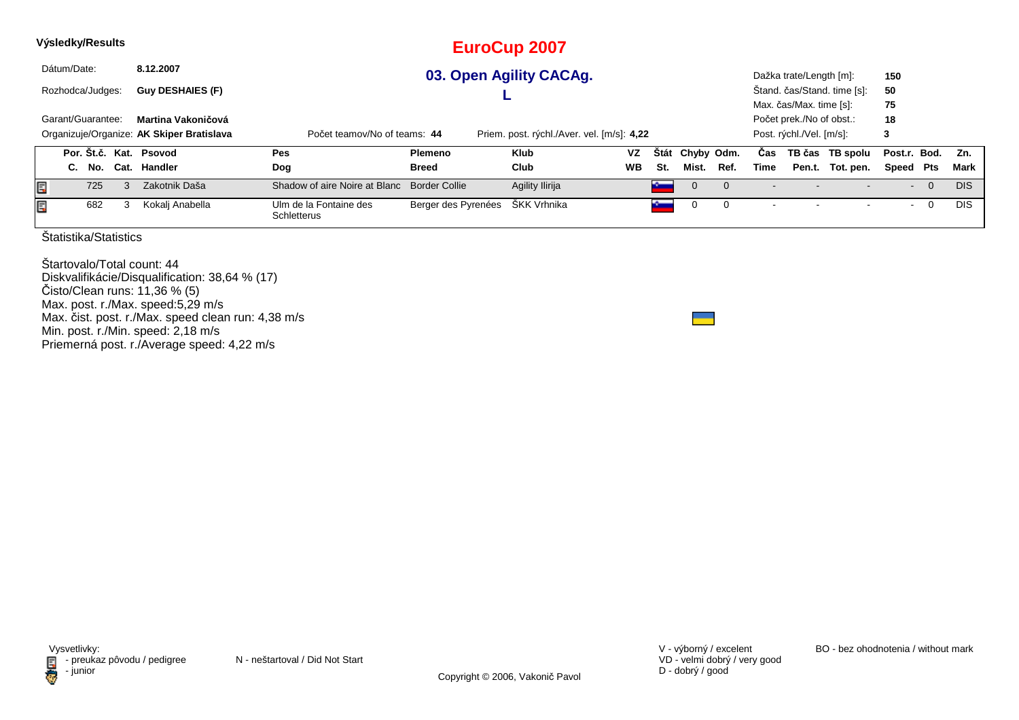|   |             | Výsledky/Results      |      |                                           |                                       |                      | <b>EuroCup 2007</b>                        |    |     |                 |      |      |                          |                             |                |                |            |
|---|-------------|-----------------------|------|-------------------------------------------|---------------------------------------|----------------------|--------------------------------------------|----|-----|-----------------|------|------|--------------------------|-----------------------------|----------------|----------------|------------|
|   | Dátum/Date: |                       |      | 8.12.2007                                 |                                       |                      | 03. Open Agility CACAg.                    |    |     |                 |      |      | Dažka trate/Length [m]:  |                             | 150            |                |            |
|   |             | Rozhodca/Judges:      |      | <b>Guy DESHAIES (F)</b>                   |                                       |                      |                                            |    |     |                 |      |      |                          | Štand. čas/Stand. time [s]: | 50             |                |            |
|   |             |                       |      |                                           |                                       |                      |                                            |    |     |                 |      |      | Max. čas/Max. time [s]:  |                             | 75             |                |            |
|   |             | Garant/Guarantee:     |      | Martina Vakoničová                        |                                       |                      |                                            |    |     |                 |      |      | Počet prek./No of obst.: |                             | 18             |                |            |
|   |             |                       |      | Organizuje/Organize: AK Skiper Bratislava | Počet teamov/No of teams: 44          |                      | Priem. post. rýchl./Aver. vel. [m/s]: 4,22 |    |     |                 |      |      | Post. rýchl./Vel. [m/s]: |                             | 3              |                |            |
|   |             | Por. Št.č. Kat.       |      | Psovod                                    | Pes                                   | Plemeno              | <b>Klub</b>                                | VZ |     | Štát Chyby Odm. |      | Cas  |                          | TB čas TB spolu             | Post.r. Bod.   |                | Zn.        |
|   | C.          | No.                   | Cat. | Handler                                   | Dog                                   | <b>Breed</b>         | Club                                       | WB | St. | Mist.           | Ref. | Time |                          | Pen.t. Tot. pen.            | Speed Pts      |                | Mark       |
| Ę |             | 725                   | 3    | Zakotnik Daša                             | Shadow of aire Noire at Blanc         | <b>Border Collie</b> | Agility Ilirija                            |    |     | 0               |      |      |                          |                             | $\sim$         | $\overline{0}$ | <b>DIS</b> |
| Ę |             | 682                   | 3    | Kokalj Anabella                           | Ulm de la Fontaine des<br>Schletterus | Berger des Pyrenées  | ŠKK Vrhnika                                |    |     | 0               | 0    |      |                          |                             | $\blacksquare$ | $\mathbf 0$    | <b>DIS</b> |
|   |             | Štatistika/Statistics |      |                                           |                                       |                      |                                            |    |     |                 |      |      |                          |                             |                |                |            |

Štartovalo/Total count: 44 Diskvalifikácie/Disqualification: 38,64 % (17)Čisto/Clean runs: 11,36 % (5) Max. post. r./Max. speed:5,29 m/s Max. čist. post. r./Max. speed clean run: 4,38 m/sMin. post. r./Min. speed: 2,18 m/s Priemerná post. r./Average speed: 4,22 m/s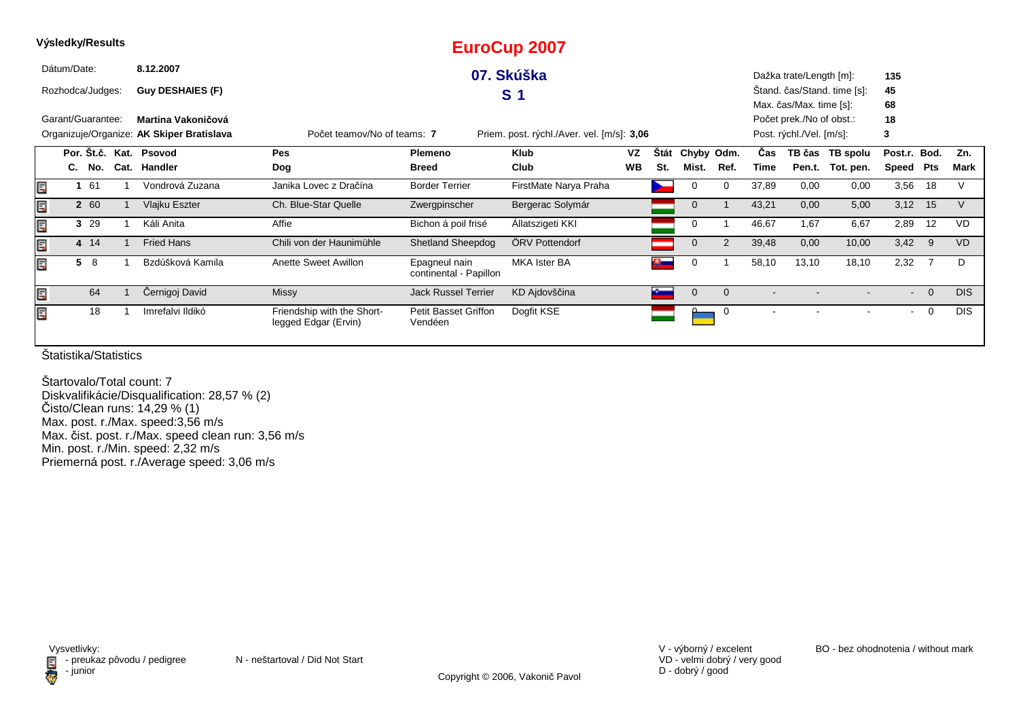|    | Výsledky/Results  |        |                                           |                                                    |                                         | <b>EuroCup 2007</b>                        |           |      |              |            |       |                          |                             |                          |          |            |
|----|-------------------|--------|-------------------------------------------|----------------------------------------------------|-----------------------------------------|--------------------------------------------|-----------|------|--------------|------------|-------|--------------------------|-----------------------------|--------------------------|----------|------------|
|    | Dátum/Date:       |        | 8.12.2007                                 |                                                    |                                         | 07. Skúška                                 |           |      |              |            |       | Dažka trate/Length [m]:  |                             | 135                      |          |            |
|    | Rozhodca/Judges:  |        | <b>Guy DESHAIES (F)</b>                   |                                                    |                                         | S <sub>1</sub>                             |           |      |              |            |       |                          | Stand. čas/Stand. time [s]: | 45                       |          |            |
|    |                   |        |                                           |                                                    |                                         |                                            |           |      |              |            |       | Max. čas/Max. time [s]:  |                             | 68                       |          |            |
|    | Garant/Guarantee: |        | Martina Vakoničová                        |                                                    |                                         |                                            |           |      |              |            |       | Počet prek./No of obst.: |                             | 18                       |          |            |
|    |                   |        | Organizuje/Organize: AK Skiper Bratislava | Počet teamov/No of teams: 7                        |                                         | Priem. post. rýchl./Aver. vel. [m/s]: 3,06 |           |      |              |            |       | Post. rýchl./Vel. [m/s]: |                             | 3                        |          |            |
|    |                   |        | Por. Št.č. Kat. Psovod                    | Pes                                                | Plemeno                                 | <b>Klub</b>                                | <b>VZ</b> | Stát |              | Chyby Odm. | Cas   |                          | TB čas TB spolu             | Post.r. Bod.             |          | Zn.        |
|    |                   | C. No. | Cat. Handler                              | Dog                                                | <b>Breed</b>                            | Club                                       | <b>WB</b> | St.  | Mist.        | Ref.       | Time  | Pen.t.                   | Tot. pen.                   | Speed                    | Pts      | Mark       |
| Ē, |                   | 1 61   | Vondrová Zuzana                           | Janika Lovec z Dračína                             | <b>Border Terrier</b>                   | FirstMate Narya Praha                      |           |      | 0            | 0          | 37,89 | 0,00                     | 0,00                        | 3,56                     | 18       |            |
| Ę  |                   | 2 60   | Vlajku Eszter                             | Ch. Blue-Star Quelle                               | Zwergpinscher                           | Bergerac Solymár                           |           |      | 0            |            | 43,21 | 0,00                     | 5,00                        | 3,12                     | 15       |            |
| Ę  |                   | 3 29   | Káli Anita                                | Affie                                              | Bichon á poil frisé                     | Allatszigeti KKI                           |           |      | 0            |            | 46,67 | 1,67                     | 6,67                        | 2,89                     | 12       | <b>VD</b>  |
| Ę  |                   | 4 14   | <b>Fried Hans</b>                         | Chili von der Haunimühle                           | <b>Shetland Sheepdog</b>                | ÖRV Pottendorf                             |           |      | 0            | 2          | 39,48 | 0,00                     | 10,00                       | 3,42                     | - 9      | <b>VD</b>  |
| Ę  |                   | 58     | Bzdúšková Kamila                          | Anette Sweet Awillon                               | Epagneul nain<br>continental - Papillon | <b>MKA Ister BA</b>                        |           | o.   | 0            |            | 58,10 | 13,10                    | 18,10                       | 2,32                     | -7       | D          |
| Ę  |                   | 64     | Černigoj David                            | <b>Missy</b>                                       | <b>Jack Russel Terrier</b>              | KD Ajdovščina                              |           |      | $\mathbf{0}$ | $\Omega$   |       |                          |                             | $\blacksquare$           | $\Omega$ | <b>DIS</b> |
| Ē, |                   | 18     | Imrefalvi Ildikó                          | Friendship with the Short-<br>legged Edgar (Ervin) | <b>Petit Basset Griffon</b><br>Vendéen  | Dogfit KSE                                 |           |      |              | 0          |       |                          |                             | $\overline{\phantom{a}}$ | 0        | <b>DIS</b> |

Štartovalo/Total count: 7 Diskvalifikácie/Disqualification: 28,57 % (2) Čisto/Clean runs: 14,29 % (1) Max. post. r./Max. speed:3,56 m/s Max. čist. post. r./Max. speed clean run: 3,56 m/s Min. post. r./Min. speed: 2,32 m/sPriemerná post. r./Average speed: 3,06 m/s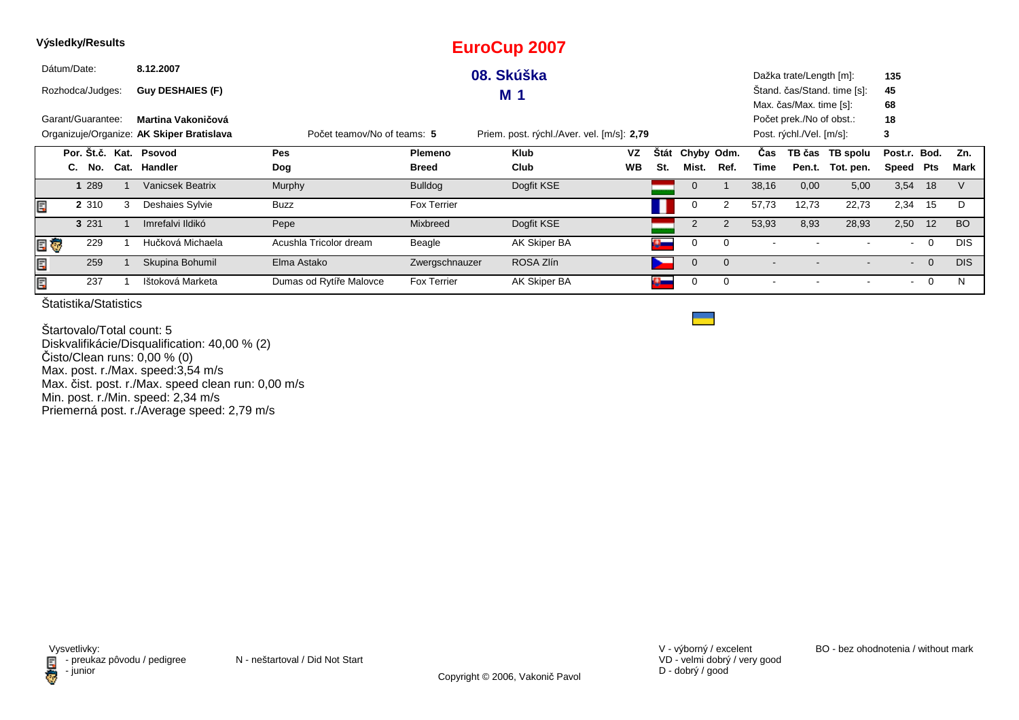|     | Výsledky/Results                                                                                                       |         |      |                         |                         |                    | <b>EuroCup 2007</b> |           |                     |                 |                |       |                          |                             |              |                |            |
|-----|------------------------------------------------------------------------------------------------------------------------|---------|------|-------------------------|-------------------------|--------------------|---------------------|-----------|---------------------|-----------------|----------------|-------|--------------------------|-----------------------------|--------------|----------------|------------|
|     | Dátum/Date:                                                                                                            |         |      | 8.12.2007               |                         |                    | 08. Skúška          |           |                     |                 |                |       | Dažka trate/Length [m]:  |                             | 135          |                |            |
|     | Rozhodca/Judges:                                                                                                       |         |      | <b>Guy DESHAIES (F)</b> |                         |                    | M 1                 |           |                     |                 |                |       |                          | Stand. čas/Stand. time [s]: | 45           |                |            |
|     |                                                                                                                        |         |      |                         |                         |                    |                     |           |                     |                 |                |       | Max. čas/Max. time [s]:  |                             | 68           |                |            |
|     | Garant/Guarantee:<br>Martina Vakoničová                                                                                |         |      |                         |                         |                    |                     |           |                     |                 |                |       | Počet prek./No of obst.: |                             | 18           |                |            |
|     | Organizuje/Organize: AK Skiper Bratislava<br>Priem. post. rýchl./Aver. vel. [m/s]: 2,79<br>Počet teamov/No of teams: 5 |         |      |                         |                         |                    |                     |           |                     |                 |                |       | Post. rýchl./Vel. [m/s]: |                             | 3            |                |            |
|     |                                                                                                                        |         |      | Por. Št.č. Kat. Psovod  | Pes                     | <b>Plemeno</b>     | <b>Klub</b>         | <b>VZ</b> |                     | Štát Chyby Odm. |                | Cas   |                          | TB čas TB spolu             | Post.r. Bod. |                | Zn.        |
|     |                                                                                                                        | C. No.  | Cat. | Handler                 | Dog                     | <b>Breed</b>       | Club                | <b>WB</b> | St.                 | Mist.           | Ref.           | Time  |                          | Pen.t. Tot. pen.            | Speed Pts    |                | Mark       |
|     |                                                                                                                        | 1 289   |      | <b>Vanicsek Beatrix</b> | Murphy                  | <b>Bulldog</b>     | Dogfit KSE          |           |                     | $\mathbf 0$     |                | 38,16 | 0,00                     | 5,00                        | 3,54         | 18             |            |
| Ē,  |                                                                                                                        | 2 3 1 0 | 3    | Deshaies Sylvie         | Buzz                    | <b>Fox Terrier</b> |                     |           |                     | 0               | 2              | 57,73 | 12,73                    | 22,73                       | 2,34         | 15             | D          |
|     |                                                                                                                        | 3 2 3 1 |      | Imrefalvi Ildikó        | Pepe                    | Mixbreed           | Dogfit KSE          |           |                     | $\overline{2}$  |                | 53,93 | 8,93                     | 28,93                       | 2,50         | 12             | <b>BO</b>  |
| e o |                                                                                                                        | 229     |      | Hučková Michaela        | Acushla Tricolor dream  | Beagle             | AK Skiper BA        |           | $\alpha$            | 0               | $\Omega$       |       |                          |                             | $\sim$       | $\overline{0}$ | <b>DIS</b> |
| Ę   |                                                                                                                        | 259     |      | Skupina Bohumil         | Elma Astako             | Zwergschnauzer     | ROSA Zlín           |           |                     | $\mathbf 0$     | $\overline{0}$ |       |                          |                             | $\sim$       | $\overline{0}$ | <b>DIS</b> |
| Ē,  |                                                                                                                        | 237     |      | Ištoková Marketa        | Dumas od Rytíře Malovce | <b>Fox Terrier</b> | AK Skiper BA        |           | $\Omega_{\rm{max}}$ | 0               | 0              |       |                          |                             | $\sim$       | $\mathbf{0}$   | N          |

Štartovalo/Total count: 5 Diskvalifikácie/Disqualification: 40,00 % (2)Čisto/Clean runs: 0,00 % (0) Max. post. r./Max. speed:3,54 m/s Max. čist. post. r./Max. speed clean run: 0,00 m/s Min. post. r./Min. speed: 2,34 m/sPriemerná post. r./Average speed: 2,79 m/s

VD - velmi dobrý / very good D - dobrý / good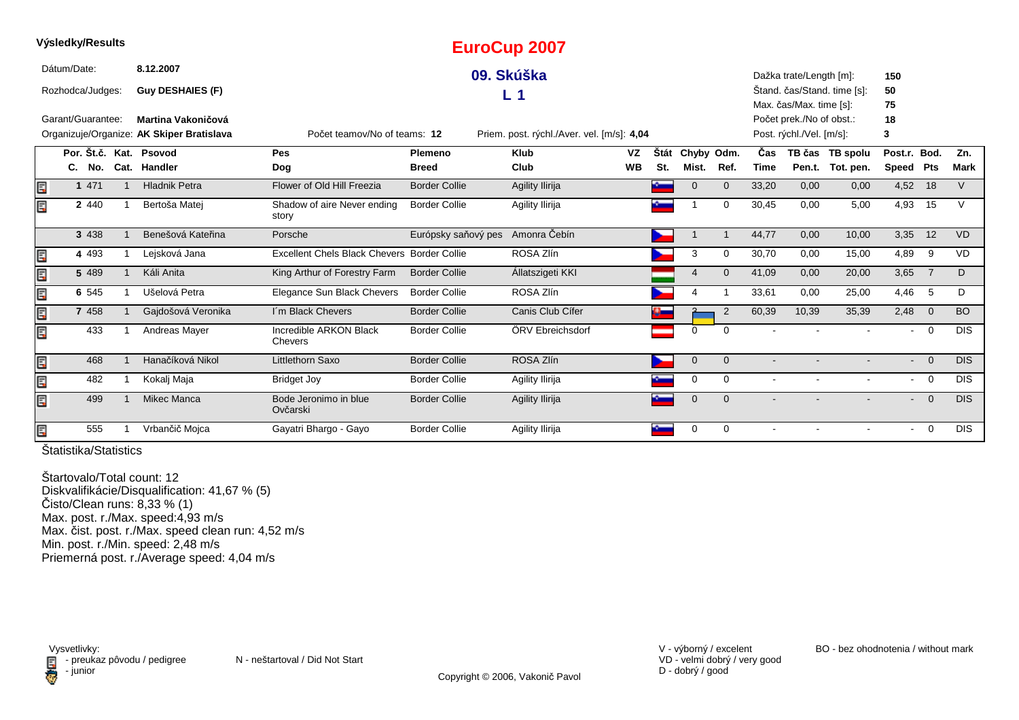|    | Výsledky/Results  |                                           |                                             |                      | <b>EuroCup 2007</b>                        |           |             |                |                |                |                          |                             |                |                          |            |
|----|-------------------|-------------------------------------------|---------------------------------------------|----------------------|--------------------------------------------|-----------|-------------|----------------|----------------|----------------|--------------------------|-----------------------------|----------------|--------------------------|------------|
|    | Dátum/Date:       | 8.12.2007                                 |                                             |                      | 09. Skúška                                 |           |             |                |                |                | Dažka trate/Length [m]:  |                             | 150            |                          |            |
|    | Rozhodca/Judges:  | <b>Guy DESHAIES (F)</b>                   |                                             |                      | L 1                                        |           |             |                |                |                |                          | Štand. čas/Stand. time [s]: | 50             |                          |            |
|    |                   |                                           |                                             |                      |                                            |           |             |                |                |                | Max. čas/Max. time [s]:  |                             | 75             |                          |            |
|    | Garant/Guarantee: | Martina Vakoničová                        |                                             |                      |                                            |           |             |                |                |                | Počet prek./No of obst.: |                             | 18             |                          |            |
|    |                   | Organizuje/Organize: AK Skiper Bratislava | Počet teamov/No of teams: 12                |                      | Priem. post. rýchl./Aver. vel. [m/s]: 4,04 |           |             |                |                |                | Post. rýchl./Vel. [m/s]: |                             | 3              |                          |            |
|    |                   | Por. Št.č. Kat. Psovod                    | Pes                                         | Plemeno              | <b>Klub</b>                                | <b>VZ</b> | <b>Stát</b> | Chyby Odm.     |                | Čas            |                          | TB čas TB spolu             | Post.r. Bod.   |                          | Zn.        |
|    | C. No.            | Cat. Handler                              | Dog                                         | <b>Breed</b>         | Club                                       | <b>WB</b> | St.         | Mist.          | Ref.           | <b>Time</b>    |                          | Pen.t. Tot. pen.            | Speed Pts      |                          | Mark       |
| E  | 1 471             | <b>Hladnik Petra</b>                      | Flower of Old Hill Freezia                  | <b>Border Collie</b> | Agility Ilirija                            |           |             | $\mathbf 0$    | $\overline{0}$ | 33,20          | 0,00                     | 0,00                        | 4,52           | 18                       | $\vee$     |
| E  | 2 4 4 0           | Bertoša Matej                             | Shadow of aire Never ending<br>story        | <b>Border Collie</b> | Agility Ilirija                            |           |             |                | $\mathbf 0$    | 30,45          | 0,00                     | 5,00                        | 4,93           | 15                       | V          |
|    | 3 4 3 8           | Benešová Kateřina                         | Porsche                                     | Európsky saňový pes  | Amonra Čebín                               |           |             |                | -1             | 44,77          | 0,00                     | 10,00                       | 3,35           | 12                       | <b>VD</b>  |
| E  | 4 4 9 3           | Lejsková Jana                             | Excellent Chels Black Chevers Border Collie |                      | ROSA Zlín                                  |           |             | 3              | $\Omega$       | 30,70          | 0,00                     | 15,00                       | 4,89           | 9                        | <b>VD</b>  |
| E  | 5 489             | Káli Anita                                | King Arthur of Forestry Farm                | <b>Border Collie</b> | Állatszigeti KKI                           |           |             | $\overline{4}$ | $\Omega$       | 41,09          | 0,00                     | 20,00                       | 3,65           | $\overline{7}$           | D          |
| Ę  | 6 545             | Ušelová Petra                             | Elegance Sun Black Chevers                  | <b>Border Collie</b> | ROSA Zlín                                  |           |             |                |                | 33,61          | 0,00                     | 25,00                       | 4,46           | -5                       | D          |
| Er | 7 4 5 8           | Gajdošová Veronika                        | I'm Black Chevers                           | <b>Border Collie</b> | Canis Club Cífer                           |           |             |                | $\overline{2}$ | 60,39          | 10,39                    | 35,39                       | 2,48           | $\overline{0}$           | <b>BO</b>  |
| E  | 433               | <b>Andreas Mayer</b>                      | Incredible ARKON Black<br>Chevers           | <b>Border Collie</b> | ÖRV Ebreichsdorf                           |           |             | $\mathbf 0$    | $\Omega$       | $\blacksquare$ |                          |                             | $\sim$         | $\overline{0}$           | <b>DIS</b> |
| E  | 468               | Hanačíková Nikol                          | Littlethorn Saxo                            | <b>Border Collie</b> | ROSA Zlín                                  |           |             | $\mathbf 0$    | $\overline{0}$ | $\blacksquare$ |                          | $\overline{\phantom{0}}$    | $\sim$         | $\overline{0}$           | <b>DIS</b> |
| E  | 482               | Kokalj Maja                               | Bridget Joy                                 | <b>Border Collie</b> | Agility Ilirija                            |           |             | 0              | $\mathbf 0$    | $\sim$         | $\blacksquare$           | $\overline{\phantom{0}}$    |                | $- 0$                    | <b>DIS</b> |
| Ē, | 499               | Mikec Manca                               | Bode Jeronimo in blue<br>Ovčarski           | <b>Border Collie</b> | Agility Ilirija                            |           |             | $\mathbf 0$    | $\mathbf{0}$   |                |                          |                             | $\blacksquare$ | $\overline{\phantom{0}}$ | <b>DIS</b> |
| E  | 555               | Vrbančič Mojca                            | Gayatri Bhargo - Gayo                       | <b>Border Collie</b> | Agility Ilirija                            |           |             | 0              | $\Omega$       |                |                          |                             |                | $\overline{0}$           | <b>DIS</b> |

Štartovalo/Total count: 12 Diskvalifikácie/Disqualification: 41,67 % (5) Čisto/Clean runs: 8,33 % (1) Max. post. r./Max. speed:4,93 m/s Max. čist. post. r./Max. speed clean run: 4,52 m/sMin. post. r./Min. speed: 2,48 m/s Priemerná post. r./Average speed: 4,04 m/s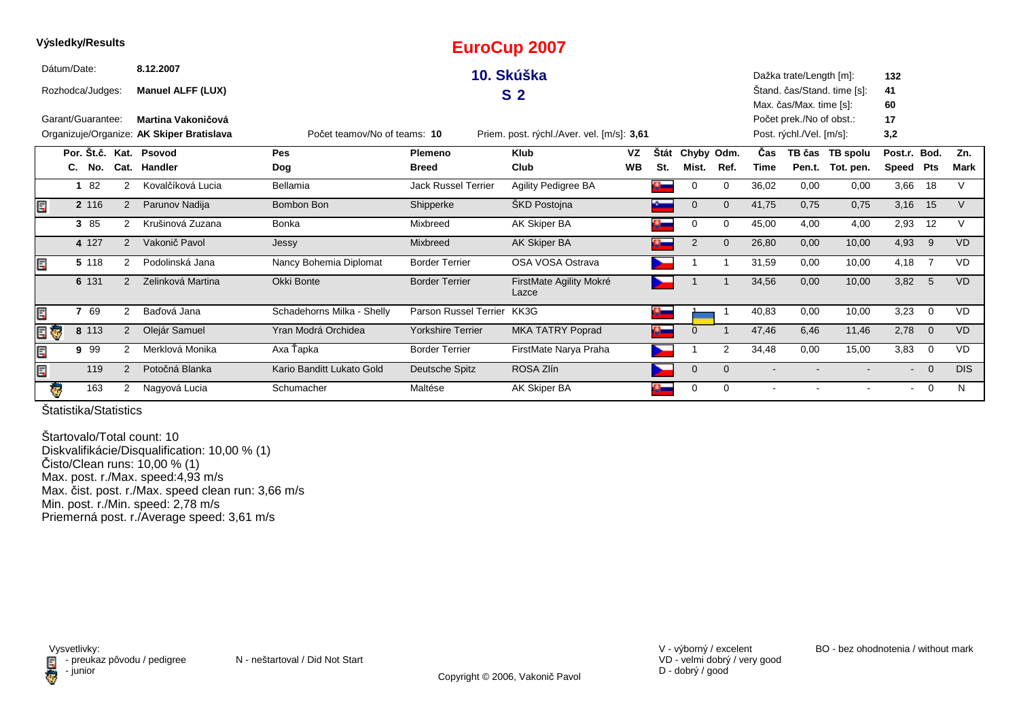|   | Výsledky/Results  |        |                |                                           |                              |                            | <b>EuroCup 2007</b>                        |           |             |             |          |                          |                          |                             |                |                |            |
|---|-------------------|--------|----------------|-------------------------------------------|------------------------------|----------------------------|--------------------------------------------|-----------|-------------|-------------|----------|--------------------------|--------------------------|-----------------------------|----------------|----------------|------------|
|   | Dátum/Date:       |        |                | 8.12.2007                                 |                              |                            | 10. Skúška                                 |           |             |             |          |                          | Dažka trate/Length [m]:  |                             | 132            |                |            |
|   | Rozhodca/Judges:  |        |                | <b>Manuel ALFF (LUX)</b>                  |                              |                            | S <sub>2</sub>                             |           |             |             |          |                          |                          | Štand. čas/Stand. time [s]: | 41             |                |            |
|   |                   |        |                |                                           |                              |                            |                                            |           |             |             |          |                          | Max. čas/Max. time [s]:  |                             | 60             |                |            |
|   | Garant/Guarantee: |        |                | Martina Vakoničová                        |                              |                            |                                            |           |             |             |          |                          | Počet prek./No of obst.: |                             | 17             |                |            |
|   |                   |        |                | Organizuje/Organize: AK Skiper Bratislava | Počet teamov/No of teams: 10 |                            | Priem. post. rýchl./Aver. vel. [m/s]: 3,61 |           |             |             |          |                          | Post. rýchl./Vel. [m/s]: |                             | 3,2            |                |            |
|   |                   |        |                | Por. Št.č. Kat. Psovod                    | Pes                          | <b>Plemeno</b>             | <b>Klub</b>                                | VZ        | <b>Stát</b> | Chyby Odm.  |          | <b>Cas</b>               |                          | TB čas TB spolu             | Post.r. Bod.   |                | Zn.        |
|   |                   | C. No. |                | Cat. Handler                              | Dog                          | <b>Breed</b>               | Club                                       | <b>WB</b> | St.         | Mist.       | Ref.     | Time                     |                          | Pen.t. Tot. pen.            | Speed Pts      |                | Mark       |
|   |                   | 82     | 2              | Kovalčíková Lucia                         | Bellamia                     | <b>Jack Russel Terrier</b> | <b>Agility Pedigree BA</b>                 |           |             | 0           | $\Omega$ | 36,02                    | 0,00                     | 0,00                        | 3,66           | 18             | V          |
|   |                   | 2 116  | 2              | Parunov Nadija                            | Bombon Bon                   | Shipperke                  | <b>SKD Postojna</b>                        |           |             | $\Omega$    | $\Omega$ | 41,75                    | 0,75                     | 0,75                        | 3,16           | 15             | V          |
|   |                   | 3 85   | $\overline{2}$ | Krušinová Zuzana                          | Bonka                        | Mixbreed                   | AK Skiper BA                               |           |             | 0           | $\Omega$ | 45,00                    | 4,00                     | 4,00                        | 2,93           | 12             | V          |
|   |                   | 4 127  | $\overline{2}$ | Vakonič Pavol                             | Jessy                        | <b>Mixbreed</b>            | <b>AK Skiper BA</b>                        |           |             | 2           | $\Omega$ | 26,80                    | 0,00                     | 10,00                       | 4,93           | 9              | <b>VD</b>  |
|   |                   | 5 118  | $\overline{2}$ | Podolinská Jana                           | Nancy Bohemia Diplomat       | <b>Border Terrier</b>      | OSA VOSA Ostrava                           |           |             |             |          | 31,59                    | 0,00                     | 10,00                       | 4,18           | $\overline{7}$ | <b>VD</b>  |
|   |                   | 6 131  | 2              | Zelinková Martina                         | Okki Bonte                   | <b>Border Terrier</b>      | FirstMate Agility Mokré<br>Lazce           |           |             |             |          | 34,56                    | 0,00                     | 10,00                       | 3,82           | $-5$           | <b>VD</b>  |
| E |                   | 7 69   | 2              | Baďová Jana                               | Schadehorns Milka - Shelly   | Parson Russel Terrier      | KK3G                                       |           | Œ           |             |          | 40,83                    | 0,00                     | 10,00                       | 3,23           | $\overline{0}$ | <b>VD</b>  |
|   | Ģ                 | 8 113  | 2              | Olejár Samuel                             | Yran Modrá Orchidea          | <b>Yorkshire Terrier</b>   | <b>MKA TATRY Poprad</b>                    |           |             | $\Omega$    |          | 47,46                    | 6,46                     | 11,46                       | 2,78           | $\overline{0}$ | <b>VD</b>  |
| E |                   | 9 9 9  | $\overline{2}$ | Merklová Monika                           | Axa Ťapka                    | <b>Border Terrier</b>      | FirstMate Narya Praha                      |           |             |             | 2        | 34,48                    | 0,00                     | 15,00                       | 3,83           | $\overline{0}$ | <b>VD</b>  |
|   |                   | 119    | 2              | Potočná Blanka                            | Kario Banditt Lukato Gold    | Deutsche Spitz             | ROSA Zlín                                  |           |             | $\mathbf 0$ | $\Omega$ | $\overline{\phantom{a}}$ |                          |                             | $\sim$         | $\Omega$       | <b>DIS</b> |
|   | Ģ                 | 163    | 2              | Nagyová Lucia                             | Schumacher                   | Maltése                    | AK Skiper BA                               |           |             | 0           | $\Omega$ | $\blacksquare$           |                          |                             | $\blacksquare$ | $\overline{0}$ | N          |

Štartovalo/Total count: 10 Diskvalifikácie/Disqualification: 10,00 % (1) Čisto/Clean runs: 10,00 % (1) Max. post. r./Max. speed:4,93 m/sMax. čist. post. r./Max. speed clean run: 3,66 m/s Min. post. r./Min. speed: 2,78 m/s Priemerná post. r./Average speed: 3,61 m/s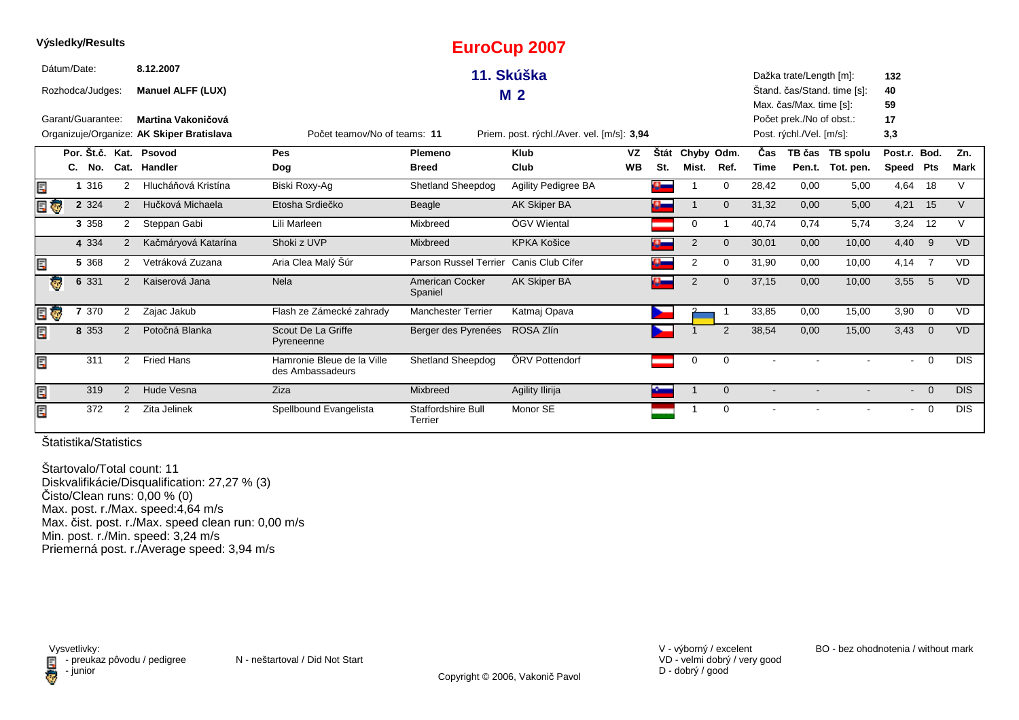|     | vysieaky/Results  |                |                                           |                                                |                                      | <b>EuroCup 2007</b>                        |           |          |                |                |             |                          |                             |                |                |             |
|-----|-------------------|----------------|-------------------------------------------|------------------------------------------------|--------------------------------------|--------------------------------------------|-----------|----------|----------------|----------------|-------------|--------------------------|-----------------------------|----------------|----------------|-------------|
|     | Dátum/Date:       |                | 8.12.2007                                 |                                                |                                      | 11. Skúška                                 |           |          |                |                |             | Dažka trate/Length [m]:  |                             | 132            |                |             |
|     | Rozhodca/Judges:  |                | <b>Manuel ALFF (LUX)</b>                  |                                                |                                      | M <sub>2</sub>                             |           |          |                |                |             |                          | Stand. čas/Stand. time [s]: | 40             |                |             |
|     |                   |                |                                           |                                                |                                      |                                            |           |          |                |                |             | Max. čas/Max. time [s]:  |                             | 59             |                |             |
|     | Garant/Guarantee: |                | Martina Vakoničová                        |                                                |                                      |                                            |           |          |                |                |             | Počet prek./No of obst.: |                             | 17             |                |             |
|     |                   |                | Organizuje/Organize: AK Skiper Bratislava | Počet teamov/No of teams: 11                   |                                      | Priem. post. rýchl./Aver. vel. [m/s]: 3,94 |           |          |                |                |             | Post. rýchl./Vel. [m/s]: |                             | 3,3            |                |             |
|     |                   |                | Por. Št.č. Kat. Psovod                    | Pes                                            | Plemeno                              | <b>Klub</b>                                | VZ        | Štát     | Chyby Odm.     |                | Čas         |                          | TB čas TB spolu             | Post.r. Bod.   |                | Zn.         |
|     | C.<br>No.         |                | Cat. Handler                              | Dog                                            | <b>Breed</b>                         | Club                                       | <b>WB</b> | St.      | Mist.          | Ref.           | <b>Time</b> |                          | Pen.t. Tot. pen.            | Speed Pts      |                | <b>Mark</b> |
| E   | 1 316             | 2              | Hlucháňová Kristína                       | Biski Roxy-Ag                                  | <b>Shetland Sheepdog</b>             | Agility Pedigree BA                        |           |          |                | $\mathbf 0$    | 28,42       | 0,00                     | 5,00                        | 4,64           | 18             | V           |
| E Ç | 2 3 2 4           | 2              | Hučková Michaela                          | Etosha Srdiečko                                | Beagle                               | <b>AK Skiper BA</b>                        |           | $\alpha$ |                | $\Omega$       | 31,32       | 0,00                     | 5,00                        | 4,21           | 15             | V           |
|     | 3 3 5 8           | 2              | Steppan Gabi                              | Lili Marleen                                   | Mixbreed                             | ÖGV Wiental                                |           |          | 0              |                | 40,74       | 0,74                     | 5,74                        | 3,24           | 12             | $\vee$      |
|     | 4 3 3 4           | 2              | Kačmáryová Katarína                       | Shoki z UVP                                    | <b>Mixbreed</b>                      | <b>KPKA Košice</b>                         |           |          | 2              | $\Omega$       | 30,01       | 0,00                     | 10,00                       | 4,40           | 9              | <b>VD</b>   |
| Ę   | 5 3 6 8           | 2              | Vetráková Zuzana                          | Aria Clea Malý Šúr                             | Parson Russel Terrier                | Canis Club Cífer                           |           |          | 2              | $\Omega$       | 31,90       | 0,00                     | 10,00                       | 4,14           | $\overline{7}$ | <b>VD</b>   |
|     | 6 3 3 1<br>Ģ      | 2              | Kaiserová Jana                            | <b>Nela</b>                                    | American Cocker<br>Spaniel           | AK Skiper BA                               |           | o.       | $\overline{2}$ | $\overline{0}$ | 37,15       | 0,00                     | 10,00                       | 3,55           | $-5$           | <b>VD</b>   |
| e o | 7 370             | $\overline{2}$ | Zajac Jakub                               | Flash ze Zámecké zahrady                       | <b>Manchester Terrier</b>            | Katmaj Opava                               |           |          |                |                | 33,85       | 0,00                     | 15,00                       | 3,90           | $\overline{0}$ | VD          |
| Ę   | 8 3 5 3           | 2              | Potočná Blanka                            | Scout De La Griffe<br>Pyreneenne               | Berger des Pyrenées                  | ROSA Zlín                                  |           |          |                | $\overline{2}$ | 38,54       | 0,00                     | 15,00                       | 3,43           | $\overline{0}$ | <b>VD</b>   |
| Ē.  | 311               | $\overline{2}$ | <b>Fried Hans</b>                         | Hamronie Bleue de la Ville<br>des Ambassadeurs | <b>Shetland Sheepdog</b>             | ÖRV Pottendorf                             |           |          | 0              | 0              |             |                          |                             | $\sim$         | $\mathbf 0$    | <b>DIS</b>  |
| E   | 319               | 2              | Hude Vesna                                | Ziza                                           | Mixbreed                             | Agility Ilirija                            |           |          |                | $\mathbf 0$    |             |                          |                             | $\sim$         | $\overline{0}$ | <b>DIS</b>  |
| E   | 372               | 2              | Zita Jelinek                              | Spellbound Evangelista                         | <b>Staffordshire Bull</b><br>Terrier | Monor SE                                   |           |          |                | $\mathbf 0$    |             |                          |                             | $\blacksquare$ | $\overline{0}$ | <b>DIS</b>  |

**Výsledky/Results**

Štartovalo/Total count: 11 Diskvalifikácie/Disqualification: 27,27 % (3) Čisto/Clean runs: 0,00 % (0) Max. post. r./Max. speed:4,64 m/s Max. čist. post. r./Max. speed clean run: 0,00 m/sMin. post. r./Min. speed: 3,24 m/s Priemerná post. r./Average speed: 3,94 m/s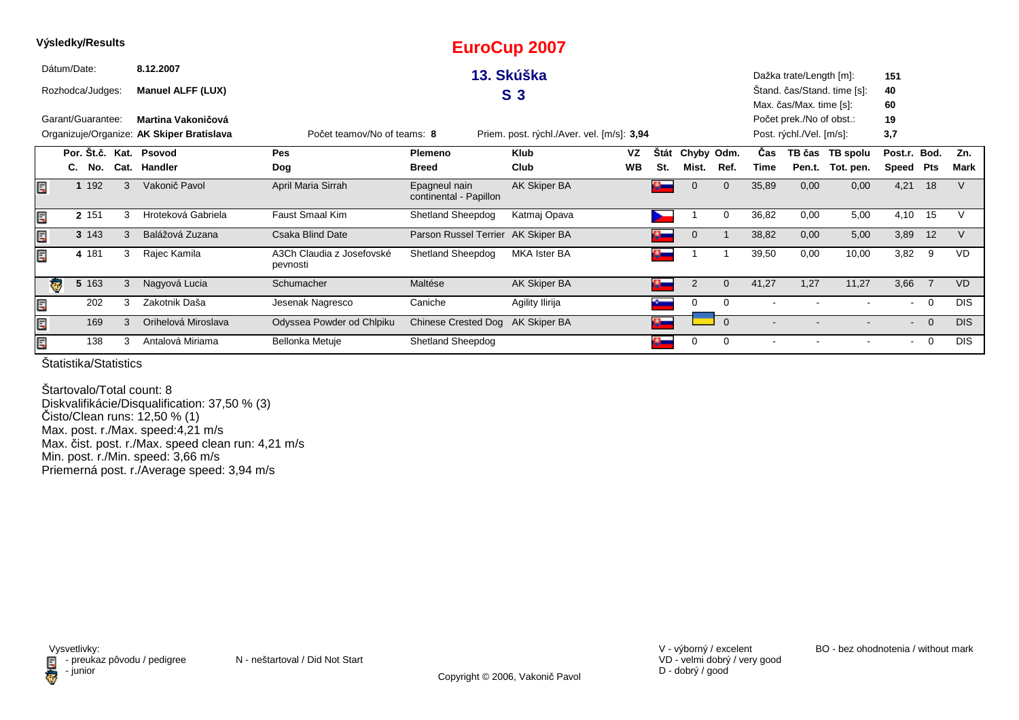|   |             |    | Výsledky/Results  |   |                                           |                                       |                                         | <b>EuroCup 2007</b>                        |           |              |                |              |       |                          |                             |                |                |            |
|---|-------------|----|-------------------|---|-------------------------------------------|---------------------------------------|-----------------------------------------|--------------------------------------------|-----------|--------------|----------------|--------------|-------|--------------------------|-----------------------------|----------------|----------------|------------|
|   | Dátum/Date: |    |                   |   | 8.12.2007                                 |                                       |                                         | 13. Skúška                                 |           |              |                |              |       | Dažka trate/Length [m]:  |                             | 151            |                |            |
|   |             |    | Rozhodca/Judges:  |   | <b>Manuel ALFF (LUX)</b>                  |                                       |                                         | S <sub>3</sub>                             |           |              |                |              |       |                          | Štand. čas/Stand. time [s]: | 40             |                |            |
|   |             |    |                   |   |                                           |                                       |                                         |                                            |           |              |                |              |       | Max. čas/Max. time [s]:  |                             | 60             |                |            |
|   |             |    | Garant/Guarantee: |   | Martina Vakoničová                        |                                       |                                         |                                            |           |              |                |              |       | Počet prek./No of obst.: |                             | 19             |                |            |
|   |             |    |                   |   | Organizuje/Organize: AK Skiper Bratislava | Počet teamov/No of teams: 8           |                                         | Priem. post. rýchl./Aver. vel. [m/s]: 3,94 |           |              |                |              |       | Post. rýchl./Vel. [m/s]: |                             | 3,7            |                |            |
|   |             |    |                   |   | Por. Št.č. Kat. Psovod                    | Pes                                   | <b>Plemeno</b>                          | Klub                                       | VZ        | <b>Stát</b>  | Chyby Odm.     |              | Cas   |                          | TB čas TB spolu             | Post.r. Bod.   |                | Zn.        |
|   |             | C. | No.               |   | Cat. Handler                              | Dog                                   | <b>Breed</b>                            | Club                                       | <b>WB</b> | St.          | Mist.          | Ref.         | Time  | Pen.t.                   | Tot. pen.                   | Speed Pts      |                | Mark       |
| E |             |    | 1 192             | 3 | Vakonič Pavol                             | April Maria Sirrah                    | Epagneul nain<br>continental - Papillon | AK Skiper BA                               |           | o.           | 0              | $\mathbf 0$  | 35,89 | 0,00                     | 0,00                        | 4,21           | 18             |            |
| E |             |    | 2 151             | 3 | Hroteková Gabriela                        | Faust Smaal Kim                       | Shetland Sheepdog                       | Katmaj Opava                               |           |              |                | 0            | 36,82 | 0,00                     | 5,00                        | 4,10           | 15             |            |
| E |             |    | 3 143             | 3 | Balážová Zuzana                           | <b>Csaka Blind Date</b>               | Parson Russel Terrier AK Skiper BA      |                                            |           |              | $\Omega$       |              | 38,82 | 0,00                     | 5,00                        | 3,89           | 12             |            |
|   |             |    | 4 181             | 3 | Rajec Kamila                              | A3Ch Claudia z Josefovské<br>pevnosti | Shetland Sheepdog                       | <b>MKA Ister BA</b>                        |           | $\mathbf{C}$ |                |              | 39,50 | 0,00                     | 10,00                       | 3,82           | - 9            | <b>VD</b>  |
|   | $\bullet$   |    | 5 163             | 3 | Nagyová Lucia                             | Schumacher                            | Maltése                                 | AK Skiper BA                               |           | ą            | $\overline{2}$ | $\mathbf{0}$ | 41,27 | 1,27                     | 11,27                       | 3,66           | $\overline{7}$ | <b>VD</b>  |
| E |             |    | 202               | 3 | Zakotnik Daša                             | Jesenak Nagresco                      | Caniche                                 | Agility Ilirija                            |           |              | 0              | 0            |       |                          |                             | $\sim$         | $\overline{0}$ | <b>DIS</b> |
| E |             |    | 169               | 3 | Orihelová Miroslava                       | Odyssea Powder od Chlpiku             | Chinese Crested Dog AK Skiper BA        |                                            |           | $\alpha$     |                | $\Omega$     |       |                          |                             | $\blacksquare$ | $\overline{0}$ | <b>DIS</b> |
| E |             |    | 138               | 3 | Antalová Miriama                          | Bellonka Metuje                       | <b>Shetland Sheepdog</b>                |                                            |           |              | $\Omega$       | 0            |       |                          |                             | $\sim$         | $\overline{0}$ | <b>DIS</b> |

Štartovalo/Total count: 8 Diskvalifikácie/Disqualification: 37,50 % (3) Čisto/Clean runs: 12,50 % (1) Max. post. r./Max. speed:4,21 m/s Max. čist. post. r./Max. speed clean run: 4,21 m/sMin. post. r./Min. speed: 3,66 m/s Priemerná post. r./Average speed: 3,94 m/s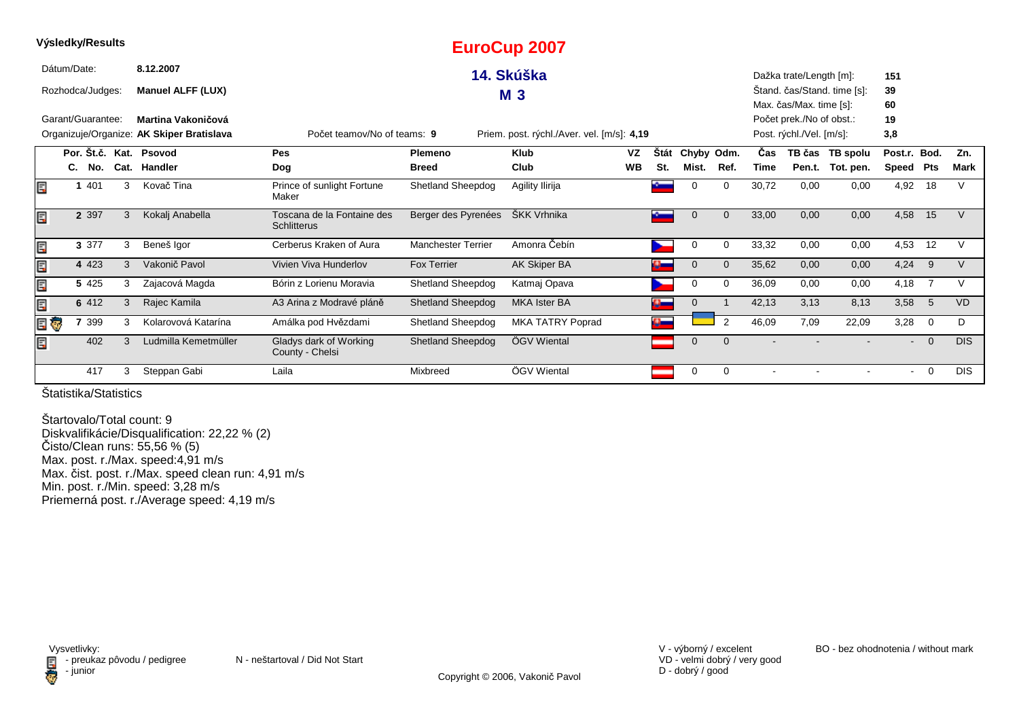| Výsledky/Results  |   |                                           |                                                  |                           | <b>EuroCup 2007</b>                        |           |             |              |                |            |                          |                             |              |                |             |
|-------------------|---|-------------------------------------------|--------------------------------------------------|---------------------------|--------------------------------------------|-----------|-------------|--------------|----------------|------------|--------------------------|-----------------------------|--------------|----------------|-------------|
| Dátum/Date:       |   | 8.12.2007                                 |                                                  |                           | 14. Skúška                                 |           |             |              |                |            | Dažka trate/Length [m]:  |                             | 151          |                |             |
| Rozhodca/Judges:  |   | <b>Manuel ALFF (LUX)</b>                  |                                                  |                           | <b>M3</b>                                  |           |             |              |                |            |                          | Stand. čas/Stand. time [s]: | 39           |                |             |
|                   |   |                                           |                                                  |                           |                                            |           |             |              |                |            | Max. čas/Max. time [s]:  |                             | 60           |                |             |
| Garant/Guarantee: |   | Martina Vakoničová                        |                                                  |                           |                                            |           |             |              |                |            | Počet prek./No of obst.: |                             | 19           |                |             |
|                   |   | Organizuje/Organize: AK Skiper Bratislava | Počet teamov/No of teams: 9                      |                           | Priem. post. rýchl./Aver. vel. [m/s]: 4,19 |           |             |              |                |            | Post. rýchl./Vel. [m/s]: |                             | 3,8          |                |             |
|                   |   | Por. Št.č. Kat. Psovod                    | Pes                                              | Plemeno                   | <b>Klub</b>                                | VZ        | <b>Stát</b> | Chyby Odm.   |                | <b>Čas</b> | TB čas                   | TB spolu                    | Post.r. Bod. |                | Zn.         |
| C.<br>No.         |   | Cat. Handler                              | Dog                                              | <b>Breed</b>              | Club                                       | <b>WB</b> | St.         | Mist.        | Ref.           | Time       | Pen.t.                   | Tot. pen.                   | Speed        | Pts            | <b>Mark</b> |
| 401<br>E          | 3 | Kovač Tina                                | Prince of sunlight Fortune<br>Maker              | Shetland Sheepdog         | Agility Ilirija                            |           |             | $\Omega$     | $\Omega$       | 30,72      | 0,00                     | 0,00                        | 4,92         | 18             |             |
| E<br>2 3 9 7      | 3 | Kokalj Anabella                           | Toscana de la Fontaine des<br><b>Schlitterus</b> | Berger des Pyrenées       | ŠKK Vrhnika                                |           |             | $\Omega$     | $\mathbf{0}$   | 33,00      | 0,00                     | 0,00                        | 4,58         | 15             | V           |
| E<br>3 3 7 7      | 3 | Beneš Igor                                | Cerberus Kraken of Aura                          | <b>Manchester Terrier</b> | Amonra Čebín                               |           |             | 0            | $\Omega$       | 33,32      | 0,00                     | 0,00                        | 4,53         | 12             |             |
| Ë,<br>4 4 2 3     | 3 | Vakonič Pavol                             | Vivien Viva Hunderlov                            | <b>Fox Terrier</b>        | AK Skiper BA                               |           |             | $\mathbf 0$  | $\Omega$       | 35,62      | 0,00                     | 0,00                        | 4,24         | 9              | V           |
| Ę<br>5 4 2 5      | 3 | Zajacová Magda                            | Bórin z Lorienu Moravia                          | <b>Shetland Sheepdog</b>  | Katmaj Opava                               |           |             | 0            | $\Omega$       | 36,09      | 0,00                     | 0,00                        | 4,18         | -7             | V           |
| Ę<br>6 412        | 3 | Rajec Kamila                              | A3 Arina z Modravé pláně                         | <b>Shetland Sheepdog</b>  | <b>MKA Ister BA</b>                        |           | $\alpha_-$  | $\mathbf{0}$ |                | 42,13      | 3,13                     | 8,13                        | 3,58         | 5              | <b>VD</b>   |
| EU<br>' 399       | 3 | Kolarovová Katarína                       | Amálka pod Hvězdami                              | Shetland Sheepdog         | MKA TATRY Poprad                           |           |             |              | $\overline{2}$ | 46,09      | 7,09                     | 22,09                       | 3,28         | $\overline{0}$ | D           |
| E.<br>402         | 3 | Ludmilla Kemetmüller                      | Gladys dark of Working<br>County - Chelsi        | <b>Shetland Sheepdog</b>  | ÖGV Wiental                                |           |             | $\mathbf 0$  | $\mathbf{0}$   |            |                          |                             | $\sim$       | $\overline{0}$ | <b>DIS</b>  |
| 417               | 3 | Steppan Gabi                              | Laila                                            | Mixbreed                  | ÖGV Wiental                                |           |             | 0            | 0              |            |                          |                             | $\sim$       | 0              | <b>DIS</b>  |

Štartovalo/Total count: 9 Diskvalifikácie/Disqualification: 22,22 % (2) Čisto/Clean runs: 55,56 % (5) Max. post. r./Max. speed:4,91 m/s Max. čist. post. r./Max. speed clean run: 4,91 m/sMin. post. r./Min. speed: 3,28 m/s Priemerná post. r./Average speed: 4,19 m/s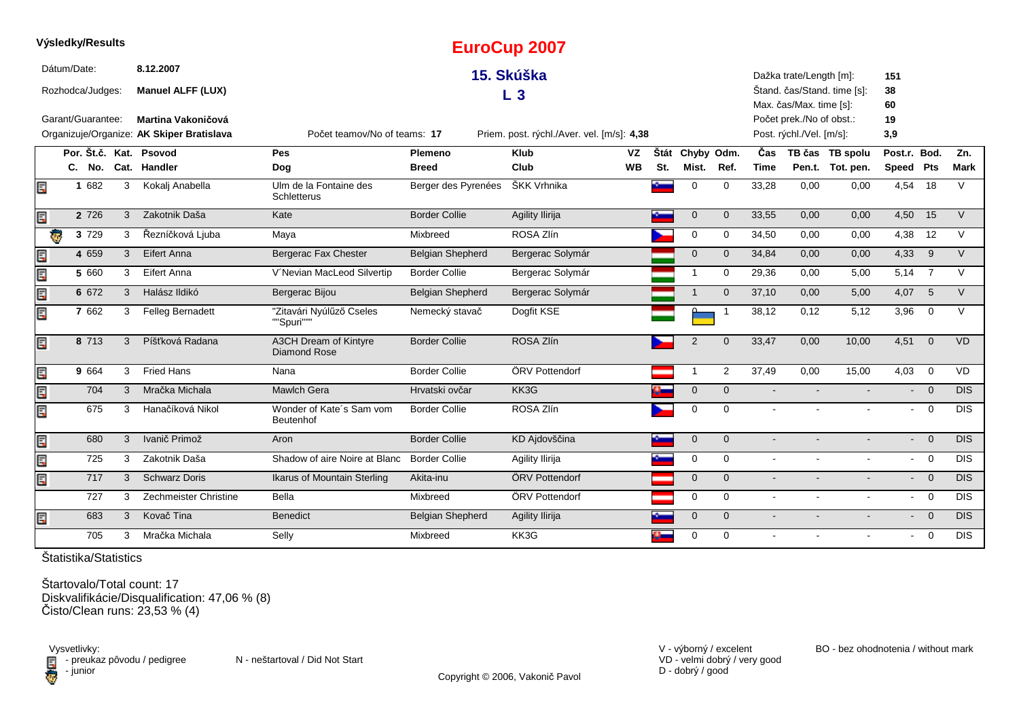|   | <b>vysiegky/Results</b> |   |                                           |                                        |                         | <b>EuroCup 2007</b>                        |           |     |                     |                         |                |                          |                             |                |                |             |
|---|-------------------------|---|-------------------------------------------|----------------------------------------|-------------------------|--------------------------------------------|-----------|-----|---------------------|-------------------------|----------------|--------------------------|-----------------------------|----------------|----------------|-------------|
|   | Dátum/Date:             |   | 8.12.2007                                 |                                        |                         | 15. Skúška                                 |           |     |                     |                         |                | Dažka trate/Length [m]:  |                             | 151            |                |             |
|   | Rozhodca/Judges:        |   | <b>Manuel ALFF (LUX)</b>                  |                                        |                         | L <sub>3</sub>                             |           |     |                     |                         |                |                          | Štand. čas/Stand. time [s]: | 38             |                |             |
|   |                         |   |                                           |                                        |                         |                                            |           |     |                     |                         |                | Max. čas/Max. time [s]:  |                             | 60             |                |             |
|   | Garant/Guarantee:       |   | Martina Vakoničová                        |                                        |                         |                                            |           |     |                     |                         |                | Počet prek./No of obst.: |                             | 19             |                |             |
|   |                         |   | Organizuje/Organize: AK Skiper Bratislava | Počet teamov/No of teams: 17           |                         | Priem. post. rýchl./Aver. vel. [m/s]: 4,38 |           |     |                     |                         |                | Post. rýchl./Vel. [m/s]: |                             | 3,9            |                |             |
|   | Por. Št.č. Kat. Psovod  |   |                                           | Pes                                    | <b>Plemeno</b>          | <b>Klub</b>                                | VZ        |     | Štát Chyby Odm.     |                         | Čas            |                          | TB čas TB spolu             | Post.r. Bod.   |                | Zn.         |
|   | C. No.                  |   | Cat. Handler                              | Dog                                    | <b>Breed</b>            | Club                                       | <b>WB</b> | St. | Mist.               | Ref.                    | <b>Time</b>    |                          | Pen.t. Tot. pen.            | Speed Pts      |                | <b>Mark</b> |
| Ę | 1 682                   | 3 | Kokalj Anabella                           | Ulm de la Fontaine des<br>Schletterus  | Berger des Pyrenées     | ŠKK Vrhnika                                |           |     | $\mathbf 0$         | $\mathbf 0$             | 33,28          | 0,00                     | 0,00                        | 4,54 18        |                | $\vee$      |
| Ę | 2 7 2 6                 | 3 | Zakotnik Daša                             | Kate                                   | <b>Border Collie</b>    | Agility Ilirija                            |           |     | $\mathsf{O}\xspace$ | $\mathbf{0}$            | 33,55          | 0,00                     | 0,00                        | 4,50           | 15             | $\vee$      |
|   | ę,<br>3 7 2 9           | 3 | Řezníčková Ljuba                          | Maya                                   | Mixbreed                | ROSA Zlín                                  |           |     | $\mathbf 0$         | 0                       | 34,50          | 0,00                     | 0,00                        | 4,38           | 12             | $\vee$      |
| Ę | 4 6 5 9                 | 3 | Eifert Anna                               | Bergerac Fax Chester                   | Belgian Shepherd        | Bergerac Solymár                           |           |     | $\mathbf 0$         | $\mathbf 0$             | 34,84          | 0,00                     | 0,00                        | 4,33           | - 9            | $\vee$      |
| Ę | 5 660                   | 3 | Eifert Anna                               | V'Nevian MacLeod Silvertip             | <b>Border Collie</b>    | Bergerac Solymár                           |           |     | $\mathbf{1}$        | $\mathbf 0$             | 29,36          | 0,00                     | 5,00                        | 5,14 7         |                | $\vee$      |
| Ę | 6 672                   | 3 | Halász Ildikó                             | Bergerac Bijou                         | <b>Belgian Shepherd</b> | Bergerac Solymár                           |           |     | $\overline{1}$      | $\Omega$                | 37,10          | 0,00                     | 5,00                        | 4,07           | $5^{\circ}$    | $\vee$      |
| Ę | 7 662                   | 3 | Felleg Bernadett                          | "Zitavári Nyúlűző Cseles<br>""Spuri""" | Nemecký stavač          | Dogfit KSE                                 |           |     |                     | $\overline{\mathbf{1}}$ | 38,12          | 0,12                     | 5,12                        | 3,96           | $\overline{0}$ | $\vee$      |
| Ę | 8 713                   | 3 | Píšťková Radana                           | A3CH Dream of Kintyre<br>Diamond Rose  | <b>Border Collie</b>    | ROSA Zlín                                  |           |     | $\overline{2}$      | $\mathbf{0}$            | 33,47          | 0,00                     | 10,00                       | $4,51$ 0       |                | <b>VD</b>   |
| Ę | 9 664                   | 3 | <b>Fried Hans</b>                         | Nana                                   | <b>Border Collie</b>    | ÖRV Pottendorf                             |           |     | $\mathbf{1}$        | 2                       | 37,49          | 0,00                     | 15,00                       | 4,03           | $\overline{0}$ | <b>VD</b>   |
| Ę | 704                     | 3 | Mračka Michala                            | <b>Mawlch Gera</b>                     | Hrvatski ovčar          | KK3G                                       |           |     | $\mathbf 0$         | $\mathbf{0}$            |                |                          |                             | $\blacksquare$ | $\overline{0}$ | DIS         |
| Ę | 675                     | 3 | Hanačíková Nikol                          | Wonder of Kate's Sam vom<br>Beutenhof  | <b>Border Collie</b>    | ROSA Zlín                                  |           |     | $\mathsf{O}\xspace$ | $\mathbf 0$             |                |                          |                             | $\blacksquare$ | $\overline{0}$ | DIS         |
| Ę | 680                     | 3 | Ivanič Primož                             | Aron                                   | <b>Border Collie</b>    | KD Ajdovščina                              |           | ۰   | $\mathbf 0$         | $\mathbf{0}$            |                |                          |                             | $\sim$         | $\overline{0}$ | <b>DIS</b>  |
| Ę | 725                     | 3 | Zakotnik Daša                             | Shadow of aire Noire at Blanc          | <b>Border Collie</b>    | Agility Ilirija                            |           |     | $\mathbf 0$         | $\mathbf 0$             | $\sim$         |                          |                             | $\sim$         | $\overline{0}$ | <b>DIS</b>  |
| Ę | 717                     | 3 | <b>Schwarz Doris</b>                      | Ikarus of Mountain Sterling            | Akita-inu               | ÖRV Pottendorf                             |           |     | $\mathbf{0}$        | $\mathbf{0}$            | $\blacksquare$ |                          |                             |                | $- 0$          | <b>DIS</b>  |
|   | 727                     | 3 | Zechmeister Christine                     | Bella                                  | Mixbreed                | ÖRV Pottendorf                             |           |     | $\mathbf 0$         | $\mathbf{0}$            | $\blacksquare$ | $\sim$                   | $\blacksquare$              |                | $- 0$          | <b>DIS</b>  |
| Ę | 683                     | 3 | Kovač Tina                                | <b>Benedict</b>                        | Belgian Shepherd        | Agility Ilirija                            |           |     | $\mathbf 0$         | $\mathbf{0}$            | $\blacksquare$ |                          |                             | $\blacksquare$ | $\overline{0}$ | <b>DIS</b>  |
|   | 705                     | 3 | Mračka Michala                            | Selly                                  | Mixbreed                | KK3G                                       |           |     | $\mathbf 0$         | $\mathbf 0$             |                |                          |                             | $\blacksquare$ | $\overline{0}$ | DIS         |

**Výsledky/Results**

Štartovalo/Total count: 17Diskvalifikácie/Disqualification: 47,06 % (8) Čisto/Clean runs: 23,53 % (4)

Vysvetlivky:<br>⊟ - preukaz pôvodu / pedigree N - neštartoval / Did Not Start **D** - junior

VD - velmi dobrý / very good D - dobrý / good

V - výborný / excelent BO - bez ohodnotenia / without mark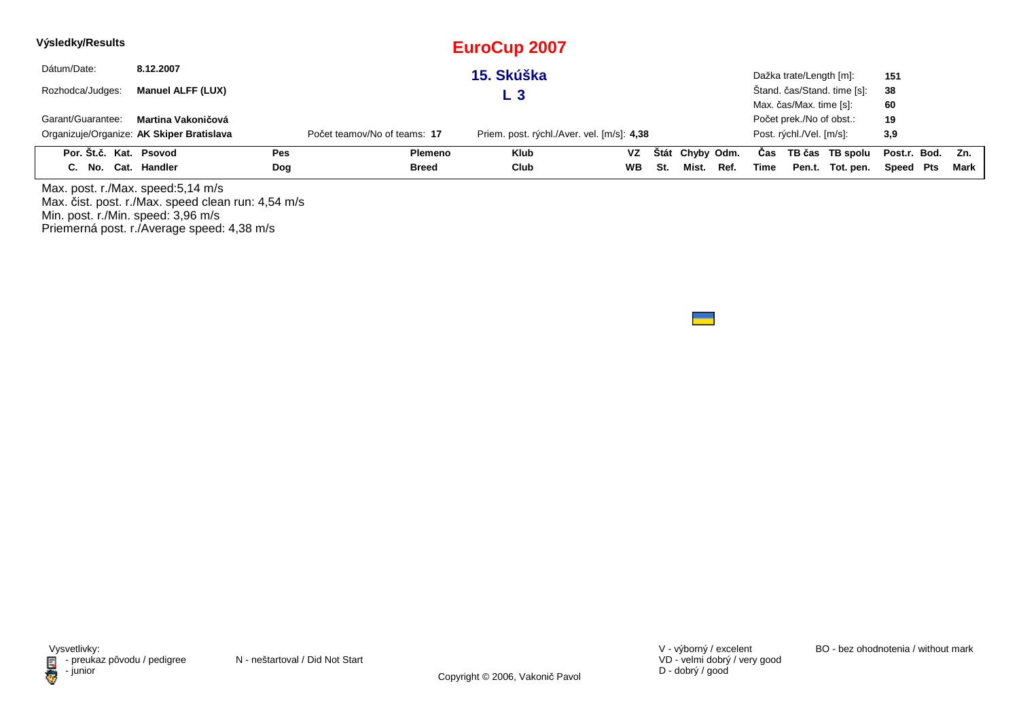| Výsledky/Results       |                                           |            |                              | <b>EuroCup 2007</b>                        |           |     |                 |      |      |                          |                             |                  |        |
|------------------------|-------------------------------------------|------------|------------------------------|--------------------------------------------|-----------|-----|-----------------|------|------|--------------------------|-----------------------------|------------------|--------|
| Dátum/Date:            | 8.12.2007                                 |            |                              | 15. Skúška                                 |           |     |                 |      |      | Dažka trate/Length [m]:  |                             | 151              |        |
| Rozhodca/Judges:       | Manuel ALFF (LUX)                         |            |                              | L 3                                        |           |     |                 |      |      |                          | Štand. čas/Stand. time [s]: | 38               |        |
|                        |                                           |            |                              |                                            |           |     |                 |      |      | Max. čas/Max. time [s]:  |                             | 60               |        |
| Garant/Guarantee:      | Martina Vakoničová                        |            |                              |                                            |           |     |                 |      |      | Počet prek./No of obst.: |                             | 19               |        |
|                        | Organizuje/Organize: AK Skiper Bratislava |            | Počet teamov/No of teams: 17 | Priem. post. rýchl./Aver. vel. [m/s]: 4,38 |           |     |                 |      |      | Post. rýchl./Vel. [m/s]: |                             | 3,9              |        |
| Por. Št.č. Kat. Psovod |                                           | Pes        | Plemeno                      | <b>Klub</b>                                | VZ        |     | Štát Chyby Odm. |      | Cas  |                          | TB čas TB spolu             | Post.r. Bod. Zn. |        |
| C. No. Cat. Handler    |                                           | <b>Dog</b> | Breed                        | Club                                       | <b>WB</b> | St. | Mist.           | Ref. | Time |                          | Pen.t. Tot. pen.            | Speed Pts        | Mark I |

Max. post. r./Max. speed:5,14 m/s Max. čist. post. r./Max. speed clean run: 4,54 m/s Min. post. r./Min. speed: 3,96 m/s Priemerná post. r./Average speed: 4,38 m/s

VD - velmi dobrý / very good D - dobrý / good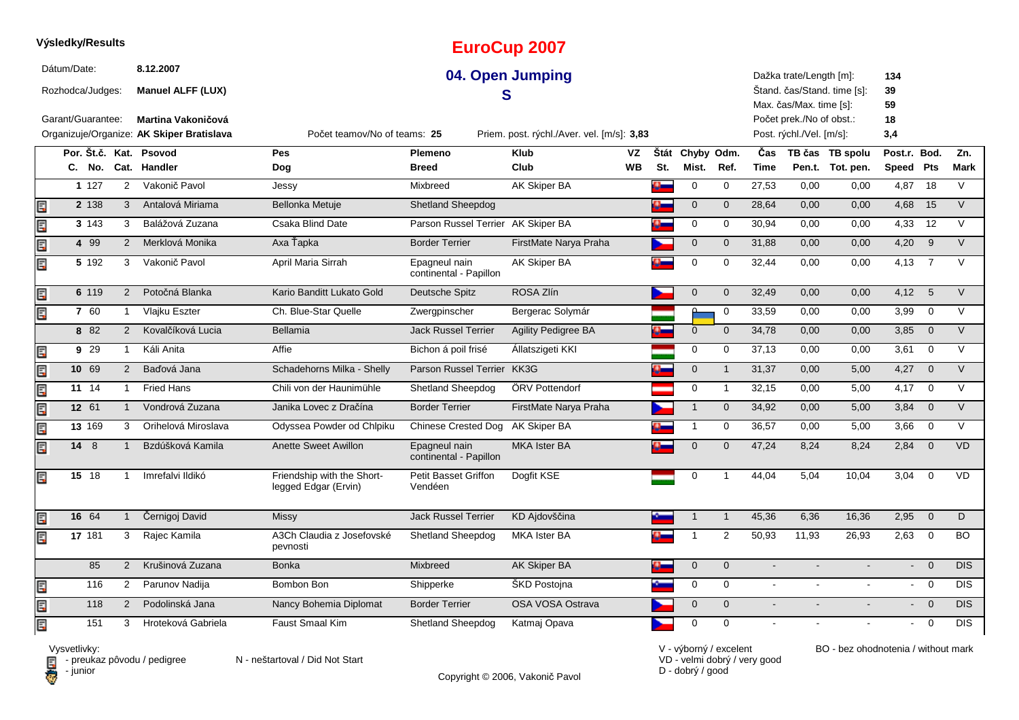|      | Výsledky/Results  |         |     |                |                                           |                                                    |                                         | <b>EuroCup 2007</b>                        |           |                |                 |                |                |                          |                             |                           |                 |                |
|------|-------------------|---------|-----|----------------|-------------------------------------------|----------------------------------------------------|-----------------------------------------|--------------------------------------------|-----------|----------------|-----------------|----------------|----------------|--------------------------|-----------------------------|---------------------------|-----------------|----------------|
|      | Dátum/Date:       |         |     |                | 8.12.2007                                 |                                                    |                                         | 04. Open Jumping                           |           |                |                 |                |                | Dažka trate/Length [m]:  |                             | 134                       |                 |                |
|      | Rozhodca/Judges:  |         |     |                | <b>Manuel ALFF (LUX)</b>                  |                                                    | S                                       |                                            |           |                |                 |                |                | Max. čas/Max. time [s]:  | Štand. čas/Stand. time [s]: | 39<br>59                  |                 |                |
|      | Garant/Guarantee: |         |     |                | Martina Vakoničová                        |                                                    |                                         |                                            |           |                |                 |                |                | Počet prek./No of obst.: |                             | 18                        |                 |                |
|      |                   |         |     |                | Organizuje/Organize: AK Skiper Bratislava | Počet teamov/No of teams: 25                       |                                         | Priem. post. rýchl./Aver. vel. [m/s]: 3,83 |           |                |                 |                |                | Post. rýchl./Vel. [m/s]: |                             | 3,4                       |                 |                |
|      |                   |         |     |                | Por. Št.č. Kat. Psovod                    | <b>Pes</b>                                         | Plemeno                                 | <b>Klub</b>                                | <b>VZ</b> |                | Štát Chyby Odm. |                | Čas            |                          | TB čas TB spolu             | Post.r. Bod.              |                 | Zn.            |
|      |                   |         |     |                | C. No. Cat. Handler                       | Dog                                                | <b>Breed</b>                            | Club                                       | WB        | St.            | Mist.           | Ref.           | <b>Time</b>    |                          | Pen.t. Tot. pen.            | Speed                     | Pts             | <b>Mark</b>    |
|      |                   | 1 1 2 7 |     | 2              | Vakonič Pavol                             | Jessy                                              | Mixbreed                                | AK Skiper BA                               |           | Q.             | $\mathsf 0$     | 0              | 27,53          | 0,00                     | 0,00                        | 4,87                      | $\overline{18}$ | $\vee$         |
| E    |                   | 2 138   |     | $\mathbf{3}$   | Antalová Miriama                          | Bellonka Metuje                                    | <b>Shetland Sheepdog</b>                |                                            |           | o-             | $\mathbf 0$     | $\mathbf 0$    | 28,64          | 0,00                     | 0,00                        | 4,68                      | 15              | $\vee$         |
| E    |                   | 3 143   |     | 3              | Balážová Zuzana                           | Csaka Blind Date                                   | Parson Russel Terrier AK Skiper BA      |                                            |           | $\alpha$       | $\mathbf 0$     | $\mathbf 0$    | 30,94          | 0,00                     | 0,00                        | 4,33                      | 12              | $\vee$         |
| lin" |                   | 4 9 9   |     | 2              | Merklová Monika                           | Axa Ťapka                                          | <b>Border Terrier</b>                   | FirstMate Narya Praha                      |           |                | $\mathbf 0$     | $\mathbf{0}$   | 31,88          | 0,00                     | 0,00                        | 4,20                      | 9               | $\overline{V}$ |
| Ę    |                   | 5 192   |     | 3              | Vakonič Pavol                             | April Maria Sirrah                                 | Epagneul nain<br>continental - Papillon | AK Skiper BA                               |           |                | $\mathbf 0$     | $\mathbf 0$    | 32,44          | 0,00                     | 0,00                        | 4.13                      | $\overline{7}$  | $\vee$         |
| E    |                   | 6 119   |     | 2              | Potočná Blanka                            | Kario Banditt Lukato Gold                          | Deutsche Spitz                          | ROSA Zlín                                  |           |                | $\mathbf 0$     | $\mathbf{0}$   | 32,49          | 0,00                     | 0,00                        | 4,12                      | 5               | $\vee$         |
| Er   |                   | 7 60    |     | -1             | Vlajku Eszter                             | Ch. Blue-Star Quelle                               | Zwergpinscher                           | Bergerac Solymár                           |           |                | Δ               | $\mathbf 0$    | 33,59          | 0,00                     | 0,00                        | 3,99                      | $\Omega$        | $\vee$         |
|      |                   | 8 82    |     | 2              | Kovalčíková Lucia                         | Bellamia                                           | <b>Jack Russel Terrier</b>              | <b>Agility Pedigree BA</b>                 |           | $\bullet$      | $\mathbf 0$     | $\mathbf{0}$   | 34,78          | 0.00                     | 0,00                        | 3,85                      | $\overline{0}$  | $\vee$         |
| E    |                   | 9 29    |     | $\mathbf{1}$   | Káli Anita                                | Affie                                              | Bichon á poil frisé                     | Allatszigeti KKI                           |           |                | 0               | $\mathbf 0$    | 37,13          | 0,00                     | 0,00                        | 3,61                      | $\overline{0}$  | $\vee$         |
| E    |                   | 10 69   |     | 2              | Baďová Jana                               | Schadehorns Milka - Shelly                         | Parson Russel Terrier KK3G              |                                            |           | $\overline{a}$ | $\mathbf 0$     | $\overline{1}$ | 31,37          | 0,00                     | 5,00                        | 4,27                      | $\overline{0}$  | $\vee$         |
| Ę    |                   | 11 14   |     | $\overline{1}$ | <b>Fried Hans</b>                         | Chili von der Haunimühle                           | <b>Shetland Sheepdog</b>                | ÖRV Pottendorf                             |           |                | 0               | $\overline{1}$ | 32,15          | 0,00                     | 5,00                        | 4,17                      | $\overline{0}$  | $\vee$         |
| E    |                   | 12 61   |     | $\mathbf{1}$   | Vondrová Zuzana                           | Janika Lovec z Dračína                             | <b>Border Terrier</b>                   | FirstMate Narya Praha                      |           |                | $\overline{1}$  | $\mathbf{0}$   | 34,92          | 0.00                     | 5,00                        | 3,84                      | $\overline{0}$  | $\vee$         |
| Ę    |                   | 13 169  |     | 3              | Orihelová Miroslava                       | Odyssea Powder od Chlpiku                          | <b>Chinese Crested Dog</b>              | AK Skiper BA                               |           |                | $\mathbf{1}$    | 0              | 36,57          | 0,00                     | 5,00                        | 3,66                      | $\mathbf 0$     | $\vee$         |
| E    |                   | 14 8    |     | $\mathbf{1}$   | Bzdúšková Kamila                          | Anette Sweet Awillon                               | Epagneul nain<br>continental - Papillon | <b>MKA Ister BA</b>                        |           |                | $\mathbf 0$     | $\mathbf{0}$   | 47,24          | 8,24                     | 8,24                        | 2,84                      | $\overline{0}$  | <b>VD</b>      |
| EF   |                   | 15 18   |     | $\overline{1}$ | Imrefalvi Ildikó                          | Friendship with the Short-<br>legged Edgar (Ervin) | <b>Petit Basset Griffon</b><br>Vendéen  | Doafit KSE                                 |           |                | $\mathbf 0$     | $\overline{1}$ | 44.04          | 5.04                     | 10.04                       | 3.04                      | $\mathbf 0$     | <b>VD</b>      |
| li.P |                   | 16 64   |     |                | Černigoj David                            | Missy                                              | <b>Jack Russel Terrier</b>              | KD Ajdovščina                              |           |                | $\mathbf 1$     | $\overline{1}$ | 45,36          | 6,36                     | 16,36                       | 2,95                      | $\Omega$        | D              |
| E    |                   | 17 181  |     | 3              | Rajec Kamila                              | A3Ch Claudia z Josefovské<br>pevnosti              | <b>Shetland Sheepdog</b>                | <b>MKA Ister BA</b>                        |           | Đ.             | $\overline{1}$  | $\overline{2}$ | 50,93          | 11,93                    | 26,93                       | 2,63                      | $\overline{0}$  | <b>BO</b>      |
|      |                   |         | 85  | 2              | Krušinová Zuzana                          | <b>Bonka</b>                                       | Mixbreed                                | <b>AK Skiper BA</b>                        |           | o.             | $\mathbf 0$     | $\mathbf{0}$   | $\overline{a}$ |                          |                             | $\mathbb{Z}^{\mathbb{Z}}$ | $\Omega$        | <b>DIS</b>     |
| E    |                   |         | 116 | $\overline{2}$ | Parunov Nadija                            | Bombon Bon                                         | Shipperke                               | <b>SKD Postojna</b>                        |           |                | 0               | $\mathbf 0$    | $\blacksquare$ |                          |                             | $\blacksquare$            | $\overline{0}$  | DIS            |
| Œ    |                   |         | 118 | $\overline{2}$ | Podolinská Jana                           | Nancy Bohemia Diplomat                             | <b>Border Terrier</b>                   | OSA VOSA Ostrava                           |           |                | $\mathbf 0$     | $\mathbf 0$    | $\mathbf{r}$   | $\overline{a}$           | $\overline{a}$              |                           | $- 0$           | DIS            |
| Ę    |                   |         | 151 | 3              | Hroteková Gabriela                        | <b>Faust Smaal Kim</b>                             | <b>Shetland Sheepdog</b>                | Katmaj Opava                               |           |                | $\mathbf 0$     | $\Omega$       |                |                          |                             |                           | $\overline{0}$  | <b>DIS</b>     |

Vysvetlivky:<br>⊟ - preukaz pôvodu / pedigree N - neštartoval / Did Not Start **D** - junior

Copyright © 2006, Vakonič Pavol

VD - velmi dobrý / very good D - dobrý / good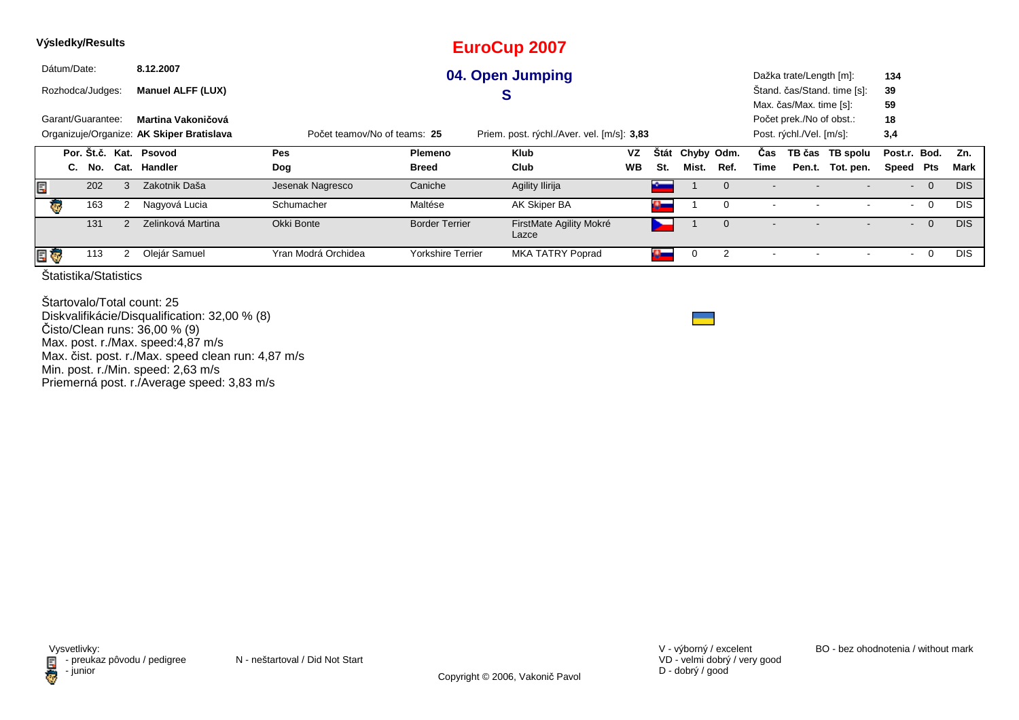| Dátum/Date:<br>8.12.2007<br>04. Open Jumping<br>Dažka trate/Length [m]:<br>134<br>Štand. čas/Stand. time [s]:<br>39<br><b>Manuel ALFF (LUX)</b><br>Rozhodca/Judges:<br>C<br>Max. čas/Max. time [s]:<br>59<br>Garant/Guarantee:<br>18<br>Martina Vakoničová<br>Počet prek./No of obst.:<br>3,4<br>Organizuje/Organize: AK Skiper Bratislava<br>Post. rýchl./Vel. [m/s]:<br>Počet teamov/No of teams: 25<br>Priem. post. rýchl./Aver. vel. [m/s]: 3,83<br>Por. Št.č. Kat. Psovod<br>VZ<br>Chyby Odm.<br>TB čas TB spolu<br><b>Pes</b><br><b>Klub</b><br><b>Stát</b><br>Post.r. Bod.<br>Cas<br>Plemeno<br><b>WB</b><br>St.<br>Mist.<br>Cat. Handler<br>Club<br>Ref.<br>Pen.t. Tot. pen.<br>Speed Pts<br><b>Breed</b><br>Time<br>C. No.<br>Dog<br>Zakotnik Daša<br>Agility Ilirija<br>E<br>202<br>Jesenak Nagresco<br>Caniche<br>3<br>$\overline{0}$<br><b>Septime</b><br>$\Omega$<br>$\sim$<br><b>KG</b><br>163<br>Maltése<br>AK Skiper BA<br>Nagyová Lucia<br>Schumacher<br>2<br>0<br>$\overline{0}$<br>o.<br>$\sim$ | Výsledky/Results |     |               |                   |            |                       | <b>EuroCup 2007</b>     |  |  |  |  |  |                |            |
|--------------------------------------------------------------------------------------------------------------------------------------------------------------------------------------------------------------------------------------------------------------------------------------------------------------------------------------------------------------------------------------------------------------------------------------------------------------------------------------------------------------------------------------------------------------------------------------------------------------------------------------------------------------------------------------------------------------------------------------------------------------------------------------------------------------------------------------------------------------------------------------------------------------------------------------------------------------------------------------------------------------------|------------------|-----|---------------|-------------------|------------|-----------------------|-------------------------|--|--|--|--|--|----------------|------------|
|                                                                                                                                                                                                                                                                                                                                                                                                                                                                                                                                                                                                                                                                                                                                                                                                                                                                                                                                                                                                                    |                  |     |               |                   |            |                       |                         |  |  |  |  |  |                |            |
|                                                                                                                                                                                                                                                                                                                                                                                                                                                                                                                                                                                                                                                                                                                                                                                                                                                                                                                                                                                                                    |                  |     |               |                   |            |                       |                         |  |  |  |  |  |                |            |
|                                                                                                                                                                                                                                                                                                                                                                                                                                                                                                                                                                                                                                                                                                                                                                                                                                                                                                                                                                                                                    |                  |     |               |                   |            |                       |                         |  |  |  |  |  |                |            |
|                                                                                                                                                                                                                                                                                                                                                                                                                                                                                                                                                                                                                                                                                                                                                                                                                                                                                                                                                                                                                    |                  |     |               |                   |            |                       |                         |  |  |  |  |  |                |            |
|                                                                                                                                                                                                                                                                                                                                                                                                                                                                                                                                                                                                                                                                                                                                                                                                                                                                                                                                                                                                                    |                  |     |               |                   |            |                       |                         |  |  |  |  |  |                |            |
|                                                                                                                                                                                                                                                                                                                                                                                                                                                                                                                                                                                                                                                                                                                                                                                                                                                                                                                                                                                                                    |                  |     |               |                   |            |                       |                         |  |  |  |  |  |                | Zn.        |
|                                                                                                                                                                                                                                                                                                                                                                                                                                                                                                                                                                                                                                                                                                                                                                                                                                                                                                                                                                                                                    |                  |     |               |                   |            |                       |                         |  |  |  |  |  |                | Mark       |
|                                                                                                                                                                                                                                                                                                                                                                                                                                                                                                                                                                                                                                                                                                                                                                                                                                                                                                                                                                                                                    |                  |     |               |                   |            |                       |                         |  |  |  |  |  |                | <b>DIS</b> |
|                                                                                                                                                                                                                                                                                                                                                                                                                                                                                                                                                                                                                                                                                                                                                                                                                                                                                                                                                                                                                    |                  |     |               |                   |            |                       |                         |  |  |  |  |  |                | <b>DIS</b> |
| $\sim$<br>Lazce                                                                                                                                                                                                                                                                                                                                                                                                                                                                                                                                                                                                                                                                                                                                                                                                                                                                                                                                                                                                    |                  | 131 | $\mathcal{P}$ | Zelinková Martina | Okki Bonte | <b>Border Terrier</b> | FirstMate Agility Mokré |  |  |  |  |  | $\overline{0}$ | <b>DIS</b> |
| Olejár Samuel<br><b>MKA TATRY Poprad</b><br>E G<br>Yran Modrá Orchidea<br>Yorkshire Terrier<br>113<br>$\overline{2}$<br>$\overline{0}$<br>$\alpha$<br>0<br>$\blacksquare$                                                                                                                                                                                                                                                                                                                                                                                                                                                                                                                                                                                                                                                                                                                                                                                                                                          |                  |     |               |                   |            |                       |                         |  |  |  |  |  |                | <b>DIS</b> |

Štartovalo/Total count: 25 Diskvalifikácie/Disqualification: 32,00 % (8)Čisto/Clean runs: 36,00 % (9) Max. post. r./Max. speed:4,87 m/s Max. čist. post. r./Max. speed clean run: 4,87 m/sMin. post. r./Min. speed: 2,63 m/s Priemerná post. r./Average speed: 3,83 m/s

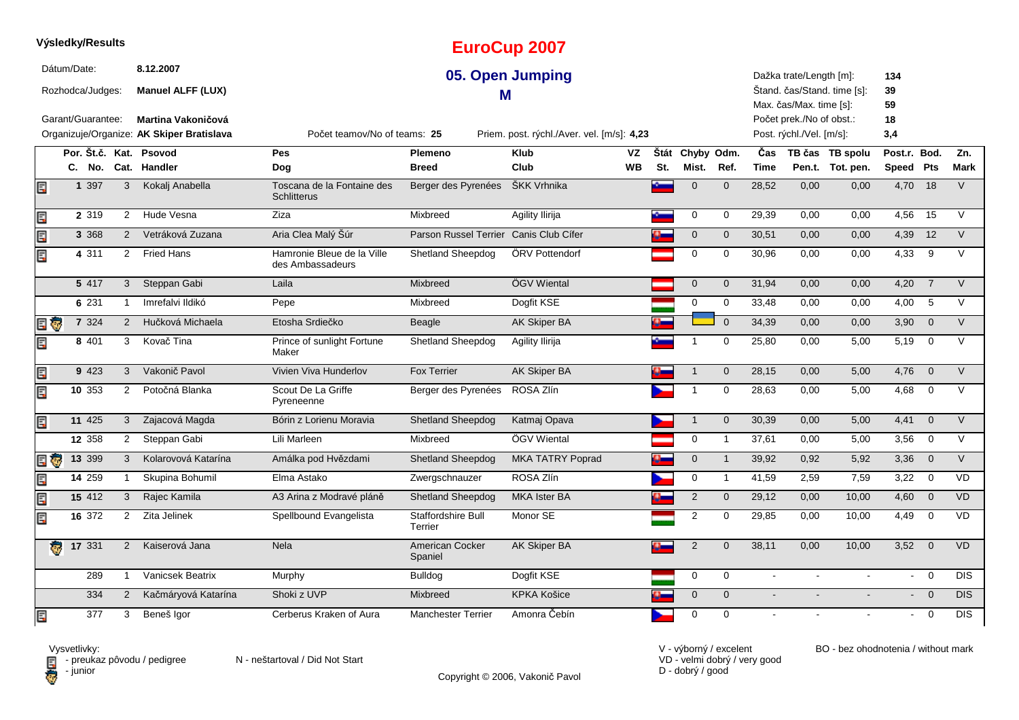|          | Výsledky/Results                |     |                |                                           |                                                  |                               | <b>EuroCup 2007</b>                        |           |     |                     |                |                |                                                    |                             |                 |                |             |
|----------|---------------------------------|-----|----------------|-------------------------------------------|--------------------------------------------------|-------------------------------|--------------------------------------------|-----------|-----|---------------------|----------------|----------------|----------------------------------------------------|-----------------------------|-----------------|----------------|-------------|
|          | Dátum/Date:<br>Rozhodca/Judges: |     |                | 8.12.2007<br><b>Manuel ALFF (LUX)</b>     |                                                  | М                             | 05. Open Jumping                           |           |     |                     |                |                | Dažka trate/Length [m]:<br>Max. čas/Max. time [s]: | Štand. čas/Stand. time [s]: | 134<br>39<br>59 |                |             |
|          | Garant/Guarantee:               |     |                | <b>Martina Vakoničová</b>                 |                                                  |                               |                                            |           |     |                     |                |                | Počet prek./No of obst.:                           |                             | 18              |                |             |
|          |                                 |     |                | Organizuje/Organize: AK Skiper Bratislava | Počet teamov/No of teams: 25                     |                               | Priem. post. rýchl./Aver. vel. [m/s]: 4,23 |           |     |                     |                |                | Post. rýchl./Vel. [m/s]:                           |                             | 3,4             |                |             |
|          | Por. Št.č. Kat.                 |     |                | Psovod                                    | Pes                                              | <b>Plemeno</b>                | <b>Klub</b>                                | VZ        |     | Štát Chyby Odm.     |                | Čas            |                                                    | TB čas TB spolu             | Post.r.         | Bod.           | Zn.         |
|          | C. No.                          |     | Cat.           | Handler                                   | Dog                                              | <b>Breed</b>                  | Club                                       | <b>WB</b> | St. | Mist.               | Ref.           | <b>Time</b>    |                                                    | Pen.t. Tot. pen.            | Speed Pts       |                | <b>Mark</b> |
| E        | 1 3 9 7                         |     | 3              | Kokalj Anabella                           | Toscana de la Fontaine des<br><b>Schlitterus</b> | Berger des Pyrenées           | ŠKK Vrhnika                                |           |     | $\mathbf 0$         | $\Omega$       | 28,52          | 0,00                                               | 0,00                        | 4,70            | 18             | $\vee$      |
| E        | 2 3 1 9                         |     | 2              | Hude Vesna                                | Ziza                                             | Mixbreed                      | Agility Ilirija                            |           |     | 0                   | 0              | 29,39          | 0,00                                               | 0,00                        | 4,56            | 15             | $\vee$      |
| Er       | 3 3 6 8                         |     | 2              | Vetráková Zuzana                          | Aria Clea Malý Šúr                               | Parson Russel Terrier         | Canis Club Cífer                           |           |     | $\mathbf 0$         | $\mathbf 0$    | 30,51          | 0,00                                               | 0,00                        | 4,39            | 12             | $\vee$      |
| Eri      | 4 311                           |     | $\overline{2}$ | <b>Fried Hans</b>                         | Hamronie Bleue de la Ville<br>des Ambassadeurs   | Shetland Sheepdog             | ÖRV Pottendorf                             |           |     | $\mathbf 0$         | 0              | 30,96          | 0,00                                               | 0,00                        | 4,33            | 9              | $\vee$      |
|          | 5 417                           |     | $\mathbf{3}$   | Steppan Gabi                              | Laila                                            | Mixbreed                      | ÖGV Wiental                                |           |     | $\mathbf 0$         | $\mathbf 0$    | 31,94          | 0,00                                               | 0,00                        | 4,20            | $\overline{7}$ | $\vee$      |
|          | 6 2 3 1                         |     | $\mathbf{1}$   | Imrefalvi Ildikó                          | Pepe                                             | Mixbreed                      | Dogfit KSE                                 |           |     | $\mathbf 0$         | 0              | 33,48          | 0,00                                               | 0,00                        | 4,00            | 5              | V           |
| E T      | 7 3 2 4                         |     | $\overline{2}$ | Hučková Michaela                          | Etosha Srdiečko                                  | Beagle                        | AK Skiper BA                               |           |     |                     | $\Omega$       | 34,39          | 0,00                                               | 0,00                        | 3,90            | $\overline{0}$ | $\vee$      |
| Er       | 8 4 0 1                         |     | 3              | Kovač Tina                                | Prince of sunlight Fortune<br>Maker              | Shetland Sheepdog             | Agility Ilirija                            |           |     |                     | 0              | 25,80          | 0,00                                               | 5,00                        | 5,19            | $\overline{0}$ | $\vee$      |
| E        | 9 4 2 3                         |     | 3              | Vakonič Pavol                             | Vivien Viva Hunderlov                            | <b>Fox Terrier</b>            | AK Skiper BA                               |           |     | $\overline{1}$      | $\mathbf 0$    | 28,15          | 0,00                                               | 5,00                        | 4,76            | $\overline{0}$ | $\vee$      |
| E        | 10 353                          |     | 2              | Potočná Blanka                            | Scout De La Griffe<br>Pyreneenne                 | Berger des Pyrenées           | ROSA Zlín                                  |           |     | $\overline{1}$      | $\mathbf 0$    | 28,63          | 0,00                                               | 5,00                        | 4,68            | $\overline{0}$ | $\vee$      |
| Ę        | 11 425                          |     | 3              | Zajacová Magda                            | Bórin z Lorienu Moravia                          | <b>Shetland Sheepdog</b>      | Katmaj Opava                               |           |     | $\overline{1}$      | $\mathbf 0$    | 30,39          | 0,00                                               | 5,00                        | 4,41            | $\overline{0}$ | $\vee$      |
|          | 12 358                          |     | 2              | Steppan Gabi                              | Lili Marleen                                     | Mixbreed                      | ÖGV Wiental                                |           |     | 0                   | $\overline{1}$ | 37,61          | 0,00                                               | 5,00                        | 3,56            | $\mathbf 0$    | $\vee$      |
| E G      | 13 399                          |     | 3              | Kolarovová Katarína                       | Amálka pod Hvězdami                              | <b>Shetland Sheepdog</b>      | <b>MKA TATRY Poprad</b>                    |           |     | $\mathsf{O}\xspace$ | $\overline{1}$ | 39,92          | 0,92                                               | 5,92                        | 3,36            | $\overline{0}$ | $\vee$      |
| E        | 14259                           |     | -1             | Skupina Bohumil                           | Elma Astako                                      | Zwergschnauzer                | ROSA Zlín                                  |           |     | $\mathbf 0$         | $\mathbf 1$    | 41,59          | 2,59                                               | 7,59                        | 3,22            | $\overline{0}$ | <b>VD</b>   |
| E        | 15 412                          |     | 3              | Rajec Kamila                              | A3 Arina z Modravé pláně                         | <b>Shetland Sheepdog</b>      | <b>MKA</b> Ister BA                        |           |     | 2                   | $\mathbf 0$    | 29,12          | 0,00                                               | 10,00                       | $4,60$ 0        |                | <b>VD</b>   |
| Ę        | 16 372                          |     | 2              | Zita Jelinek                              | Spellbound Evangelista                           | Staffordshire Bull<br>Terrier | Monor SE                                   |           |     | $\overline{c}$      | $\mathbf 0$    | 29,85          | 0,00                                               | 10,00                       | 4,49            | $\mathbf 0$    | <b>VD</b>   |
| <b>R</b> | 17 331                          |     | 2              | Kaiserová Jana                            | Nela                                             | American Cocker<br>Spaniel    | <b>AK Skiper BA</b>                        |           |     | $\sqrt{2}$          | $\mathbf{0}$   | 38,11          | 0,00                                               | 10,00                       | 3,52            | $\overline{0}$ | <b>VD</b>   |
|          |                                 | 289 | $\mathbf{1}$   | Vanicsek Beatrix                          | Murphy                                           | <b>Bulldog</b>                | Dogfit KSE                                 |           |     | $\mathbf 0$         | $\mathbf 0$    | $\sim$         |                                                    |                             | $\blacksquare$  | $\overline{0}$ | <b>DIS</b>  |
|          |                                 | 334 | 2              | Kačmáryová Katarína                       | Shoki z UVP                                      | Mixbreed                      | <b>KPKA Košice</b>                         |           |     | $\mathbf 0$         | $\Omega$       | $\blacksquare$ |                                                    |                             | $\blacksquare$  | $\overline{0}$ | <b>DIS</b>  |
| E        |                                 | 377 | 3              | Beneš Igor                                | Cerberus Kraken of Aura                          | <b>Manchester Terrier</b>     | Amonra Čebín                               |           |     | 0                   | $\mathbf 0$    | $\blacksquare$ |                                                    |                             | $\sim$          | $\overline{0}$ | <b>DIS</b>  |

**D** - junior

Vysvetlivky:<br>⊟ - preukaz pôvodu / pedigree N - neštartoval / Did Not Start

Copyright © 2006, Vakonič Pavol

VD - velmi dobrý / very good D - dobrý / good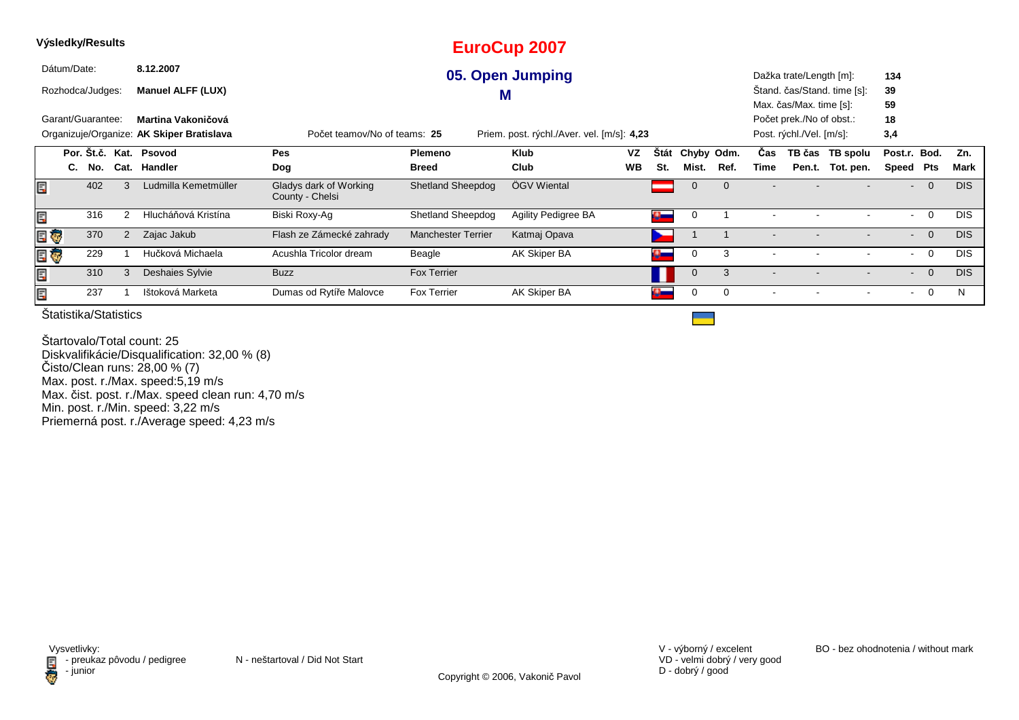|      | Výsledky/Results  |     |                 |                                           |                                           |                          | <b>EuroCup 2007</b>                        |           |            |                |      |                          |                                                     |                             |                |                |            |
|------|-------------------|-----|-----------------|-------------------------------------------|-------------------------------------------|--------------------------|--------------------------------------------|-----------|------------|----------------|------|--------------------------|-----------------------------------------------------|-----------------------------|----------------|----------------|------------|
|      | Dátum/Date:       |     |                 | 8.12.2007                                 |                                           |                          | 05. Open Jumping                           |           |            |                |      |                          | Dažka trate/Length [m]:                             |                             | 134            |                |            |
|      | Rozhodca/Judges:  |     |                 | <b>Manuel ALFF (LUX)</b>                  |                                           |                          | M                                          |           |            |                |      |                          |                                                     | Stand. čas/Stand. time [s]: | 39             |                |            |
|      | Garant/Guarantee: |     |                 | Martina Vakoničová                        |                                           |                          |                                            |           |            |                |      |                          | Max. čas/Max. time [s]:<br>Počet prek./No of obst.: |                             | 59<br>18       |                |            |
|      |                   |     |                 | Organizuje/Organize: AK Skiper Bratislava | Počet teamov/No of teams: 25              |                          | Priem. post. rýchl./Aver. vel. [m/s]: 4,23 |           |            |                |      |                          | Post. rýchl./Vel. [m/s]:                            |                             | 3,4            |                |            |
|      |                   |     | Por. Št.č. Kat. | <b>Psovod</b>                             | <b>Pes</b>                                | Plemeno                  | <b>Klub</b>                                | VZ        | Štát       | Chyby Odm.     |      | Cas                      | TB čas                                              | TB spolu                    | Post.r. Bod.   |                | Zn.        |
|      | C.                | No. | Cat.            | Handler                                   | Dog                                       | <b>Breed</b>             | Club                                       | <b>WB</b> | St.        | Mist.          | Ref. | Time                     | Pen.t.                                              | Tot. pen.                   | Speed          | <b>Pts</b>     | Mark       |
| Ę    |                   | 402 |                 | Ludmilla Kemetmüller                      | Gladys dark of Working<br>County - Chelsi | Shetland Sheepdog        | ÖGV Wiental                                |           |            | 0              |      |                          |                                                     |                             |                | $\overline{0}$ | <b>DIS</b> |
| Ę    |                   | 316 |                 | Hlucháňová Kristína                       | Biski Roxy-Ag                             | <b>Shetland Sheepdog</b> | Agility Pedigree BA                        |           | $\bullet$  | 0              |      |                          |                                                     |                             | $\sim$         | $\overline{0}$ | <b>DIS</b> |
| E    |                   | 370 | 2               | Zajac Jakub                               | Flash ze Zámecké zahrady                  | Manchester Terrier       | Katmaj Opava                               |           |            |                |      | $\overline{\phantom{a}}$ |                                                     |                             | $\sim$         | $\overline{0}$ | <b>DIS</b> |
| e ç  |                   | 229 |                 | Hučková Michaela                          | Acushla Tricolor dream                    | Beagle                   | AK Skiper BA                               |           | a an       | 0              | 3    |                          |                                                     |                             | $\blacksquare$ | $\overline{0}$ | <b>DIS</b> |
| lin" |                   | 310 |                 | Deshaies Sylvie                           | <b>Buzz</b>                               | <b>Fox Terrier</b>       |                                            |           |            | $\overline{0}$ | 3    | $\overline{\phantom{0}}$ |                                                     |                             |                | $-0$           | <b>DIS</b> |
| Ē,   |                   | 237 |                 | Ištoková Marketa                          | Dumas od Rytíře Malovce                   | Fox Terrier              | AK Skiper BA                               |           | $\alpha$ – | $\Omega$       | 0    | $\overline{\phantom{a}}$ |                                                     |                             | $\sim$         | $\overline{0}$ | N          |

Štartovalo/Total count: 25 Diskvalifikácie/Disqualification: 32,00 % (8) Čisto/Clean runs: 28,00 % (7) Max. post. r./Max. speed:5,19 m/s Max. čist. post. r./Max. speed clean run: 4,70 m/s Min. post. r./Min. speed: 3,22 m/sPriemerná post. r./Average speed: 4,23 m/s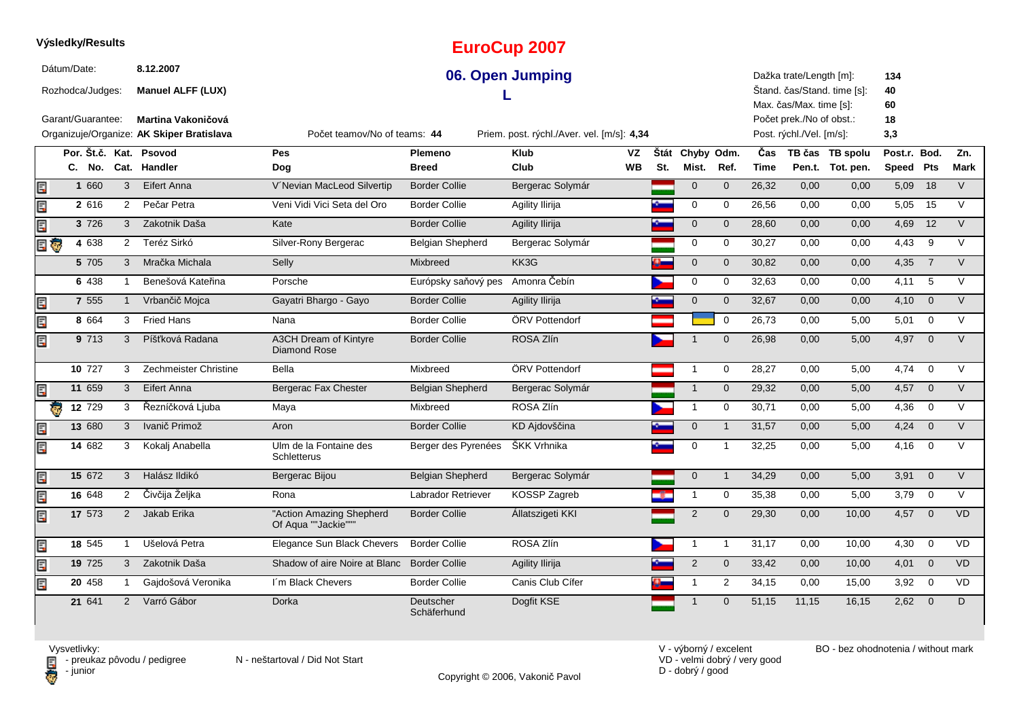### **EuroCup 2007**Dátum/Date: **8.12.200706. Open Jumping**Dažka trate/Length [m]:**134**Štand. čas/Stand. time [s]:Rozhodca/Judges: **Manuel ALFF (LUX) 40L** Max. čas/Max. time [s]: **60**Garant/Guarantee:Počet prek./No of obst.: **18 Martina Vakoničová** Organizuje/Organize: **AK Skiper Bratislava**Priem. post. rýchl./Aver. vel. [m/s]: 4.34 Post. rýchl./Vel. [m/s]: $3.3$ Počet teamov/No of teams:**44Por. Št.č. Kat. Psovod Pes Plemeno Klub Štát VZ**Štát Chyby Odm. **Odm. <sup>Č</sup>as TB čas TB spolu**u Post.r. Bod. Zn. **Dog WBMist. Ref. TimePen.t. Tot. pen.** Speed Pts Mark **SpeedPtsC. No. Cat. Handler Breed Club St.** Ę **1**1 660 3 Eifert Anna N'Nevian MacLeod Silvertip Border Collie Bergerac Solymár 1 0 0 26,32 0,00 0,00 5,09 18 V  $2.616$ Ę 2 616 2 Pečar Petra Neni Vidi Vici Seta del Oro Border Collie Agility Ilirija New 1980 por new 26,56 0,00 0,00 5,05 15 V Ę **3** <sup>726</sup> <sup>3</sup> Zakotnik Daša Kate Border Collie Agility Ilirija <sup>0</sup> <sup>0</sup> 28,60 0,00 0,00 V 4,69 <sup>12</sup> E G **4** <sup>638</sup> <sup>2</sup> Teréz Sirkó Silver-Rony Bergerac Belgian Shepherd Bergerac Solymár <sup>0</sup> <sup>0</sup> 30,27 0,00 0,00 V 4,43 <sup>9</sup> **5**5 705 3 Mračka Michala Selly Mixbreed KK3G <sup>0</sup> <sup>0</sup> 30,82 0,00 0,00 V 4,35 <sup>7</sup> **6** <sup>438</sup> <sup>1</sup> Benešová Kateřina Porsche Európsky saňový pes Amonra Čebín <sup>0</sup> <sup>0</sup> 32,63 0,00 0,00 V 4,11 <sup>5</sup> Ę **7**7 555 1 Vrbančič Mojca Cayatri Bhargo - Gayo Border Collie Agility Ilirija National Martin 10 0 32,67 0,00 0,00 4,10 0 V Ę **8**8 664 3 Fried Hans Mana Nana Border Collie ÖRV Pottendorf National New 10 26,73 0,00 5,00 5,01 0 V A3CH Dream of Kintyre Ę **9** <sup>713</sup> <sup>3</sup> Píšťková Radana Border Collie ROSA Zlín <sup>1</sup> <sup>0</sup> 26,98 0,00 5,00 V 4,97 <sup>0</sup> Diamond Rose**10**0 727 3 Zechmeister Christine Bella Mixbreed ÖRV Pottendorf 1 0 28,27 0,00 5,00 4,74 0 V **11**Ë 1 659 3 Eifert Anna Natal Bergerac Fax Chester Belgian Shepherd Bergerac Solymár Natal 1 0 29,32 0,00 5,00 4,57 0 V **12**2 729 3 Řezníčková Ljuba Maya Marken Mixbreed ROSA Zlín 1 0 30,71 0,00 5,00 4,36 0 V **13**3 680 3 Ivanič Primož hrvat Aron hrvatskog Border Collie kD Ajdovščina hrvatski područje u 1 31,57 0,00 5,00 4,24 0 V **14**4 682 3 Kokalj Anabella bulm de la Fontaine des Berger des Pyrenées ŠKK Vrhnika bullet en 1 32,25 0,00 5,00 4,16 0 V Ulm de la Fontaine des **Schletterus 15**Ę 5 672 3 Halász Ildikó Bergerac Bijou Belgian Shepherd Bergerac Solymár 134,29 0,00 5,00 3,91 0 V **6** 648 2 Čivčija Željka Rona Labrador Retriever KOSSP Zagreb <mark>S </mark>1 0 35,38 0,00 5,00 3,79 0 V Ξ **1617**7 573 2 Jakab Erika "Action Amazing Shepherd Border Collie Állatszigeti KKI 2 0 29,30 0,00 10,00 4,57 0 VD "Action Amazing Shepherd 同 Of Aqua ""Jackie"""同 **18**8 545 1 Ušelová Petra Elegance Sun Black Chevers Border Collie ROSA Zlín 1 1 1 31,17 0,00 10,00 4,30 0 VD Ę **199** 725 3 Zakotnik Daša Shadow of aire Noire at Blanc Border Collie Agility Ilirija 2 0 33,42 0,00 10,00 4,01 0 VD **20**Ę **0** 458 1 Gajdošová Veronika lím Black Chevers Border Collie Canis Club Cifer (1 2 34,15 0,00 15,00 3,92 0 VD 3,92 0 3,92 0 D 641**21**1 641 2 Varró Gábor Dorka Deutscher Dogfit KSE 1 0 51,15 11,15 16,15 2,62 0 D <sup>2</sup> Varró Gábor Dorka Deutscher Dogfit KSESchäferhund

**Výsledky/Results**

Copyright © 2006, Vakonič Pavol

VD - velmi dobrý / very goodD - dobrý / good

V - výborný / excelent BO - bez ohodnotenia / without mark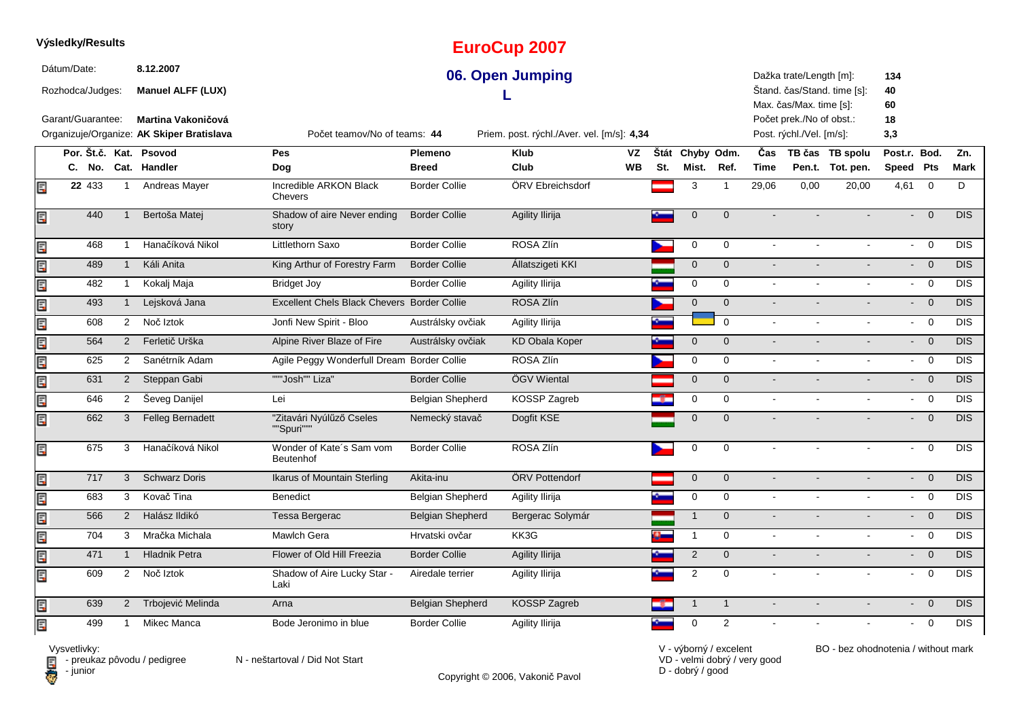#### **EuroCup 2007**Dátum/Date: **8.12.200706. Open Jumping**Dažka trate/Length [m]:**134**Štand. čas/Stand. time [s]:Rozhodca/Judges: **Manuel ALFF (LUX) 40L** Max. čas/Max. time [s]: **60**Garant/Guarantee:Počet prek./No of obst.: **18 Martina Vakoničová** Organizuje/Organize: **AK Skiper Bratislava**Priem. post. rýchl./Aver. vel. [m/s]: 4.34 Post. rýchl./Vel. [m/s]: $3.3$ Počet teamov/No of teams:**44Por. Št.č. Kat. Psovod Pes Plemeno Klub Štát VZ**Štát Chyby Odm. **Odm. <sup>Č</sup>as TB čas TB spolu**u Post.r. Bod. Zn. **WBMist. Ref. TimePen.t. Tot. pen.** Speed Pts Mark **SpeedPtsC. No. Cat. Handler Dog Breed Club St.** Incredible ARKON Black E **22**2 433 1 Andreas Mayer Contractible ARKON Black Border Collie CORV Ebreichsdorf Contract 3 1 29,06 0,00 20,00 4,61 0 D Chevers440Shadow of aire Never ending  $- 0$  DIS Ę <sup>1</sup> Bertoša Matej Border Collie Agility Ilirija <sup>0</sup> <sup>0</sup> - - - DISstory468Ę <sup>1</sup> Hanačíková Nikol Littlethorn Saxo Border Collie ROSA Zlín <sup>0</sup> <sup>0</sup> - - - DIS- 0 DI 4891 Káli Anita King Arthur of Forestry Farm Ę m Border Collie Állatszigeti KKI 1999 – DIS 1999 – Anna DIS 1999 – DIS 1999 – DIS 1999 – DIS 1999 – DIS 1999 – D 482- 0 DIS Ę <sup>1</sup> Kokalj Maja Bridget Joy Border Collie Agility Ilirija <sup>0</sup> <sup>0</sup> - - - DIS1 Lejsková Jana **Excellent Chels Black Chevers Border Collie** ROSA Zlín **Chevers Collie ROSA Zlín** 0 0 - - - - - - DIS Ę 493 - <sup>0</sup> 608 $- 0$  DIS Ę <sup>2</sup> Noč Iztok Jonfi New Spirit - Bloo Austrálsky ovčiak Agility Ilirija <sup>0</sup> <sup>0</sup> - - - DIS $- 0$  DIS Ę 564 <sup>2</sup> Ferletič Urška Alpine River Blaze of Fire Austrálsky ovčiak KD Obala Koper <sup>0</sup> <sup>0</sup> - - - DIS625 <sup>2</sup> Sanétrník AdamAgile Peggy Wonderfull Dream Border Collie ROSA Zlín **Dream Border Collie ROSA Zlín** 0 0 - - - - - 0 DIS Ę  $- 0$  DIS 6311 2 Steppan Gabi """Josh"" Liza" Border Collie ÖGV Wiental North Colling Controlling Controlling Controller DIS Ę Ę 646 <sup>2</sup> Ševeg Danijel Lei Belgian Shepherd KOSSP Zagreb <sup>0</sup> <sup>0</sup> - - - DIS $- 0$  DIS Ę 6622 3 Felleg Bernadett "Zitavári Nyúlűző Cseles Nemecký stavač Dogfit KSE <sup>0</sup> <sup>0</sup> - - - DIS - <sup>0</sup> ""Spuri"""Wonder of Kate´s Sam vom - 0 DIS Ę 675 <sup>3</sup> Hanačíková Nikol Border Collie ROSA Zlín <sup>0</sup> <sup>0</sup> - - - DISBeutenhofĘ 7177 3 Schwarz Doris Mikarus of Mountain Sterling Akita-inu **ÖRV Pottendorf 1996 Computer of Computer** 0 0 0 - - Pomputer 1996 DIS - 0 DIS Ę 683 - <sup>0</sup> <sup>3</sup> Kovač Tina Benedict Belgian Shepherd Agility Ilirija <sup>0</sup> <sup>0</sup> - - - DISĘ - 0 DIS 566 <sup>2</sup> Halász Ildikó Tessa Bergerac Belgian Shepherd Bergerac Solymár <sup>1</sup> <sup>0</sup> - - - DISĘ 7044 3 Mračka Michala Mawlch Gera Hrvatski ovčar KK3G G 0 DIS Ę 471 - <sup>0</sup> 1 1 Hladnik Petra 1991 – Flower of Old Hill Freezia Border Collie Agility Ilirija 1992 – 20 - - - - - - - - - - O DIS Ę 609Shadow of Aire Lucky Star - - <sup>0</sup> <sup>2</sup> Noč Iztok Airedale terrier Agility Ilirija <sup>2</sup> <sup>0</sup> - - - DISLaki $- 0$  DIS 639Ę <sup>2</sup> Trbojević Melinda Arna Belgian Shepherd KOSSP Zagreb <sup>1</sup> <sup>1</sup> - - - DISĒ. 499 $0$  DIS <sup>1</sup> Mikec Manca Bode Jeronimo in blue Border Collie Agility Ilirija <sup>0</sup> <sup>2</sup> - - - DIS

Vysvetlivky:

**Výsledky/Results**

El preuk<br>Computer

 $\blacksquare$  - preukaz pôvodu / pedigree N - neštartoval / Did Not Start

Copyright © 2006, Vakonič Pavol

VD - velmi dobrý / very goodD - dobrý / good

V - výborný / excelent BO - bez ohodnotenia / without mark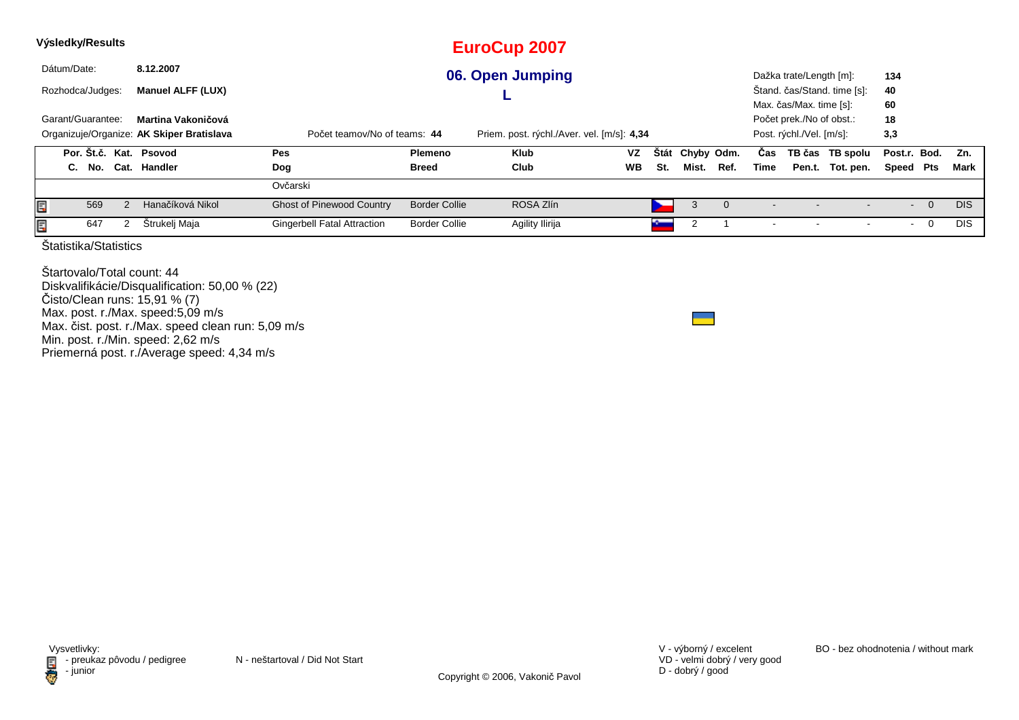|   |             | Výsledky/Results  |                       |                                           |                                    |                      | <b>EuroCup 2007</b>                        |           |             |            |          |      |                          |                             |              |                |            |
|---|-------------|-------------------|-----------------------|-------------------------------------------|------------------------------------|----------------------|--------------------------------------------|-----------|-------------|------------|----------|------|--------------------------|-----------------------------|--------------|----------------|------------|
|   | Dátum/Date: |                   |                       | 8.12.2007                                 |                                    |                      | 06. Open Jumping                           |           |             |            |          |      | Dažka trate/Length [m]:  |                             | 134          |                |            |
|   |             | Rozhodca/Judges:  |                       | <b>Manuel ALFF (LUX)</b>                  |                                    |                      |                                            |           |             |            |          |      |                          | Štand. čas/Stand. time [s]: | 40           |                |            |
|   |             |                   |                       |                                           |                                    |                      |                                            |           |             |            |          |      | Max. čas/Max. time [s]:  |                             | 60           |                |            |
|   |             | Garant/Guarantee: |                       | Martina Vakoničová                        |                                    |                      |                                            |           |             |            |          |      | Počet prek./No of obst.: |                             | 18           |                |            |
|   |             |                   |                       | Organizuje/Organize: AK Skiper Bratislava | Počet teamov/No of teams: 44       |                      | Priem. post. rýchl./Aver. vel. [m/s]: 4,34 |           |             |            |          |      | Post. rýchl./Vel. [m/s]: |                             | 3,3          |                |            |
|   |             |                   |                       | Por. Št.č. Kat. Psovod                    | Pes                                | Plemeno              | Klub                                       | <b>VZ</b> | <b>Stát</b> | Chyby Odm. |          | Cas  |                          | TB čas TB spolu             | Post.r. Bod. |                | Zn.        |
|   |             | C. No.            |                       | Cat. Handler                              | Dog                                | Breed                | Club                                       | <b>WB</b> | St.         | Mist.      | Ref.     | Time |                          | Pen.t. Tot. pen.            | Speed Pts    |                | Mark       |
|   |             |                   |                       |                                           | Ovčarski                           |                      |                                            |           |             |            |          |      |                          |                             |              |                |            |
| Ę |             | 569               |                       | Hanačíková Nikol                          | <b>Ghost of Pinewood Country</b>   | <b>Border Collie</b> | ROSA Zlín                                  |           |             | 3          | $\Omega$ |      |                          |                             | $\sim$       | $\overline{0}$ | <b>DIS</b> |
| Ę |             | 647               |                       | Štrukelj Maja                             | <b>Gingerbell Fatal Attraction</b> | <b>Border Collie</b> | Agility Ilirija                            |           |             |            |          |      |                          |                             | $\sim$       | 0              | <b>DIS</b> |
|   |             |                   | Statistika/Statistics |                                           |                                    |                      |                                            |           |             |            |          |      |                          |                             |              |                |            |

Štartovalo/Total count: 44 Diskvalifikácie/Disqualification: 50,00 % (22)Čisto/Clean runs: 15,91 % (7) Max. post. r./Max. speed:5,09 m/s Max. čist. post. r./Max. speed clean run: 5,09 m/sMin. post. r./Min. speed: 2,62 m/s Priemerná post. r./Average speed: 4,34 m/s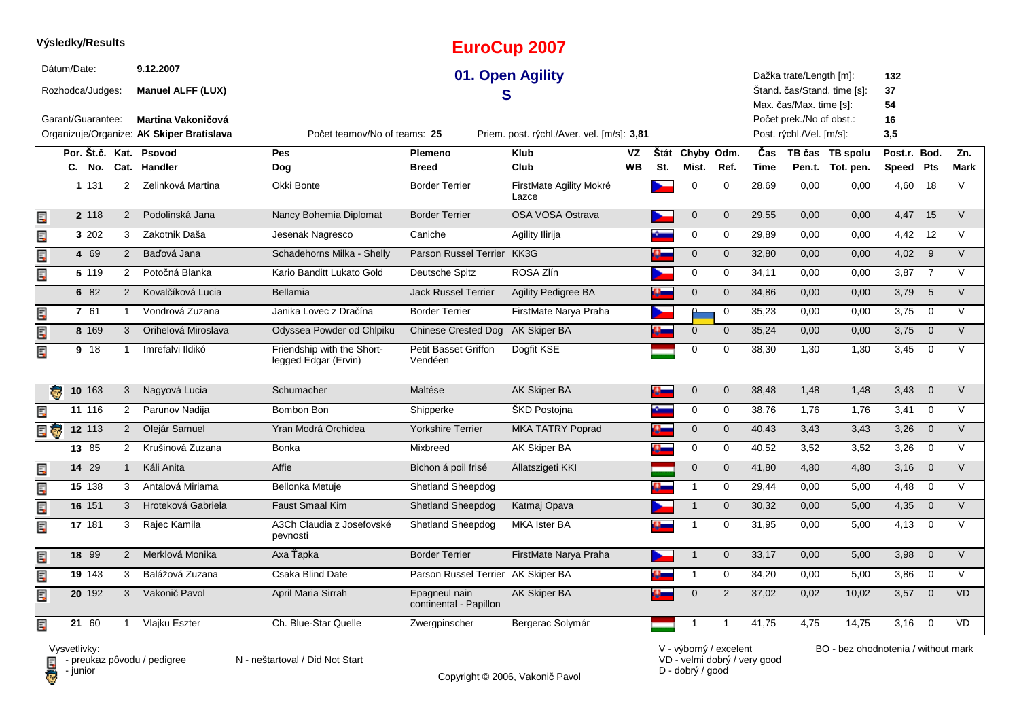|                         |             | Výsledky/Results  |                |                                                                 |                                                    |                                         | <b>EuroCup 2007</b>                        |           |          |                 |                |             |                                                      |                             |                 |                         |             |
|-------------------------|-------------|-------------------|----------------|-----------------------------------------------------------------|----------------------------------------------------|-----------------------------------------|--------------------------------------------|-----------|----------|-----------------|----------------|-------------|------------------------------------------------------|-----------------------------|-----------------|-------------------------|-------------|
|                         | Dátum/Date: | Rozhodca/Judges:  |                | 9.12.2007<br><b>Manuel ALFF (LUX)</b>                           |                                                    |                                         | 01. Open Agility<br>S                      |           |          |                 |                |             | Dažka trate/Length [m]:<br>Max. čas/Max. time [s]:   | Štand. čas/Stand. time [s]: | 132<br>37<br>54 |                         |             |
|                         |             | Garant/Guarantee: |                | Martina Vakoničová<br>Organizuje/Organize: AK Skiper Bratislava | Počet teamov/No of teams: 25                       |                                         | Priem. post. rýchl./Aver. vel. [m/s]: 3,81 |           |          |                 |                |             | Počet prek./No of obst.:<br>Post. rýchl./Vel. [m/s]: |                             | 16<br>3,5       |                         |             |
|                         |             |                   |                | Por. Št.č. Kat. Psovod                                          | Pes                                                | Plemeno                                 | <b>Klub</b>                                | VZ        |          | Štát Chyby Odm. |                | Čas         |                                                      | TB čas TB spolu             | Post.r. Bod.    |                         | Zn.         |
|                         |             |                   |                | C. No. Cat. Handler                                             | Dog                                                | <b>Breed</b>                            | Club                                       | <b>WB</b> | St.      | Mist. Ref.      |                | <b>Time</b> |                                                      | Pen.t. Tot. pen.            | Speed Pts       |                         | <b>Mark</b> |
|                         |             | 1 1 3 1           | $\overline{2}$ | Zelinková Martina                                               | Okki Bonte                                         | <b>Border Terrier</b>                   | FirstMate Agility Mokré<br>Lazce           |           |          | $\mathbf 0$     | $\mathbf 0$    | 28,69       | 0,00                                                 | 0,00                        | 4,60            | 18                      | $\vee$      |
| E                       |             | 2 118             | 2              | Podolinská Jana                                                 | Nancy Bohemia Diplomat                             | <b>Border Terrier</b>                   | OSA VOSA Ostrava                           |           |          | $\mathbf 0$     | $\overline{0}$ | 29,55       | 0,00                                                 | 0,00                        | 4,47            | 15                      | $\vee$      |
| E                       |             | 3 202             | 3              | Zakotnik Daša                                                   | Jesenak Nagresco                                   | Caniche                                 | Agility Ilirija                            |           |          | $\mathbf 0$     | $\mathbf 0$    | 29,89       | 0,00                                                 | 0,00                        | 4,42            | 12                      | $\vee$      |
| Erik                    |             | 4 69              | 2              | Baďová Jana                                                     | Schadehorns Milka - Shelly                         | Parson Russel Terrier KK3G              |                                            |           | $\alpha$ | $\mathbf 0$     | $\mathbf{0}$   | 32,80       | 0,00                                                 | 0,00                        | 4,02            | 9                       | $\vee$      |
| Er                      |             | 5 1 1 9           | 2              | Potočná Blanka                                                  | Kario Banditt Lukato Gold                          | Deutsche Spitz                          | ROSA Zlín                                  |           |          | $\mathbf 0$     | $\mathbf 0$    | 34,11       | 0,00                                                 | 0,00                        | 3,87            | $\overline{7}$          | $\vee$      |
|                         |             | 6 82              | $\overline{2}$ | Kovalčíková Lucia                                               | Bellamia                                           | <b>Jack Russel Terrier</b>              | <b>Agility Pedigree BA</b>                 |           | o.       | $\mathbf 0$     | $\mathbf 0$    | 34,86       | 0,00                                                 | 0,00                        | 3,79            | 5                       | $\vee$      |
| E                       |             | 7 61              | $\mathbf{1}$   | Vondrová Zuzana                                                 | Janika Lovec z Dračína                             | <b>Border Terrier</b>                   | FirstMate Narya Praha                      |           |          | $\Omega$        | $\mathbf 0$    | 35,23       | 0,00                                                 | 0,00                        | 3,75            | $\mathbf 0$             | $\vee$      |
| E                       |             | 8 169             | 3              | Orihelová Miroslava                                             | Odyssea Powder od Chlpiku                          | <b>Chinese Crested Dog</b>              | <b>AK Skiper BA</b>                        |           |          | $\mathbf 0$     | $\mathbf 0$    | 35,24       | 0,00                                                 | 0,00                        | 3,75            | $\overline{0}$          | $\vee$      |
| Ę                       |             | 9 18              | $\overline{1}$ | Imrefalvi Ildikó                                                | Friendship with the Short-<br>legged Edgar (Ervin) | <b>Petit Basset Griffon</b><br>Vendéen  | Dogfit KSE                                 |           |          | $\mathbf 0$     | $\Omega$       | 38,30       | 1.30                                                 | 1.30                        | 3.45            | $\overline{0}$          | $\vee$      |
| $\overline{\mathbf{G}}$ |             | $10$ 163          | 3              | Nagyová Lucia                                                   | Schumacher                                         | Maltése                                 | <b>AK Skiper BA</b>                        |           | o.       | $\mathbf 0$     | $\mathbf{0}$   | 38,48       | 1,48                                                 | 1,48                        | 3,43            | $\overline{0}$          | $\vee$      |
| E                       |             | 11 116            | $\overline{2}$ | Parunov Nadija                                                  | Bombon Bon                                         | Shipperke                               | <b>SKD Postojna</b>                        |           |          | $\mathbf 0$     | 0              | 38,76       | 1,76                                                 | 1,76                        | $3,41$ 0        |                         | $\vee$      |
| 日で                      |             | 12 113            | $\overline{2}$ | Olejár Samuel                                                   | Yran Modrá Orchidea                                | <b>Yorkshire Terrier</b>                | <b>MKA TATRY Poprad</b>                    |           | ¢        | $\mathbf 0$     | $\mathbf 0$    | 40,43       | 3,43                                                 | 3,43                        | 3,26            | $\overline{0}$          | $\vee$      |
|                         |             | 13 85             | 2              | Krušinová Zuzana                                                | <b>Bonka</b>                                       | Mixbreed                                | AK Skiper BA                               |           |          | $\mathbf 0$     | $\mathbf 0$    | 40,52       | 3,52                                                 | 3,52                        | 3,26            | $\overline{0}$          | $\vee$      |
| E                       |             | 14 29             | $\mathbf{1}$   | Káli Anita                                                      | Affie                                              | Bichon á poil frisé                     | Állatszigeti KKI                           |           |          | $\mathbf 0$     | $\mathbf 0$    | 41,80       | 4,80                                                 | 4,80                        | 3,16            | $\overline{0}$          | $\vee$      |
| Er                      |             | 15 138            | 3              | Antalová Miriama                                                | Bellonka Metuje                                    | <b>Shetland Sheepdog</b>                |                                            |           |          | $\mathbf{1}$    | 0              | 29,44       | 0,00                                                 | 5,00                        | 4,48            | $\mathbf 0$             | $\vee$      |
| E                       |             | 16 151            | 3              | Hroteková Gabriela                                              | <b>Faust Smaal Kim</b>                             | <b>Shetland Sheepdog</b>                | Katmaj Opava                               |           |          | $\overline{1}$  | $\mathbf 0$    | 30,32       | 0,00                                                 | 5,00                        | 4,35            | $\overline{0}$          | V           |
| Ę                       |             | 17 181            | 3              | Rajec Kamila                                                    | A3Ch Claudia z Josefovské<br>pevnosti              | <b>Shetland Sheepdog</b>                | <b>MKA Ister BA</b>                        |           |          | -1              | 0              | 31,95       | 0,00                                                 | 5,00                        | 4,13            | $\mathbf 0$             | $\vee$      |
| E                       |             | 18 99             | 2              | Merklová Monika                                                 | Axa Ťapka                                          | <b>Border Terrier</b>                   | FirstMate Narya Praha                      |           |          | $\mathbf 1$     | $\mathbf{0}$   | 33,17       | 0,00                                                 | 5,00                        | 3,98            | $\overline{0}$          | $\vee$      |
| E                       |             | 19 143            | 3              | Balážová Zuzana                                                 | Csaka Blind Date                                   | Parson Russel Terrier AK Skiper BA      |                                            |           |          | $\mathbf{1}$    | $\mathbf 0$    | 34,20       | 0.00                                                 | 5,00                        | 3,86            | $\mathbf 0$             | $\vee$      |
| E                       |             | 20 192            | 3              | Vakonič Pavol                                                   | April Maria Sirrah                                 | Epagneul nain<br>continental - Papillon | AK Skiper BA                               |           |          | $\mathbf 0$     | $\overline{2}$ | 37,02       | 0,02                                                 | 10,02                       | 3,57            | $\overline{\mathbf{0}}$ | <b>VD</b>   |
| E                       |             | 21 60             | $\mathbf{1}$   | Vlajku Eszter                                                   | Ch. Blue-Star Quelle                               | Zwergpinscher                           | Bergerac Solymár                           |           |          | -1              | -1             | 41,75       | 4,75                                                 | 14,75                       | 3.16            | $\Omega$                | <b>VD</b>   |

Vysvetlivky:<br>⊟ - preukaz pôvodu / pedigree N - neštartoval / Did Not Start **D** - junior

Copyright © 2006, Vakonič Pavol

VD - velmi dobrý / very good D - dobrý / good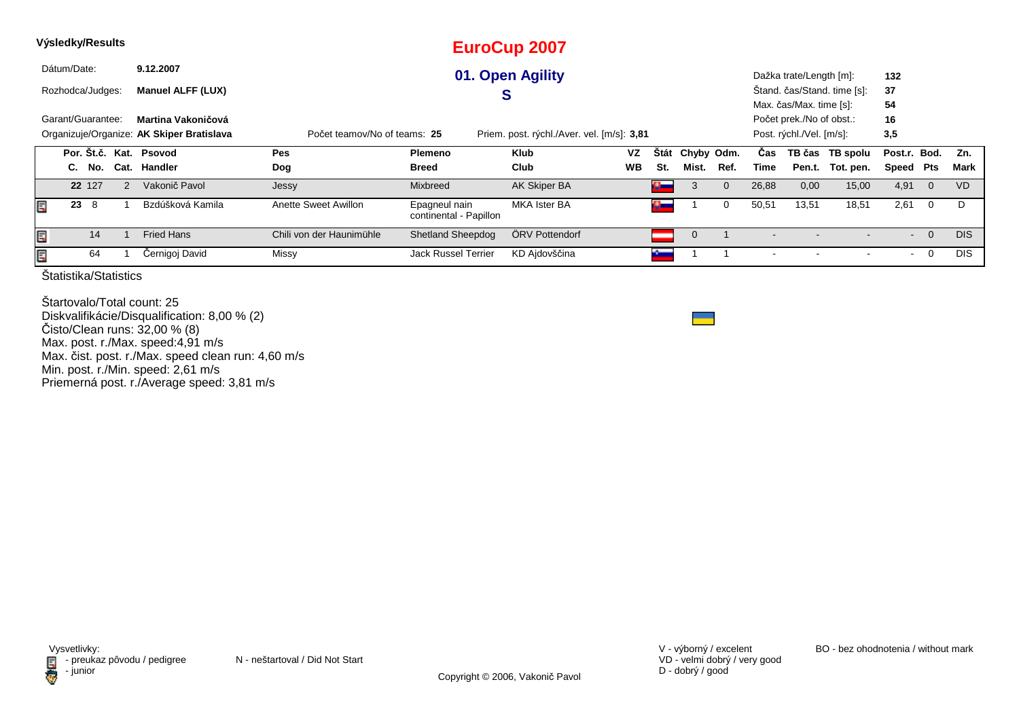|   | Výsledky/Results  |        |   |                                           |                              |                                         | <b>EuroCup 2007</b>                        |           |               |             |                |       |                          |                             |              |                         |            |
|---|-------------------|--------|---|-------------------------------------------|------------------------------|-----------------------------------------|--------------------------------------------|-----------|---------------|-------------|----------------|-------|--------------------------|-----------------------------|--------------|-------------------------|------------|
|   | Dátum/Date:       |        |   | 9.12.2007                                 |                              |                                         | 01. Open Agility                           |           |               |             |                |       | Dažka trate/Length [m]:  |                             | 132          |                         |            |
|   | Rozhodca/Judges:  |        |   | <b>Manuel ALFF (LUX)</b>                  |                              |                                         | S                                          |           |               |             |                |       |                          | Štand. čas/Stand. time [s]: | 37           |                         |            |
|   |                   |        |   |                                           |                              |                                         |                                            |           |               |             |                |       | Max. čas/Max. time [s]:  |                             | 54           |                         |            |
|   | Garant/Guarantee: |        |   | Martina Vakoničová                        |                              |                                         |                                            |           |               |             |                |       | Počet prek./No of obst.: |                             | 16           |                         |            |
|   |                   |        |   | Organizuje/Organize: AK Skiper Bratislava | Počet teamov/No of teams: 25 |                                         | Priem. post. rýchl./Aver. vel. [m/s]: 3,81 |           |               |             |                |       | Post. rýchl./Vel. [m/s]: |                             | 3,5          |                         |            |
|   |                   |        |   | Por. Št.č. Kat. Psovod                    | <b>Pes</b>                   | <b>Plemeno</b>                          | <b>Klub</b>                                | <b>VZ</b> | <b>Stát</b>   | Chyby Odm.  |                | Cas   |                          | TB čas TB spolu             | Post.r. Bod. |                         | Zn.        |
|   |                   | C. No. |   | Cat. Handler                              | Dog                          | <b>Breed</b>                            | Club                                       | <b>WB</b> | St.           | Mist.       | Ref.           | Time  | Pen.t.                   | Tot. pen.                   | Speed        | Pts                     | Mark       |
|   |                   | 22 127 | 2 | Vakonič Pavol                             | Jessy                        | <b>Mixbreed</b>                         | AK Skiper BA                               |           | $\mathbf{a}$  | 3           | $\overline{0}$ | 26,88 | 0,00                     | 15,00                       | 4,91         | $\overline{\mathbf{0}}$ | <b>VD</b>  |
| E | 23                | - 8    |   | Bzdúšková Kamila                          | Anette Sweet Awillon         | Epagneul nain<br>continental - Papillon | <b>MKA Ister BA</b>                        |           | <u>Change</u> |             | 0              | 50,51 | 13,51                    | 18,51                       | 2,61         | $\overline{0}$          | D          |
| E |                   | 14     |   | <b>Fried Hans</b>                         | Chili von der Haunimühle     | <b>Shetland Sheepdog</b>                | ÖRV Pottendorf                             |           |               | $\mathbf 0$ |                |       |                          |                             | $\sim$       | $\overline{0}$          | <b>DIS</b> |
| E |                   | 64     |   | Černigoj David                            | Missy                        | <b>Jack Russel Terrier</b>              | KD Ajdovščina                              |           |               |             |                |       |                          |                             | $\sim$       | $\overline{0}$          | <b>DIS</b> |
|   |                   |        |   |                                           |                              |                                         |                                            |           |               |             |                |       |                          |                             |              |                         |            |

Štartovalo/Total count: 25 Diskvalifikácie/Disqualification: 8,00 % (2)Čisto/Clean runs: 32,00 % (8) Max. post. r./Max. speed:4,91 m/s Max. čist. post. r./Max. speed clean run: 4,60 m/sMin. post. r./Min. speed: 2,61 m/s Priemerná post. r./Average speed: 3,81 m/s



VD - velmi dobrý / very good D - dobrý / good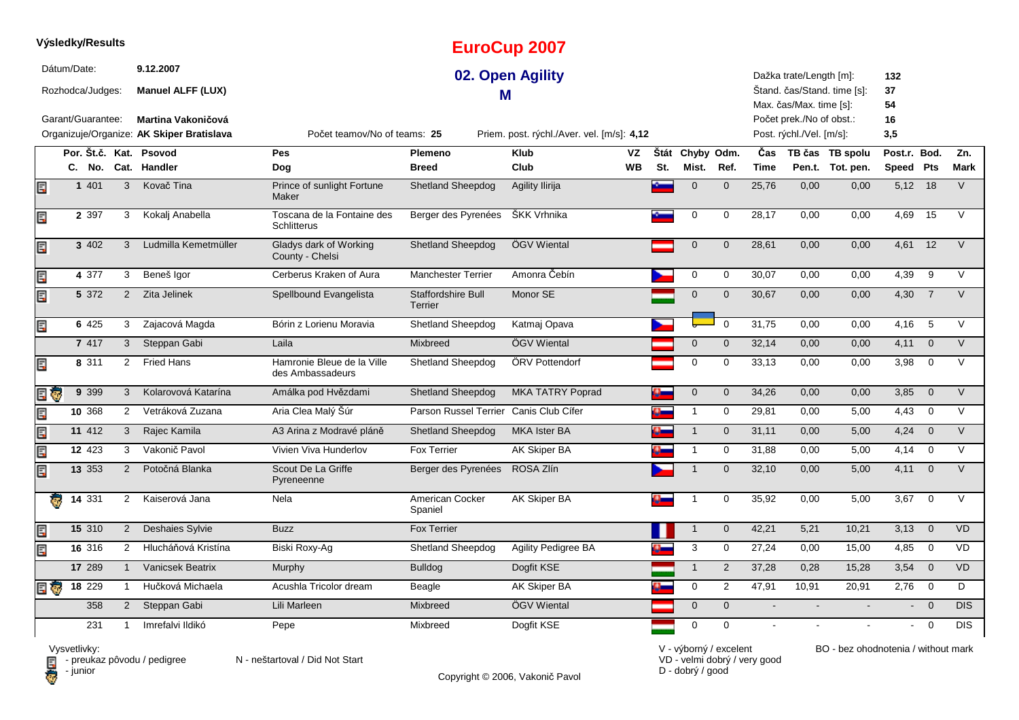|          | Výsledky/Results  |                |                                           |                                                |                               | <b>EuroCup 2007</b>                        |           |           |                 |                |                |                          |                             |              |                |                |
|----------|-------------------|----------------|-------------------------------------------|------------------------------------------------|-------------------------------|--------------------------------------------|-----------|-----------|-----------------|----------------|----------------|--------------------------|-----------------------------|--------------|----------------|----------------|
|          | Dátum/Date:       |                | 9.12.2007                                 |                                                |                               | 02. Open Agility                           |           |           |                 |                |                | Dažka trate/Length [m]:  |                             | 132          |                |                |
|          | Rozhodca/Judges:  |                | <b>Manuel ALFF (LUX)</b>                  |                                                |                               | м                                          |           |           |                 |                |                | Max. čas/Max. time [s]:  | Štand. čas/Stand. time [s]: | 37<br>54     |                |                |
|          | Garant/Guarantee: |                | Martina Vakoničová                        |                                                |                               |                                            |           |           |                 |                |                | Počet prek./No of obst.: |                             | 16           |                |                |
|          |                   |                | Organizuje/Organize: AK Skiper Bratislava | Počet teamov/No of teams: 25                   |                               | Priem. post. rýchl./Aver. vel. [m/s]: 4,12 |           |           |                 |                |                | Post. rýchl./Vel. [m/s]: |                             | 3,5          |                |                |
|          |                   |                | Por. Št.č. Kat. Psovod                    | Pes                                            | Plemeno                       | <b>Klub</b>                                | VZ        |           | Štát Chyby Odm. |                | Čas            |                          | TB čas TB spolu             | Post.r. Bod. |                | Zn.            |
|          | C. No.            |                | Cat. Handler                              | Dog                                            | <b>Breed</b>                  | Club                                       | <b>WB</b> | St.       | Mist.           | Ref.           | Time           |                          | Pen.t. Tot. pen.            | Speed Pts    |                | Mark           |
| E        | 1 4 0 1           | 3              | Kovač Tina                                | Prince of sunlight Fortune<br>Maker            | <b>Shetland Sheepdog</b>      | Agility Ilirija                            |           |           | $\overline{0}$  | $\overline{0}$ | 25,76          | 0.00                     | 0.00                        | $5,12$ 18    |                | $\overline{V}$ |
| E        | 2 3 9 7           | 3              | Kokalj Anabella                           | Toscana de la Fontaine des<br>Schlitterus      | Berger des Pyrenées           | ŠKK Vrhnika                                |           |           | $\mathbf 0$     | $\mathbf 0$    | 28,17          | 0,00                     | 0,00                        | 4,69         | 15             | $\vee$         |
| Ę        | 3 402             | 3              | Ludmilla Kemetmüller                      | Gladys dark of Working<br>County - Chelsi      | <b>Shetland Sheepdog</b>      | ÖGV Wiental                                |           |           | $\mathbf 0$     | $\mathbf{0}$   | 28,61          | 0,00                     | 0,00                        | 4,61         | 12             | $\vee$         |
| Ę        | 4 377             | 3              | Beneš Igor                                | Cerberus Kraken of Aura                        | <b>Manchester Terrier</b>     | Amonra Čebín                               |           |           | $\mathbf 0$     | $\mathbf 0$    | 30,07          | 0,00                     | 0,00                        | 4,39         | 9              | $\vee$         |
| Ę        | 5 372             | $\overline{2}$ | Zita Jelinek                              | Spellbound Evangelista                         | Staffordshire Bull<br>Terrier | Monor SE                                   |           |           | $\mathbf 0$     | $\mathbf 0$    | 30,67          | 0,00                     | 0,00                        | 4,30         | $\overline{7}$ | $\vee$         |
| Ę        | 6 4 2 5           | 3              | Zajacová Magda                            | Bórin z Lorienu Moravia                        | Shetland Sheepdog             | Katmaj Opava                               |           |           |                 | $\mathbf 0$    | 31,75          | 0,00                     | 0,00                        | 4,16         | 5              | $\vee$         |
|          | 7 417             | 3              | Steppan Gabi                              | Laila                                          | Mixbreed                      | ÖGV Wiental                                |           |           | $\overline{0}$  | $\mathbf{0}$   | 32,14          | 0,00                     | 0,00                        | 4,11         | $\overline{0}$ | $\vee$         |
| Ę        | 8 311             |                | <b>Fried Hans</b><br>$\overline{2}$       | Hamronie Bleue de la Ville<br>des Ambassadeurs | <b>Shetland Sheepdog</b>      | ÖRV Pottendorf                             |           |           | $\mathbf 0$     | 0              | 33,13          | 0,00                     | 0,00                        | 3,98         | $\overline{0}$ | $\vee$         |
| Ģ        | 9 3 9 9           | 3              | Kolarovová Katarína                       | Amálka pod Hvězdami                            | <b>Shetland Sheepdog</b>      | <b>MKA TATRY Poprad</b>                    |           | o.        | $\mathbf 0$     | $\mathbf 0$    | 34,26          | 0.00                     | 0,00                        | 3,85         | $\overline{0}$ | $\vee$         |
|          | 10 368            | $\overline{2}$ | Vetráková Zuzana                          | Aria Clea Malý Šúr                             | Parson Russel Terrier         | Canis Club Cífer                           |           |           | $\overline{1}$  | $\mathbf 0$    | 29,81          | 0,00                     | 5,00                        | 4,43         | $\mathbf 0$    | $\vee$         |
| Ę        | 11 412            | $\mathbf{3}$   | Rajec Kamila                              | A3 Arina z Modravé pláně                       | <b>Shetland Sheepdog</b>      | <b>MKA Ister BA</b>                        |           | $\bullet$ | $\overline{1}$  | $\mathbf 0$    | 31,11          | 0,00                     | 5,00                        | $4,24$ 0     |                | $\vee$         |
| 閠        | 12 423            | 3              | Vakonič Pavol                             | Vivien Viva Hunderlov                          | <b>Fox Terrier</b>            | AK Skiper BA                               |           |           | $\mathbf{1}$    | 0              | 31,88          | 0,00                     | 5,00                        | 4,14         | $\overline{0}$ | V              |
| Ę        | 13 353            | $\overline{2}$ | Potočná Blanka                            | Scout De La Griffe<br>Pyreneenne               | Berger des Pyrenées           | ROSA Zlín                                  |           |           | $\overline{1}$  | $\mathbf{0}$   | 32.10          | 0.00                     | 5.00                        | 4,11         | $\overline{0}$ | $\vee$         |
| ₹.       | 14 331            | $\overline{2}$ | Kaiserová Jana                            | Nela                                           | American Cocker<br>Spaniel    | <b>AK Skiper BA</b>                        |           |           | -1              | $\mathbf 0$    | 35,92          | 0,00                     | 5,00                        | 3,67         | $\overline{0}$ | $\vee$         |
|          | 15 310            | $\overline{2}$ | Deshaies Sylvie                           | <b>Buzz</b>                                    | <b>Fox Terrier</b>            |                                            |           |           | $\overline{1}$  | $\mathbf{0}$   | 42,21          | 5,21                     | 10,21                       | 3,13         | $\overline{0}$ | <b>VD</b>      |
| Ε        | 16 316            | 2              | Hlucháňová Kristína                       | Biski Roxy-Ag                                  | <b>Shetland Sheepdog</b>      | <b>Agility Pedigree BA</b>                 |           |           | 3               | 0              | 27,24          | 0,00                     | 15,00                       | 4,85         | $\overline{0}$ | <b>VD</b>      |
|          | 17 289            | $\mathbf{1}$   | Vanicsek Beatrix                          | <b>Murphy</b>                                  | <b>Bulldog</b>                | Dogfit KSE                                 |           |           | $\mathbf{1}$    | 2              | 37,28          | 0,28                     | 15,28                       | 3,54         | $\overline{0}$ | VD             |
| <b>I</b> | 18 229            |                | Hučková Michaela                          | Acushla Tricolor dream                         | Beagle                        | AK Skiper BA                               |           | 4-        | $\mathbf 0$     | 2              | 47,91          | 10,91                    | 20,91                       | 2,76         | $\mathbf 0$    | D              |
|          | 358               | $\overline{2}$ | Steppan Gabi                              | Lili Marleen                                   | Mixbreed                      | ÖGV Wiental                                |           |           | $\mathbf 0$     | $\overline{0}$ | $\blacksquare$ |                          |                             | $\sim$       | $\overline{0}$ | DIS            |
|          | 231               | $\mathbf{1}$   | Imrefalvi Ildikó                          | Pepe                                           | Mixbreed                      | Dogfit KSE                                 |           |           | $\mathbf 0$     | $\Omega$       |                |                          |                             |              | $\overline{0}$ | <b>DIS</b>     |

Vysvetlivky:<br>⊟ - preukaz pôvodu / pedigree N - neštartoval / Did Not Start **D** - junior

Copyright © 2006, Vakonič Pavol

VD - velmi dobrý / very good D - dobrý / good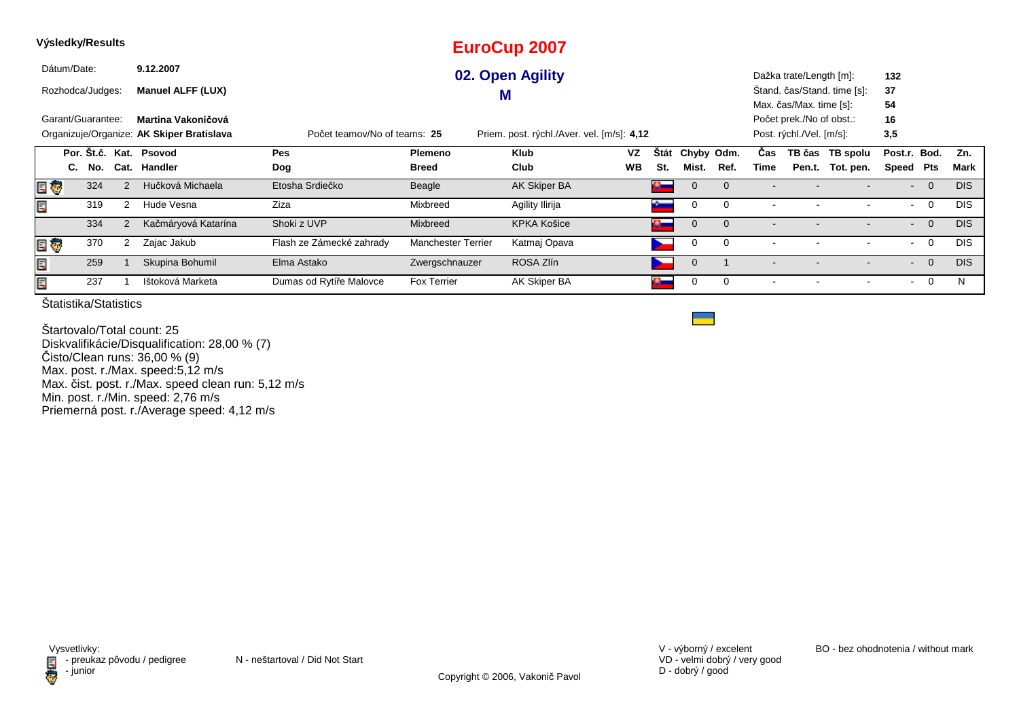| Výsledky/Results       |                                           |                              |                           | <b>EuroCup 2007</b>                        |           |                     |                |             |      |                          |                             |              |                |            |
|------------------------|-------------------------------------------|------------------------------|---------------------------|--------------------------------------------|-----------|---------------------|----------------|-------------|------|--------------------------|-----------------------------|--------------|----------------|------------|
| Dátum/Date:            | 9.12.2007                                 |                              |                           | 02. Open Agility                           |           |                     |                |             |      | Dažka trate/Length [m]:  |                             | 132          |                |            |
| Rozhodca/Judges:       | <b>Manuel ALFF (LUX)</b>                  |                              |                           | M                                          |           |                     |                |             |      |                          | Stand. čas/Stand. time [s]: | 37           |                |            |
|                        |                                           |                              |                           |                                            |           |                     |                |             |      | Max. čas/Max. time [s]:  |                             | 54           |                |            |
| Garant/Guarantee:      | Martina Vakoničová                        |                              |                           |                                            |           |                     |                |             |      | Počet prek./No of obst.: |                             | 16           |                |            |
|                        | Organizuje/Organize: AK Skiper Bratislava | Počet teamov/No of teams: 25 |                           | Priem. post. rýchl./Aver. vel. [m/s]: 4,12 |           |                     |                |             |      | Post. rýchl./Vel. [m/s]: |                             | 3,5          |                |            |
| Por. St.č. Kat. Psovod |                                           | Pes                          | Plemeno                   | <b>Klub</b>                                | <b>VZ</b> | <b>Stát</b>         | Chyby Odm.     |             | Cas  |                          | TB čas TB spolu             | Post.r. Bod. |                | Zn.        |
| No.<br>C.              | Cat. Handler                              | Dog                          | <b>Breed</b>              | Club                                       | <b>WB</b> | St.                 | Mist.          | Ref.        | Time |                          | Pen.t. Tot. pen.            | Speed        | Pts            | Mark       |
| 324<br>e ç             | Hučková Michaela<br>$\mathcal{P}$         | Etosha Srdiečko              | Beagle                    | AK Skiper BA                               |           | $\Omega_{\rm{max}}$ | $\mathbf 0$    | $\Omega$    |      |                          |                             | $\sim$       | $\overline{0}$ | <b>DIS</b> |
| Ē,<br>319              | Hude Vesna                                | Ziza                         | Mixbreed                  | Agility Ilirija                            |           |                     | 0              | $\Omega$    |      |                          |                             | $\sim$       | $\overline{0}$ | <b>DIS</b> |
| 334                    | Kačmáryová Katarína                       | Shoki z UVP                  | Mixbreed                  | <b>KPKA Košice</b>                         |           | $\alpha$            | $\overline{0}$ | $\Omega$    |      |                          | $\overline{\phantom{a}}$    | $\sim$       | $\overline{0}$ | <b>DIS</b> |
| 370<br>E G             | Zajac Jakub<br>2                          | Flash ze Zámecké zahrady     | <b>Manchester Terrier</b> | Katmaj Opava                               |           |                     | $\mathbf 0$    | $\mathbf 0$ |      |                          |                             | $\sim$       | $\overline{0}$ | <b>DIS</b> |
| Ē,<br>259              | Skupina Bohumil                           | Elma Astako                  | Zwergschnauzer            | ROSA Zlín                                  |           |                     | $\mathbf{0}$   |             |      |                          |                             | $\sim$       | $\overline{0}$ | <b>DIS</b> |
| Ε<br>237               | Ištoková Marketa                          | Dumas od Rytíře Malovce      | Fox Terrier               | AK Skiper BA                               |           | a.                  | 0              | $\mathbf 0$ |      |                          |                             | $\sim$       | $\overline{0}$ | N          |

Štartovalo/Total count: 25 Diskvalifikácie/Disqualification: 28,00 % (7)Čisto/Clean runs: 36,00 % (9) Max. post. r./Max. speed:5,12 m/s Max. čist. post. r./Max. speed clean run: 5,12 m/s Min. post. r./Min. speed: 2,76 m/sPriemerná post. r./Average speed: 4,12 m/s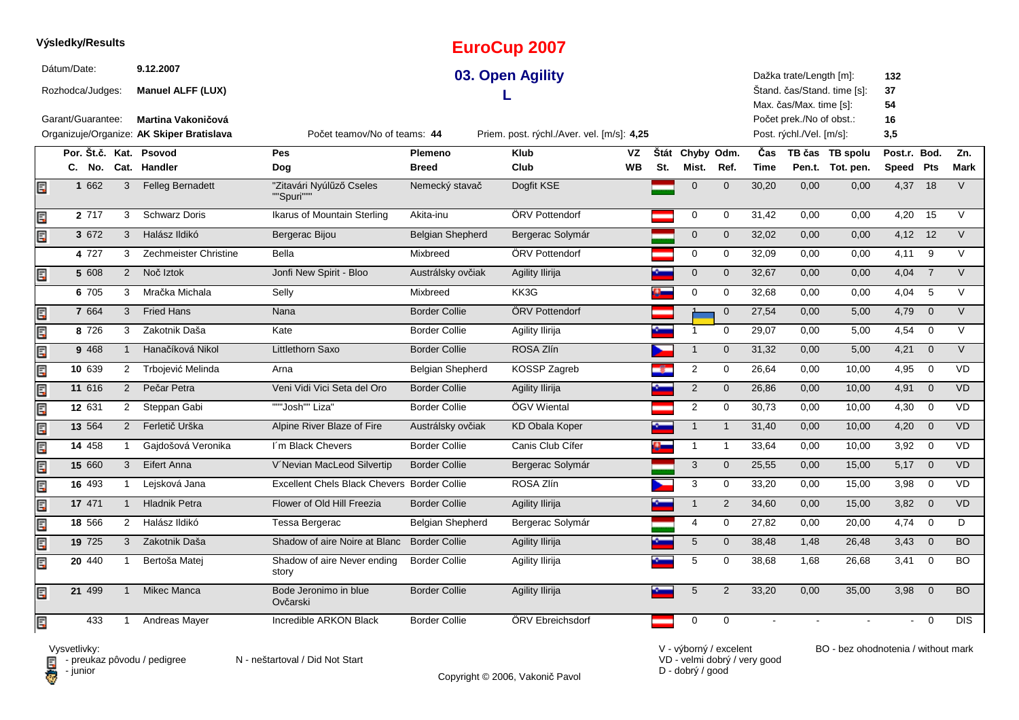|    | Výsledky/Results  |                |                                           |                                             |                         | <b>EuroCup 2007</b>                        |           |     |                 |              |             |                                                     |                             |              |                         |                  |
|----|-------------------|----------------|-------------------------------------------|---------------------------------------------|-------------------------|--------------------------------------------|-----------|-----|-----------------|--------------|-------------|-----------------------------------------------------|-----------------------------|--------------|-------------------------|------------------|
|    | Dátum/Date:       |                | 9.12.2007                                 |                                             |                         | 03. Open Agility                           |           |     |                 |              |             | Dažka trate/Length [m]:                             |                             | 132          |                         |                  |
|    | Rozhodca/Judges:  |                | <b>Manuel ALFF (LUX)</b>                  |                                             |                         |                                            |           |     |                 |              |             |                                                     | Štand. čas/Stand. time [s]: | 37           |                         |                  |
|    | Garant/Guarantee: |                | Martina Vakoničová                        |                                             |                         |                                            |           |     |                 |              |             | Max. čas/Max. time [s]:<br>Počet prek./No of obst.: |                             | 54<br>16     |                         |                  |
|    |                   |                | Organizuje/Organize: AK Skiper Bratislava | Počet teamov/No of teams: 44                |                         | Priem. post. rýchl./Aver. vel. [m/s]: 4,25 |           |     |                 |              |             | Post. rýchl./Vel. [m/s]:                            |                             | 3,5          |                         |                  |
|    |                   |                | Por. Št.č. Kat. Psovod                    | Pes                                         | Plemeno                 | <b>Klub</b>                                | VZ        |     | Štát Chyby Odm. |              | Čas         |                                                     | TB čas TB spolu             | Post.r. Bod. |                         | Zn.              |
|    |                   |                | C. No. Cat. Handler                       | Dog                                         | <b>Breed</b>            | Club                                       | <b>WB</b> | St. | Mist.           | Ref.         | <b>Time</b> |                                                     | Pen.t. Tot. pen.            | Speed Pts    |                         | <b>Mark</b>      |
| Ē, | 1 662             | 3              | <b>Felleg Bernadett</b>                   | "Zitavári Nyúlűző Cseles<br>""Spuri"""      | Nemecký stavač          | Dogfit KSE                                 |           |     | $\mathbf{0}$    | $\mathbf{0}$ | 30,20       | 0,00                                                | 0,00                        | 4,37 18      |                         | $\overline{V}$   |
| Ę  | $2\overline{717}$ | 3              | <b>Schwarz Doris</b>                      | Ikarus of Mountain Sterling                 | Akita-inu               | ÖRV Pottendorf                             |           |     | 0               | 0            | 31,42       | 0,00                                                | 0,00                        | 4,20         | 15                      | $\overline{V}$   |
| E  | 3 672             | 3              | Halász Ildikó                             | Bergerac Bijou                              | <b>Belgian Shepherd</b> | Bergerac Solymár                           |           |     | $\mathbf 0$     | $\mathbf 0$  | 32,02       | 0,00                                                | 0,00                        | 4,12 12      |                         | $\vee$           |
|    | 4 727             | 3              | Zechmeister Christine                     | Bella                                       | Mixbreed                | ÖRV Pottendorf                             |           |     | $\mathbf 0$     | 0            | 32,09       | 0,00                                                | 0,00                        | 4,11         | 9                       | $\vee$           |
| Ę  | 5 608             |                | Noč Iztok<br>$\overline{2}$               | Jonfi New Spirit - Bloo                     | Austrálsky ovčiak       | <b>Agility Ilirija</b>                     |           |     | $\mathbf 0$     | $\mathbf 0$  | 32,67       | 0,00                                                | 0,00                        | 4,04         | $\overline{7}$          | $\vee$           |
|    | 6 705             | 3              | Mračka Michala                            | Selly                                       | Mixbreed                | KK3G                                       |           |     | 0               | 0            | 32,68       | 0,00                                                | 0,00                        | 4,04         | 5                       | $\vee$           |
| Ę  | 7 664             | 3              | <b>Fried Hans</b>                         | Nana                                        | <b>Border Collie</b>    | ÖRV Pottendorf                             |           |     |                 | $\mathbf{0}$ | 27,54       | 0,00                                                | 5,00                        | 4,79         | $\overline{0}$          | $\vee$           |
| Ę  | 8 7 2 6           | 3              | Zakotnik Daša                             | Kate                                        | <b>Border Collie</b>    | Agility Ilirija                            |           |     | $\mathbf 1$     | 0            | 29,07       | 0,00                                                | 5,00                        | 4,54         | $\overline{0}$          | $\vee$           |
| E  | 9 4 6 8           | $\mathbf{1}$   | Hanačíková Nikol                          | Littlethorn Saxo                            | <b>Border Collie</b>    | ROSA Zlín                                  |           |     | $\mathbf{1}$    | $\mathbf 0$  | 31,32       | 0,00                                                | 5,00                        | 4,21         | $\overline{\mathbf{0}}$ | $\vee$           |
| E  | 10 639            | $\overline{2}$ | Trbojević Melinda                         | Arna                                        | Belgian Shepherd        | KOSSP Zagreb                               |           |     | $\overline{2}$  | 0            | 26,64       | 0,00                                                | 10,00                       | 4,95         | $\mathbf 0$             | <b>VD</b>        |
| Ē  | 11 616            |                | Pečar Petra<br>$\overline{2}$             | Veni Vidi Vici Seta del Oro                 | <b>Border Collie</b>    | Agility Ilirija                            |           |     | $\overline{2}$  | $\mathbf 0$  | 26,86       | 0,00                                                | 10,00                       | 4,91         | $\overline{0}$          | <b>VD</b>        |
| Ę  | 12 631            |                | Steppan Gabi<br>$\overline{2}$            | """Josh"" Liza"                             | <b>Border Collie</b>    | ÖGV Wiental                                |           |     | 2               | 0            | 30,73       | 0,00                                                | 10,00                       | 4,30         | $\overline{0}$          | VD               |
| Ę  | 13 564            |                | Ferletič Urška<br>$\overline{2}$          | Alpine River Blaze of Fire                  | Austrálsky ovčiak       | <b>KD Obala Koper</b>                      |           |     | $\mathbf{1}$    | $\mathbf{1}$ | 31,40       | 0,00                                                | 10,00                       | 4,20         | $\overline{0}$          | <b>VD</b>        |
| Ę  | 14 458            | $\mathbf{1}$   | Gajdošová Veronika                        | I'm Black Chevers                           | <b>Border Collie</b>    | Canis Club Cífer                           |           |     | $\mathbf{1}$    | -1           | 33,64       | 0,00                                                | 10,00                       | 3,92         | $\overline{0}$          | <b>VD</b>        |
| E  | 15 660            | $\mathbf{3}$   | Eifert Anna                               | V'Nevian MacLeod Silvertip                  | <b>Border Collie</b>    | Bergerac Solymár                           |           |     | 3               | $\mathbf{0}$ | 25,55       | 0,00                                                | 15,00                       | $5,17$ 0     |                         | <b>VD</b>        |
| E  | 16 493            | $\mathbf{1}$   | Lejsková Jana                             | Excellent Chels Black Chevers Border Collie |                         | ROSA Zlín                                  |           |     | 3               | 0            | 33,20       | 0,00                                                | 15,00                       | 3,98         | $\overline{\mathbf{0}}$ | VD               |
| Ę  | 17 471            | $\mathbf{1}$   | <b>Hladnik Petra</b>                      | Flower of Old Hill Freezia                  | <b>Border Collie</b>    | Agility Ilirija                            |           |     | $\mathbf{1}$    | $\mathbf{2}$ | 34,60       | 0,00                                                | 15,00                       | 3,82         | $\overline{0}$          | VD               |
| Ę  | 18 566            |                | Halász Ildikó<br>$\overline{2}$           | Tessa Bergerac                              | <b>Belgian Shepherd</b> | Bergerac Solymár                           |           |     | $\overline{4}$  | $\mathbf 0$  | 27,82       | 0,00                                                | 20,00                       | 4,74         | $\overline{0}$          | D                |
| E  | 19 725            |                | Zakotnik Daša<br>$\mathbf{3}$             | Shadow of aire Noire at Blanc               | <b>Border Collie</b>    | <b>Agility Ilirija</b>                     |           |     | $\overline{5}$  | $\mathbf 0$  | 38,48       | 1,48                                                | 26,48                       | 3,43         | $\overline{0}$          | <b>BO</b>        |
| E  | 20 440            | -1             | Bertoša Matej                             | Shadow of aire Never ending<br>story        | <b>Border Collie</b>    | Agility Ilirija                            |           |     | $\,$ 5 $\,$     | $\mathbf 0$  | 38,68       | 1,68                                                | 26,68                       | 3,41         | $\mathbf 0$             | <b>BO</b>        |
| Ē, | 21 499            | $\mathbf{1}$   | <b>Mikec Manca</b>                        | Bode Jeronimo in blue<br>Ovčarski           | <b>Border Collie</b>    | Agility Ilirija                            |           |     | 5               | 2            | 33,20       | 0,00                                                | 35,00                       | 3,98         | $\overline{0}$          | <b>BO</b>        |
| Ē. | 433               | $\mathbf{1}$   | Andreas Mayer                             | Incredible ARKON Black                      | <b>Border Collie</b>    | ÖRV Ebreichsdorf                           |           |     | $\pmb{0}$       | $\mathbf 0$  |             |                                                     |                             |              | $\overline{0}$          | $\overline{DIS}$ |

**D** - junior

Vysvetlivky:<br>⊟ - preukaz pôvodu / pedigree N - neštartoval / Did Not Start

Copyright © 2006, Vakonič Pavol

VD - velmi dobrý / very good D - dobrý / good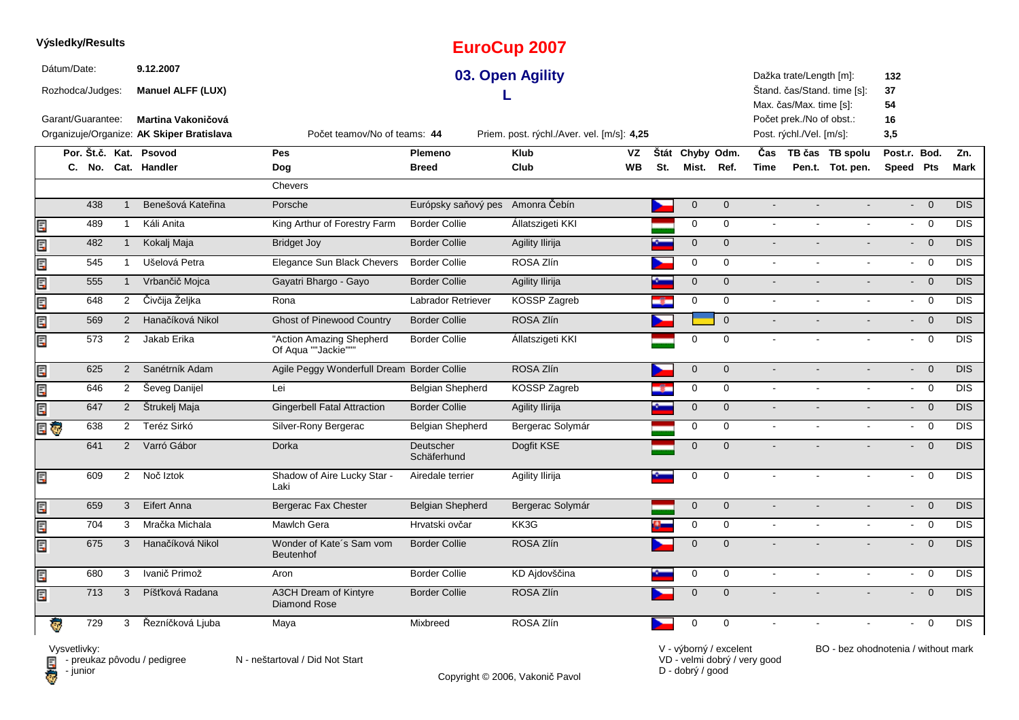|      |             | Výsledky/Results  |                |                                           |                                                 |                                  | <b>EuroCup 2007</b>                        |       |                |                |                |                          |                             |                           |                                       |            |
|------|-------------|-------------------|----------------|-------------------------------------------|-------------------------------------------------|----------------------------------|--------------------------------------------|-------|----------------|----------------|----------------|--------------------------|-----------------------------|---------------------------|---------------------------------------|------------|
|      | Dátum/Date: | Rozhodca/Judges:  |                | 9.12.2007<br><b>Manuel ALFF (LUX)</b>     |                                                 |                                  | 03. Open Agility                           |       |                |                |                | Dažka trate/Length [m]:  | Štand. čas/Stand. time [s]: | 132<br>37                 |                                       |            |
|      |             |                   |                |                                           |                                                 |                                  |                                            |       |                |                |                | Max. čas/Max. time [s]:  |                             | 54                        |                                       |            |
|      |             | Garant/Guarantee: |                | <b>Martina Vakoničová</b>                 |                                                 |                                  |                                            |       |                |                |                | Počet prek./No of obst.: |                             | 16                        |                                       |            |
|      |             |                   |                | Organizuje/Organize: AK Skiper Bratislava | Počet teamov/No of teams: 44                    |                                  | Priem. post. rýchl./Aver. vel. [m/s]: 4,25 |       |                |                |                | Post. rýchl./Vel. [m/s]: |                             | 3,5                       |                                       |            |
|      |             |                   |                | Por. Št.č. Kat. Psovod                    | <b>Pes</b>                                      | Plemeno                          | <b>Klub</b><br>VZ                          | Štát  | Chyby Odm.     |                | Čas            |                          | TB čas TB spolu             | Post.r. Bod.              |                                       | Zn.        |
|      |             |                   |                | C. No. Cat. Handler                       | Dog                                             | <b>Breed</b>                     | Club<br><b>WB</b>                          | St.   | Mist.          | Ref.           | Time           |                          | Pen.t. Tot. pen.            | Speed Pts                 |                                       | Mark       |
|      |             |                   |                |                                           | <b>Chevers</b>                                  |                                  |                                            |       |                |                |                |                          |                             |                           |                                       |            |
|      |             | 438               | $\mathbf{1}$   | Benešová Kateřina                         | Porsche                                         | Európsky saňový pes Amonra Čebín |                                            |       | $\mathbf 0$    | $\mathbf{0}$   | $\overline{a}$ |                          |                             | $\mathbb{Z}^{\mathbb{Z}}$ | $\Omega$                              | <b>DIS</b> |
| Ę    |             | 489               | $\mathbf{1}$   | Káli Anita                                | King Arthur of Forestry Farm                    | <b>Border Collie</b>             | Állatszigeti KKI                           |       | $\mathbf 0$    | $\mathbf 0$    | $\sim$         |                          |                             | $\sim$                    | $\overline{0}$                        | <b>DIS</b> |
| Ę    |             | 482               | $\mathbf{1}$   | Kokalj Maja                               | <b>Bridget Joy</b>                              | <b>Border Collie</b>             | <b>Agility Ilirija</b>                     |       | $\overline{0}$ | $\mathbf{0}$   | $\sim$         |                          |                             | $\sim$                    | $\overline{0}$                        | <b>DIS</b> |
| Ę    |             | 545               | $\mathbf{1}$   | Ušelová Petra                             | Elegance Sun Black Chevers                      | <b>Border Collie</b>             | ROSA Zlín                                  |       | 0              | $\mathbf 0$    | $\sim$         |                          | $\overline{a}$              | $\sim$                    | $\mathbf 0$                           | <b>DIS</b> |
| Ę    |             | 555               | $\mathbf{1}$   | Vrbančič Mojca                            | Gayatri Bhargo - Gayo                           | <b>Border Collie</b>             | Agility Ilirija                            |       | $\mathbf 0$    | $\mathbf 0$    | $\omega$       |                          |                             |                           | $\overline{0}$<br>$\omega_{\rm{eff}}$ | <b>DIS</b> |
| E    |             | 648               | $\overline{2}$ | Čivčija Željka                            | Rona                                            | <b>Labrador Retriever</b>        | KOSSP Zagreb                               | agar  | $\mathbf 0$    | $\Omega$       | $\blacksquare$ |                          | $\overline{\phantom{a}}$    | $\mathbf{r}$              | $\overline{0}$                        | <b>DIS</b> |
| Ę    |             | 569               | $\overline{2}$ | Hanačíková Nikol                          | <b>Ghost of Pinewood Country</b>                | <b>Border Collie</b>             | ROSA Zlín                                  |       |                | $\overline{0}$ | $\sim$         |                          |                             |                           | $- 0$                                 | <b>DIS</b> |
| Er   |             | 573               | $\overline{2}$ | Jakab Erika                               | "Action Amazing Shepherd<br>Of Aqua ""Jackie""" | <b>Border Collie</b>             | Állatszigeti KKI                           |       | $\mathbf 0$    | $\Omega$       | $\sim$         | $\sim$                   | $\blacksquare$              | $\sim$                    | $\overline{0}$                        | <b>DIS</b> |
| Ę    |             | 625               | $\overline{2}$ | Sanétrník Adam                            | Agile Peggy Wonderfull Dream Border Collie      |                                  | ROSA Zlín                                  |       | $\mathbf{0}$   | $\mathbf{0}$   | $\sim$         |                          |                             |                           | $\overline{0}$<br>$\sim 10$           | <b>DIS</b> |
| Ę    |             | 646               | $\overline{2}$ | Ševeg Danijel                             | Lei                                             | <b>Belgian Shepherd</b>          | KOSSP Zagreb                               | alisa | $\mathbf 0$    | $\mathbf 0$    | $\omega$       | $\overline{a}$           | $\mathbf{r}$                |                           | $- 0$                                 | <b>DIS</b> |
| Ę    |             | 647               | $2^{\circ}$    | Štrukelj Maja                             | <b>Gingerbell Fatal Attraction</b>              | <b>Border Collie</b>             | Agility Ilirija                            |       | $\mathbf{0}$   | $\mathbf{0}$   | $\sim$         |                          |                             | $\mathbf{L}^{\text{max}}$ | $\overline{0}$                        | <b>DIS</b> |
| E G  |             | 638               | $\overline{2}$ | Teréz Sirkó                               | Silver-Rony Bergerac                            | Belgian Shepherd                 | Bergerac Solymár                           |       | $\mathbf 0$    | $\mathbf 0$    | $\blacksquare$ | $\blacksquare$           | $\mathbf{r}$                | $\mathbf{L}^{\text{max}}$ | $\overline{\mathbf{0}}$               | <b>DIS</b> |
|      |             | 641               | $\overline{2}$ | Varró Gábor                               | Dorka                                           | Deutscher<br>Schäferhund         | Dogfit KSE                                 |       | $\Omega$       | $\Omega$       |                |                          |                             | $\sim$                    | $\overline{0}$                        | DIS        |
| Ę    |             | 609               | $2^{\circ}$    | Noč Iztok                                 | Shadow of Aire Lucky Star -<br>Laki             | Airedale terrier                 | Agility Ilirija                            |       | 0              | 0              | $\sim$         | $\mathbf{r}$             | $\sim$                      | $\omega$                  | $\overline{0}$                        | <b>DIS</b> |
| Ę    |             | 659               | 3              | Eifert Anna                               | Bergerac Fax Chester                            | <b>Belgian Shepherd</b>          | Bergerac Solymár                           |       | $\mathbf 0$    | $\mathbf 0$    | $\overline{a}$ |                          |                             | $\blacksquare$            | $\mathbf 0$                           | <b>DIS</b> |
| ECPS |             | 704               | 3              | Mračka Michala                            | Mawlch Gera                                     | Hrvatski ovčar                   | KK3G                                       |       | $\mathbf 0$    | $\mathbf 0$    | $\sim$         |                          |                             | $\sim$                    | $\overline{0}$                        | <b>DIS</b> |
| E    |             | 675               | 3              | Hanačíková Nikol                          | Wonder of Kate's Sam vom<br><b>Beutenhof</b>    | <b>Border Collie</b>             | ROSA Zlín                                  |       | $\mathbf{0}$   | $\Omega$       |                |                          |                             | $\sim$                    | $\overline{0}$                        | DIS        |
| Ę    |             | 680               | 3              | Ivanič Primož                             | Aron                                            | <b>Border Collie</b>             | KD Ajdovščina                              |       | $\mathbf 0$    | $\mathbf 0$    | $\sim$         | $\blacksquare$           | $\blacksquare$              | $\sim$                    | $\mathbf 0$                           | <b>DIS</b> |
| E    |             | 713               | 3              | Píšťková Radana                           | A3CH Dream of Kintyre<br><b>Diamond Rose</b>    | <b>Border Collie</b>             | ROSA Zlín                                  |       | $\mathbf 0$    | $\mathbf 0$    |                |                          |                             | $\sim$                    | $\overline{0}$                        | DIS        |
|      |             | 729               | 3              | Řezníčková Ljuba                          | Maya                                            | Mixbreed                         | ROSA Zlín                                  |       | 0              | $\mathbf 0$    |                |                          |                             |                           | $\overline{0}$                        | <b>DIS</b> |

Vysvetlivky:<br>⊟ - preukaz pôvodu / pedigree N - neštartoval / Did Not Start **D** - junior

Copyright © 2006, Vakonič Pavol

VD - velmi dobrý / very good D - dobrý / good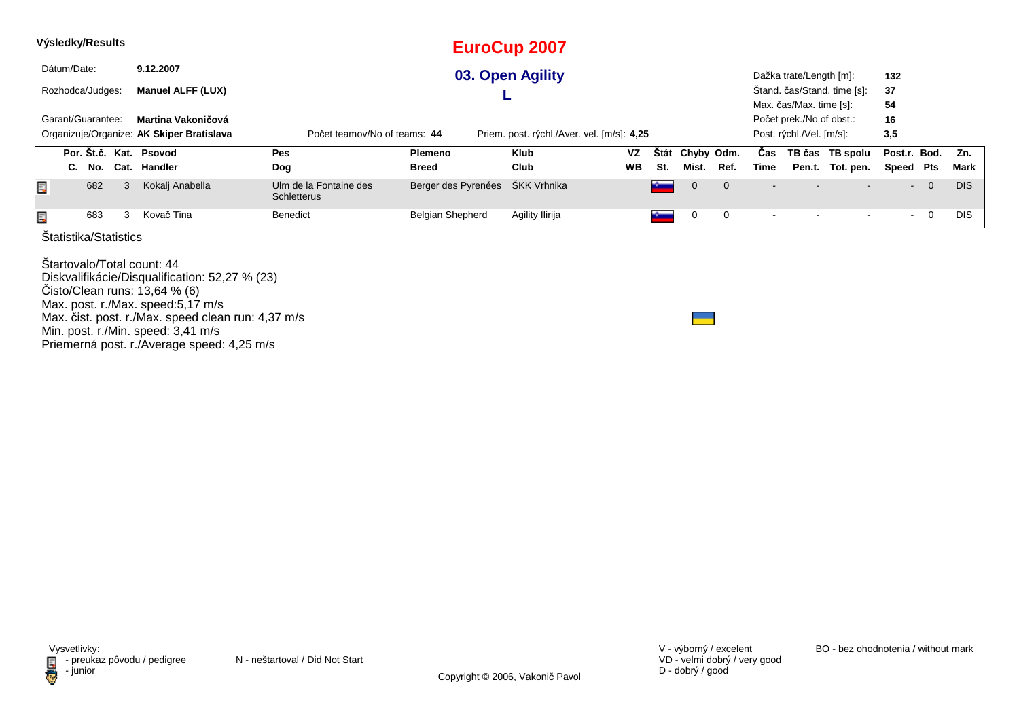|   |             | Výsledky/Results      |   |                                           |                                              |                         | <b>EuroCup 2007</b>                        |           |             |                |          |      |                          |                             |              |                |            |
|---|-------------|-----------------------|---|-------------------------------------------|----------------------------------------------|-------------------------|--------------------------------------------|-----------|-------------|----------------|----------|------|--------------------------|-----------------------------|--------------|----------------|------------|
|   | Dátum/Date: |                       |   | 9.12.2007                                 |                                              |                         | 03. Open Agility                           |           |             |                |          |      | Dažka trate/Length [m]:  |                             | 132          |                |            |
|   |             | Rozhodca/Judges:      |   | <b>Manuel ALFF (LUX)</b>                  |                                              |                         |                                            |           |             |                |          |      |                          | Štand. čas/Stand. time [s]: | 37           |                |            |
|   |             |                       |   |                                           |                                              |                         |                                            |           |             |                |          |      | Max. čas/Max. time [s]:  |                             | 54           |                |            |
|   |             | Garant/Guarantee:     |   | Martina Vakoničová                        |                                              |                         |                                            |           |             |                |          |      | Počet prek./No of obst.: |                             | 16           |                |            |
|   |             |                       |   | Organizuje/Organize: AK Skiper Bratislava | Počet teamov/No of teams: 44                 |                         | Priem. post. rýchl./Aver. vel. [m/s]: 4,25 |           |             |                |          |      | Post. rýchl./Vel. [m/s]: |                             | 3,5          |                |            |
|   |             |                       |   | Por. Št.č. Kat. Psovod                    | <b>Pes</b>                                   | <b>Plemeno</b>          | <b>Klub</b>                                | <b>VZ</b> | <b>Stát</b> | Chyby Odm.     |          | Cas  |                          | TB čas TB spolu             | Post.r. Bod. |                | Zn.        |
|   |             | C. No.                |   | Cat. Handler                              | Dog                                          | <b>Breed</b>            | Club                                       | <b>WB</b> | St.         | Mist.          | Ref.     | Time |                          | Pen.t. Tot. pen.            | Speed Pts    |                | Mark       |
| Ę |             | 682                   | 3 | Kokalj Anabella                           | Ulm de la Fontaine des<br><b>Schletterus</b> | Berger des Pyrenées     | ŠKK Vrhnika                                |           | $\sim$      | $\overline{0}$ | $\Omega$ |      |                          |                             | $\sim$       | $\overline{0}$ | <b>DIS</b> |
|   |             | 683                   |   | Kovač Tina                                | Benedict                                     | <b>Belgian Shepherd</b> | Agility Ilirija                            |           |             |                |          |      |                          |                             |              | U              | <b>DIS</b> |
|   |             | Statistika/Statistics |   |                                           |                                              |                         |                                            |           |             |                |          |      |                          |                             |              |                |            |

Štartovalo/Total count: 44 Diskvalifikácie/Disqualification: 52,27 % (23)Čisto/Clean runs: 13,64 % (6) Max. post. r./Max. speed:5,17 m/s Max. čist. post. r./Max. speed clean run: 4,37 m/sMin. post. r./Min. speed: 3,41 m/s Priemerná post. r./Average speed: 4,25 m/s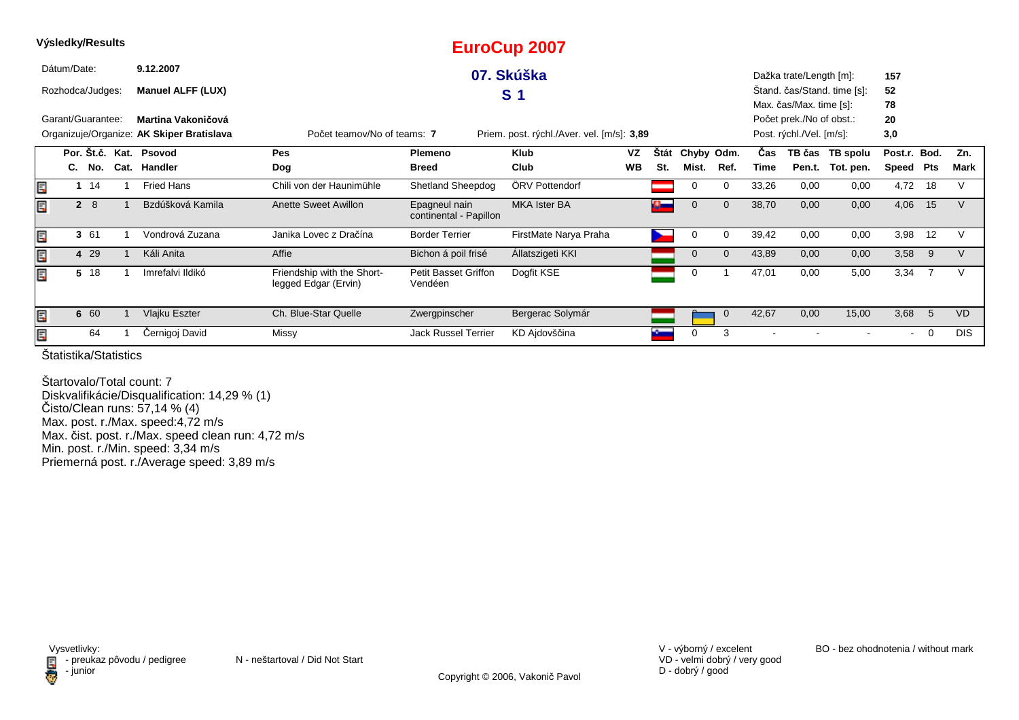|   | Výsledky/Results  |             |                                           |                                                    |                                         | <b>EuroCup 2007</b>                        |           |             |             |              |            |                          |                             |                |    |            |
|---|-------------------|-------------|-------------------------------------------|----------------------------------------------------|-----------------------------------------|--------------------------------------------|-----------|-------------|-------------|--------------|------------|--------------------------|-----------------------------|----------------|----|------------|
|   | Dátum/Date:       |             | 9.12.2007                                 |                                                    |                                         | 07. Skúška                                 |           |             |             |              |            | Dažka trate/Length [m]:  |                             | 157            |    |            |
|   | Rozhodca/Judges:  |             | <b>Manuel ALFF (LUX)</b>                  |                                                    |                                         | S <sub>1</sub>                             |           |             |             |              |            |                          | Stand. čas/Stand. time [s]: | 52             |    |            |
|   |                   |             |                                           |                                                    |                                         |                                            |           |             |             |              |            | Max. čas/Max. time [s]:  |                             | 78             |    |            |
|   | Garant/Guarantee: |             | Martina Vakoničová                        |                                                    |                                         |                                            |           |             |             |              |            | Počet prek./No of obst.: |                             | 20             |    |            |
|   |                   |             | Organizuje/Organize: AK Skiper Bratislava | Počet teamov/No of teams: 7                        |                                         | Priem. post. rýchl./Aver. vel. [m/s]: 3,89 |           |             |             |              |            | Post. rýchl./Vel. [m/s]: |                             | 3,0            |    |            |
|   |                   |             | Por. Št.č. Kat. Psovod                    | Pes                                                | Plemeno                                 | <b>Klub</b>                                | VZ        | <b>Stát</b> | Chyby Odm.  |              | <b>Čas</b> |                          | TB čas TB spolu             | Post.r. Bod.   |    | Zn.        |
|   |                   | C. No.      | Cat. Handler                              | Dog                                                | <b>Breed</b>                            | Club                                       | <b>WB</b> | St.         | Mist.       | Ref.         | Time       |                          | Pen.t. Tot. pen.            | Speed Pts      |    | Mark       |
| E |                   | $1 \t14$    | Fried Hans                                | Chili von der Haunimühle                           | <b>Shetland Sheepdog</b>                | ÖRV Pottendorf                             |           |             | 0           | 0            | 33,26      | 0,00                     | 0,00                        | 4,72           | 18 | V          |
| Ę |                   | $2 \quad 8$ | Bzdúšková Kamila                          | <b>Anette Sweet Awillon</b>                        | Epagneul nain<br>continental - Papillon | <b>MKA Ister BA</b>                        |           | o and       | $\mathbf 0$ | $\mathbf 0$  | 38,70      | 0,00                     | 0,00                        | 4,06           | 15 | V          |
| Ę |                   | 3 61        | Vondrová Zuzana                           | Janika Lovec z Dračína                             | <b>Border Terrier</b>                   | FirstMate Narya Praha                      |           |             | 0           | 0            | 39,42      | 0,00                     | 0,00                        | 3,98           | 12 |            |
| E |                   | 4 29        | Káli Anita                                | Affie                                              | Bichon á poil frisé                     | Allatszigeti KKI                           |           |             | $\mathbf 0$ | $\mathbf{0}$ | 43,89      | 0,00                     | 0,00                        | 3,58           | 9  | V          |
| E |                   | 5 18        | Imrefalvi Ildikó                          | Friendship with the Short-<br>legged Edgar (Ervin) | <b>Petit Basset Griffon</b><br>Vendéen  | Dogfit KSE                                 |           |             | 0           |              | 47,01      | 0,00                     | 5,00                        | 3,34           |    |            |
| E |                   | 6 60        | Vlajku Eszter                             | Ch. Blue-Star Quelle                               | Zwergpinscher                           | Bergerac Solymár                           |           |             |             | $\mathbf 0$  | 42,67      | 0,00                     | 15,00                       | 3,68           | -5 | <b>VD</b>  |
| E |                   | 64          | Černigoj David                            | Missy                                              | <b>Jack Russel Terrier</b>              | KD Ajdovščina                              |           |             | 0           | 3            |            |                          |                             | $\blacksquare$ | 0  | <b>DIS</b> |

Štartovalo/Total count: 7 Diskvalifikácie/Disqualification: 14,29 % (1) Čisto/Clean runs: 57,14 % (4) Max. post. r./Max. speed:4,72 m/s Max. čist. post. r./Max. speed clean run: 4,72 m/s Min. post. r./Min. speed: 3,34 m/sPriemerná post. r./Average speed: 3,89 m/s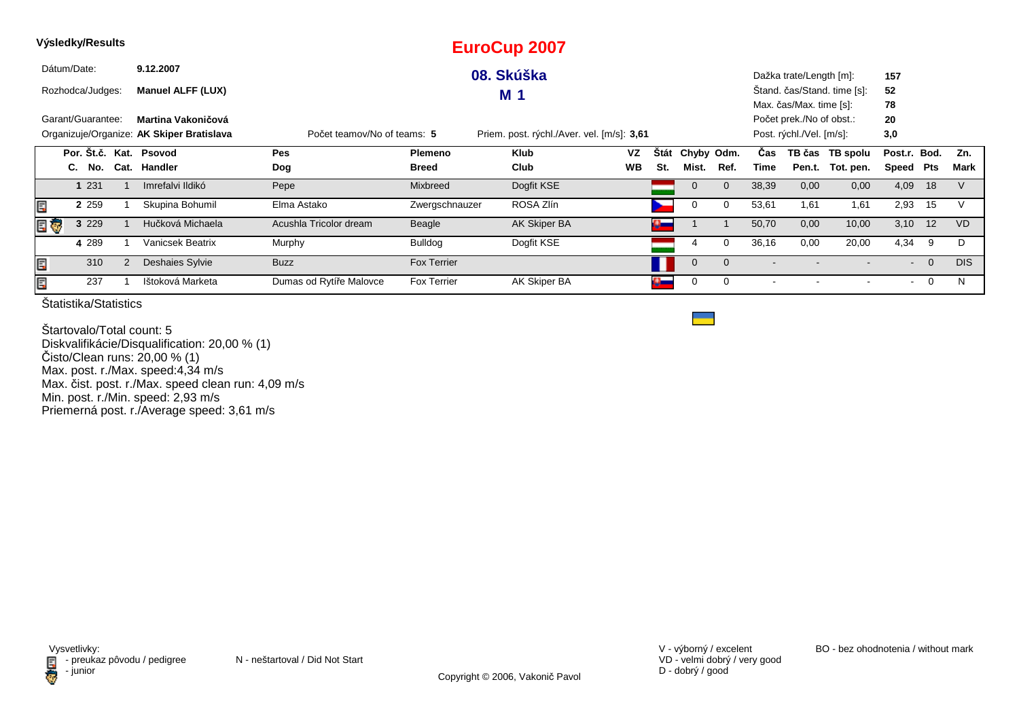| Výsledky/Results |    |                                        |      |                                           |                             |                    | <b>EuroCup 2007</b>                        |           |              |                 |              |                          |                          |                             |              |                |            |
|------------------|----|----------------------------------------|------|-------------------------------------------|-----------------------------|--------------------|--------------------------------------------|-----------|--------------|-----------------|--------------|--------------------------|--------------------------|-----------------------------|--------------|----------------|------------|
|                  |    | Dátum/Date:<br>9.12.2007<br>08. Skúška |      |                                           |                             |                    |                                            |           |              |                 |              | Dažka trate/Length [m]:  |                          | 157                         |              |                |            |
|                  |    | Rozhodca/Judges:                       |      | <b>Manuel ALFF (LUX)</b>                  |                             |                    | <b>M</b> 1                                 |           |              |                 |              |                          |                          | Stand. čas/Stand. time [s]: | 52           |                |            |
|                  |    |                                        |      |                                           |                             |                    |                                            |           |              |                 |              |                          | Max. čas/Max. time [s]:  |                             | 78           |                |            |
|                  |    | Garant/Guarantee:                      |      | Martina Vakoničová                        |                             |                    |                                            |           |              |                 |              |                          | Počet prek./No of obst.: |                             | 20           |                |            |
|                  |    |                                        |      | Organizuje/Organize: AK Skiper Bratislava | Počet teamov/No of teams: 5 |                    | Priem. post. rýchl./Aver. vel. [m/s]: 3,61 |           |              |                 |              |                          | Post. rýchl./Vel. [m/s]: |                             | 3,0          |                |            |
|                  |    |                                        |      | Por. Št.č. Kat. Psovod                    | Pes                         | Plemeno            | <b>Klub</b>                                | <b>VZ</b> |              | Štát Chyby Odm. |              | Cas                      |                          | TB čas TB spolu             | Post.r. Bod. |                | Zn.        |
|                  | C. | No.                                    | Cat. | Handler                                   | Dog                         | <b>Breed</b>       | Club                                       | <b>WB</b> | St.          | Mist.           | Ref.         | Time                     |                          | Pen.t. Tot. pen.            | Speed Pts    |                | Mark       |
|                  |    | 1 2 3 1                                |      | Imrefalvi Ildikó                          | Pepe                        | Mixbreed           | Dogfit KSE                                 |           |              | $\mathbf 0$     | $\mathbf{0}$ | 38,39                    | 0,00                     | 0,00                        | 4,09         | 18             |            |
| Ę                |    | 2 2 5 9                                |      | Skupina Bohumil                           | Elma Astako                 | Zwergschnauzer     | ROSA Zlín                                  |           |              | 0               | 0            | 53,61                    | 1,61                     | 1,61                        | 2,93         | 15             |            |
| E T              |    | 3 2 2 9                                |      | Hučková Michaela                          | Acushla Tricolor dream      | Beagle             | AK Skiper BA                               |           | $\mathbf{a}$ |                 |              | 50,70                    | 0,00                     | 10,00                       | 3,10         | 12             | <b>VD</b>  |
|                  |    | 4 2 8 9                                |      | <b>Vanicsek Beatrix</b>                   | Murphy                      | Bulldog            | Dogfit KSE                                 |           |              | 4               | $\Omega$     | 36,16                    | 0,00                     | 20,00                       | 4,34         | 9              | D          |
| Ę                |    | 310                                    | 2    | Deshaies Sylvie                           | <b>Buzz</b>                 | <b>Fox Terrier</b> |                                            |           |              | $\mathbf 0$     | $\mathbf{0}$ | $\overline{\phantom{a}}$ |                          |                             |              | $- 0$          | <b>DIS</b> |
| ECPS             |    | 237                                    |      | Ištoková Marketa                          | Dumas od Rytíře Malovce     | Fox Terrier        | AK Skiper BA                               |           |              | 0               | 0            |                          |                          |                             | $\sim$       | $\overline{0}$ | N          |

Štartovalo/Total count: 5 Diskvalifikácie/Disqualification: 20,00 % (1)Čisto/Clean runs: 20,00 % (1) Max. post. r./Max. speed:4,34 m/sMax. čist. post. r./Max. speed clean run: 4,09 m/s Min. post. r./Min. speed: 2,93 m/s Priemerná post. r./Average speed: 3,61 m/s

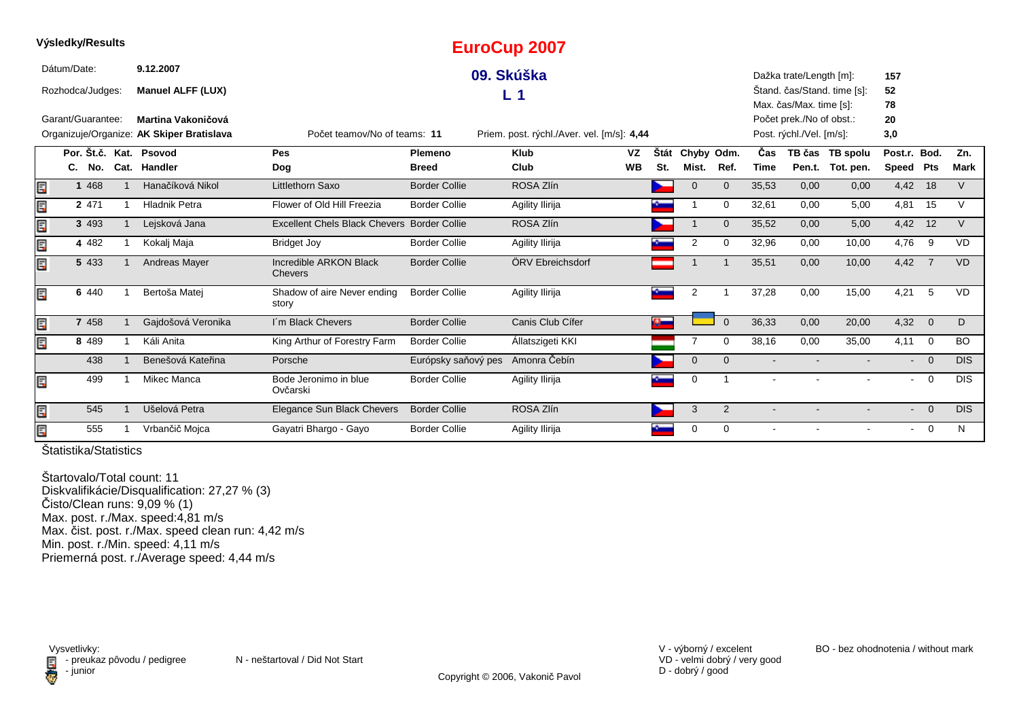|      | <b>vysiegky/Results</b> |                                           |                                             |                      | <b>EuroCup 2007</b>                        |           |     |                 |                |                |                          |                             |              |                |            |
|------|-------------------------|-------------------------------------------|---------------------------------------------|----------------------|--------------------------------------------|-----------|-----|-----------------|----------------|----------------|--------------------------|-----------------------------|--------------|----------------|------------|
|      | Dátum/Date:             | 9.12.2007                                 |                                             |                      | 09. Skúška                                 |           |     |                 |                |                | Dažka trate/Length [m]:  |                             | 157          |                |            |
|      | Rozhodca/Judges:        | <b>Manuel ALFF (LUX)</b>                  |                                             |                      | L <sub>1</sub>                             |           |     |                 |                |                |                          | Stand. čas/Stand. time [s]: | 52           |                |            |
|      |                         |                                           |                                             |                      |                                            |           |     |                 |                |                | Max. čas/Max. time [s]:  |                             | 78           |                |            |
|      | Garant/Guarantee:       | Martina Vakoničová                        |                                             |                      |                                            |           |     |                 |                |                | Počet prek./No of obst.: |                             | 20           |                |            |
|      |                         | Organizuje/Organize: AK Skiper Bratislava | Počet teamov/No of teams: 11                |                      | Priem. post. rýchl./Aver. vel. [m/s]: 4,44 |           |     |                 |                |                | Post. rýchl./Vel. [m/s]: |                             | 3,0          |                |            |
|      | Por. Št.č. Kat. Psovod  |                                           | Pes                                         | Plemeno              | <b>Klub</b>                                | <b>VZ</b> |     | Štát Chyby Odm. |                | Čas            |                          | TB čas TB spolu             | Post.r. Bod. |                | Zn.        |
|      | C.<br>No.               | Cat. Handler                              | Dog                                         | <b>Breed</b>         | Club                                       | <b>WB</b> | St. | Mist.           | Ref.           | <b>Time</b>    |                          | Pen.t. Tot. pen.            | Speed Pts    |                | Mark       |
| Ē,   | 1 4 6 8                 | Hanačíková Nikol                          | Littlethorn Saxo                            | <b>Border Collie</b> | ROSA Zlín                                  |           |     | $\overline{0}$  | $\overline{0}$ | 35,53          | 0,00                     | 0,00                        | 4,42         | 18             | $\vee$     |
| E    | 2 471                   | <b>Hladnik Petra</b>                      | Flower of Old Hill Freezia                  | <b>Border Collie</b> | Agility Ilirija                            |           |     |                 | $\Omega$       | 32,61          | 0,00                     | 5,00                        | 4,81         | 15             | $\vee$     |
| li.f | 3 4 9 3                 | Lejsková Jana                             | Excellent Chels Black Chevers Border Collie |                      | ROSA Zlín                                  |           |     |                 | $\Omega$       | 35,52          | 0,00                     | 5,00                        | 4,42         | 12             | $\vee$     |
| Ę    | 4 4 8 2                 | Kokalj Maja                               | <b>Bridget Joy</b>                          | <b>Border Collie</b> | Agility Ilirija                            |           |     | $\overline{2}$  | $\Omega$       | 32,96          | 0,00                     | 10,00                       | 4,76         | 9              | <b>VD</b>  |
| Ę    | 5 4 3 3                 | Andreas Mayer                             | Incredible ARKON Black<br><b>Chevers</b>    | <b>Border Collie</b> | ÖRV Ebreichsdorf                           |           |     |                 |                | 35,51          | 0,00                     | 10,00                       | 4,42         | $\overline{7}$ | <b>VD</b>  |
| Ę    | 6 440                   | Bertoša Matej                             | Shadow of aire Never ending<br>story        | <b>Border Collie</b> | Agility Ilirija                            |           |     | $\overline{2}$  |                | 37,28          | 0,00                     | 15,00                       | 4.21         | -5             | <b>VD</b>  |
| Ę    | 7 4 5 8                 | Gajdošová Veronika                        | I'm Black Chevers                           | <b>Border Collie</b> | Canis Club Cífer                           |           | Ø.  |                 | $\overline{0}$ | 36,33          | 0,00                     | 20,00                       | $4,32$ 0     |                | D          |
| Ę    | 8 4 8 9                 | Káli Anita                                | King Arthur of Forestry Farm                | <b>Border Collie</b> | Állatszigeti KKI                           |           |     | 7               | $\Omega$       | 38,16          | 0,00                     | 35,00                       | 4,11         | $\overline{0}$ | <b>BO</b>  |
|      | 438                     | Benešová Kateřina                         | Porsche                                     | Európsky saňový pes  | Amonra Čebín                               |           |     | $\mathbf 0$     | $\Omega$       | $\blacksquare$ |                          |                             |              | $\overline{0}$ | <b>DIS</b> |
| Ē.   | 499                     | <b>Mikec Manca</b>                        | Bode Jeronimo in blue<br>Ovčarski           | <b>Border Collie</b> | Agility Ilirija                            |           |     | 0               |                |                |                          |                             |              | $- 0$          | <b>DIS</b> |
| E    | 545                     | Ušelová Petra                             | Elegance Sun Black Chevers                  | <b>Border Collie</b> | ROSA Zlín                                  |           |     | 3               | $\overline{2}$ |                |                          |                             |              | $- 0$          | <b>DIS</b> |
| Ę    | 555                     | Vrbančič Mojca                            | Gayatri Bhargo - Gayo                       | <b>Border Collie</b> | Agility Ilirija                            |           |     | $\mathbf 0$     | $\Omega$       |                |                          | $\blacksquare$              | $\sim$       | $\overline{0}$ | N          |

**Výsledky/Results**

Štartovalo/Total count: 11 Diskvalifikácie/Disqualification: 27,27 % (3) Čisto/Clean runs: 9,09 % (1) Max. post. r./Max. speed:4,81 m/s Max. čist. post. r./Max. speed clean run: 4,42 m/sMin. post. r./Min. speed: 4,11 m/s Priemerná post. r./Average speed: 4,44 m/s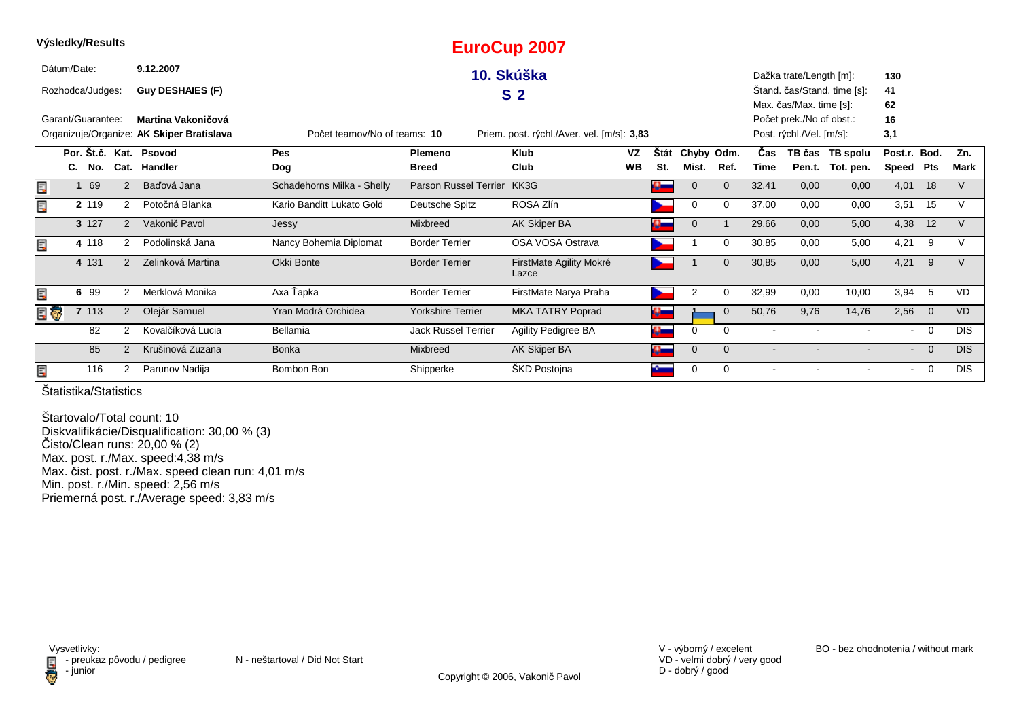|     | Výsledky/Results  |       |       |   |                                           |                              |                              | <b>EuroCup 2007</b>                        |           |                    |                |             |                          |                          |                             |                |                |             |
|-----|-------------------|-------|-------|---|-------------------------------------------|------------------------------|------------------------------|--------------------------------------------|-----------|--------------------|----------------|-------------|--------------------------|--------------------------|-----------------------------|----------------|----------------|-------------|
|     | Dátum/Date:       |       |       |   | 9.12.2007                                 |                              |                              | 10. Skúška                                 |           |                    |                |             |                          | Dažka trate/Length [m]:  |                             | 130            |                |             |
|     | Rozhodca/Judges:  |       |       |   | Guy DESHAIES (F)                          |                              |                              | S <sub>2</sub>                             |           |                    |                |             |                          |                          | Štand. čas/Stand. time [s]: | 41             |                |             |
|     |                   |       |       |   |                                           |                              |                              |                                            |           |                    |                |             |                          | Max. čas/Max. time [s]:  |                             | 62             |                |             |
|     | Garant/Guarantee: |       |       |   | Martina Vakoničová                        |                              |                              |                                            |           |                    |                |             |                          | Počet prek./No of obst.: |                             | 16             |                |             |
|     |                   |       |       |   | Organizuje/Organize: AK Skiper Bratislava | Počet teamov/No of teams: 10 |                              | Priem. post. rýchl./Aver. vel. [m/s]: 3,83 |           |                    |                |             |                          | Post. rýchl./Vel. [m/s]: |                             | 3,1            |                |             |
|     |                   |       |       |   | Por. Št.č. Kat. Psovod                    | Pes                          | Plemeno                      | <b>Klub</b>                                | <b>VZ</b> | <b>Stát</b>        | Chyby Odm.     |             | Čas                      |                          | TB čas TB spolu             | Post.r.        | Bod.           | Zn.         |
|     | C.                |       | No.   |   | Cat. Handler                              | Dog                          | <b>Breed</b>                 | Club                                       | <b>WB</b> | St.                | Mist.          | Ref.        | <b>Time</b>              |                          | Pen.t. Tot. pen.            | Speed Pts      |                | <b>Mark</b> |
| E   |                   |       | 69    | 2 | Baďová Jana                               | Schadehorns Milka - Shelly   | <b>Parson Russel Terrier</b> | KK3G                                       |           |                    |                | $\Omega$    | 32,41                    | 0,00                     | 0,00                        | 4,01           | 18             | V           |
| E   |                   | 2 119 |       | 2 | Potočná Blanka                            | Kario Banditt Lukato Gold    | Deutsche Spitz               | ROSA Zlín                                  |           |                    | 0              | $\Omega$    | 37,00                    | 0,00                     | 0,00                        | 3,51           | 15             | $\vee$      |
|     |                   | 3 127 |       | 2 | Vakonič Pavol                             | Jessy                        | Mixbreed                     | AK Skiper BA                               |           |                    | $\mathbf 0$    |             | 29,66                    | 0,00                     | 5,00                        | 4,38           | 12             | $\vee$      |
| Ē,  |                   | 4 118 |       | 2 | Podolinská Jana                           | Nancy Bohemia Diplomat       | <b>Border Terrier</b>        | OSA VOSA Ostrava                           |           |                    |                | $\Omega$    | 30,85                    | 0,00                     | 5,00                        | 4,21           | 9              | V           |
|     |                   | 4 131 |       | 2 | Zelinková Martina                         | Okki Bonte                   | <b>Border Terrier</b>        | FirstMate Agility Mokré<br>Lazce           |           |                    |                | $\Omega$    | 30,85                    | 0,00                     | 5,00                        | 4,21           | 9              | $\vee$      |
| E   |                   | 6     | 99    | 2 | Merklová Monika                           | Axa Ťapka                    | <b>Border Terrier</b>        | FirstMate Narya Praha                      |           |                    | $\overline{2}$ | $\Omega$    | 32,99                    | 0,00                     | 10,00                       | 3,94           | -5             | <b>VD</b>   |
| E G |                   |       | 7 113 | 2 | Olejár Samuel                             | Yran Modrá Orchidea          | <b>Yorkshire Terrier</b>     | <b>MKA TATRY Poprad</b>                    |           | $\Omega_{\rm max}$ |                | $\mathbf 0$ | 50,76                    | 9,76                     | 14,76                       | 2,56           | $\overline{0}$ | <b>VD</b>   |
|     |                   |       | 82    | 2 | Kovalčíková Lucia                         | Bellamia                     | <b>Jack Russel Terrier</b>   | Agility Pedigree BA                        |           | $\mathbf{a}$       | 0              | 0           | $\overline{\phantom{a}}$ |                          |                             | $\blacksquare$ | $\overline{0}$ | <b>DIS</b>  |
|     |                   |       | 85    | 2 | Krušinová Zuzana                          | <b>Bonka</b>                 | Mixbreed                     | <b>AK Skiper BA</b>                        |           | $\bullet$          | $\mathbf 0$    | $\Omega$    | $\overline{\phantom{a}}$ |                          |                             | $\sim$         | $\overline{0}$ | <b>DIS</b>  |
| Ē,  |                   |       | 116   | 2 | Parunov Nadija                            | Bombon Bon                   | Shipperke                    | ŠKD Postojna                               |           |                    | 0              | $\Omega$    |                          |                          |                             | $\sim$         | $\overline{0}$ | <b>DIS</b>  |

Štartovalo/Total count: 10 Diskvalifikácie/Disqualification: 30,00 % (3)Čisto/Clean runs: 20,00 % (2) Max. post. r./Max. speed:4,38 m/s Max. čist. post. r./Max. speed clean run: 4,01 m/sMin. post. r./Min. speed: 2,56 m/s Priemerná post. r./Average speed: 3,83 m/s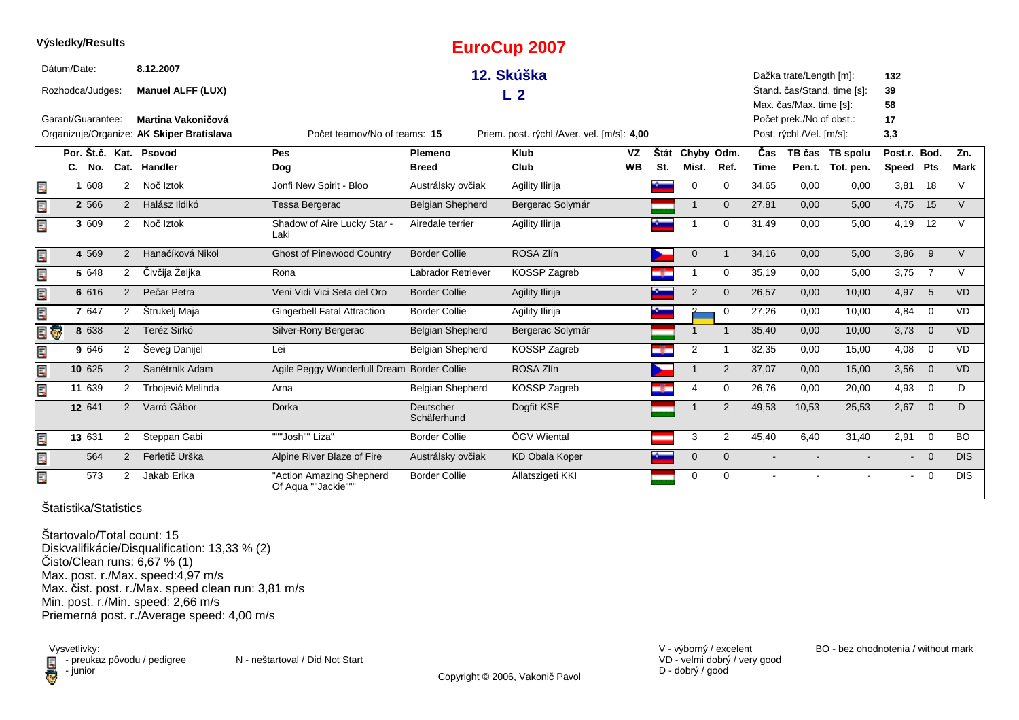|    | Výsledky/Results       |                |                                           |                                                 |                           | <b>EuroCup 2007</b>                        |           |      |                |                |       |                          |                             |                |                 |             |
|----|------------------------|----------------|-------------------------------------------|-------------------------------------------------|---------------------------|--------------------------------------------|-----------|------|----------------|----------------|-------|--------------------------|-----------------------------|----------------|-----------------|-------------|
|    | Dátum/Date:            |                | 8.12.2007                                 |                                                 |                           | 12. Skúška                                 |           |      |                |                |       | Dažka trate/Length [m]:  |                             | 132            |                 |             |
|    | Rozhodca/Judges:       |                | <b>Manuel ALFF (LUX)</b>                  |                                                 |                           | L <sub>2</sub>                             |           |      |                |                |       |                          | Štand. čas/Stand. time [s]: | 39             |                 |             |
|    |                        |                |                                           |                                                 |                           |                                            |           |      |                |                |       | Max. čas/Max. time [s]:  |                             | 58             |                 |             |
|    | Garant/Guarantee:      |                | Martina Vakoničová                        |                                                 |                           |                                            |           |      |                |                |       | Počet prek./No of obst.: |                             | 17             |                 |             |
|    |                        |                | Organizuje/Organize: AK Skiper Bratislava | Počet teamov/No of teams: 15                    |                           | Priem. post. rýchl./Aver. vel. [m/s]: 4,00 |           |      |                |                |       | Post. rýchl./Vel. [m/s]: |                             | 3,3            |                 |             |
|    | Por. Št.č. Kat. Psovod |                |                                           | Pes                                             | <b>Plemeno</b>            | Klub                                       | <b>VZ</b> | Štát | Chyby Odm.     |                | Čas   |                          | TB čas TB spolu             | Post.r. Bod.   |                 | Zn.         |
|    | C. No.                 |                | Cat. Handler                              | Dog                                             | <b>Breed</b>              | Club                                       | <b>WB</b> | St.  | Mist.          | Ref.           | Time  |                          | Pen.t. Tot. pen.            | Speed          | <b>Pts</b>      | <b>Mark</b> |
| Ē, | 1 608                  | $\overline{2}$ | Noč Iztok                                 | Jonfi New Spirit - Bloo                         | Austrálsky ovčiak         | Agility Ilirija                            |           | ł    | 0              | $\mathbf 0$    | 34,65 | 0,00                     | 0,00                        | 3,81           | 18              | $\vee$      |
| Ę  | 2 5 6 6                | 2              | Halász Ildikó                             | Tessa Bergerac                                  | <b>Belgian Shepherd</b>   | Bergerac Solymár                           |           |      | $\mathbf 1$    | $\mathbf{0}$   | 27,81 | 0,00                     | 5,00                        | 4,75           | 15              | $\vee$      |
| Ę  | 3 609                  | $\overline{2}$ | Noč Iztok                                 | Shadow of Aire Lucky Star -<br>Laki             | Airedale terrier          | Agility Ilirija                            |           |      |                | $\Omega$       | 31,49 | 0,00                     | 5,00                        | 4,19           | 12              | $\vee$      |
| E  | 4 5 6 9                | 2              | Hanačíková Nikol                          | <b>Ghost of Pinewood Country</b>                | <b>Border Collie</b>      | ROSA Zlín                                  |           |      | $\mathbf 0$    |                | 34,16 | 0,00                     | 5,00                        | 3,86           | 9               | $\vee$      |
| E  | 5 648                  | 2              | Čivčija Željka                            | Rona                                            | <b>Labrador Retriever</b> | KOSSP Zagreb                               |           |      | 1              | 0              | 35,19 | 0,00                     | 5,00                        | 3,75           | $\overline{7}$  | $\vee$      |
| E  | 6 616                  | 2              | Pečar Petra                               | Veni Vidi Vici Seta del Oro                     | <b>Border Collie</b>      | Agility Ilirija                            |           |      | $\overline{2}$ | $\mathbf{0}$   | 26,57 | 0,00                     | 10,00                       | 4,97           | $5\phantom{.0}$ | <b>VD</b>   |
| E  | 7 647                  | 2              | Štrukelj Maja                             | <b>Gingerbell Fatal Attraction</b>              | <b>Border Collie</b>      | Agility Ilirija                            |           |      |                | $\mathbf 0$    | 27,26 | 0,00                     | 10,00                       | 4,84           | $\mathbf 0$     | <b>VD</b>   |
| Ę  | 8 638<br>Ģ             | 2              | Teréz Sirkó                               | Silver-Rony Bergerac                            | Belgian Shepherd          | Bergerac Solymár                           |           |      | $\mathbf 1$    | -1             | 35,40 | 0,00                     | 10,00                       | 3,73           | $\overline{0}$  | <b>VD</b>   |
| E  | 9 646                  | $\overline{2}$ | Seveg Danijel                             | Lei                                             | <b>Belgian Shepherd</b>   | KOSSP Zagreb                               |           |      | $\overline{2}$ |                | 32,35 | 0,00                     | 15,00                       | 4,08           | $\overline{0}$  | <b>VD</b>   |
| E  | 10 625                 | 2              | Sanétrník Adam                            | Agile Peggy Wonderfull Dream Border Collie      |                           | ROSA Zlín                                  |           |      | 1              | $\overline{2}$ | 37,07 | 0,00                     | 15,00                       | 3,56           | $\overline{0}$  | VD          |
| E  | $11 \overline{639}$    | 2              | Trbojević Melinda                         | Arna                                            | Belgian Shepherd          | KOSSP Zagreb                               |           |      | 4              | $\mathbf 0$    | 26,76 | 0,00                     | 20,00                       | 4,93           | $\mathbf 0$     | D           |
|    | 12 641                 | $\overline{2}$ | Varró Gábor                               | <b>Dorka</b>                                    | Deutscher<br>Schäferhund  | Dogfit KSE                                 |           |      |                | 2              | 49,53 | 10,53                    | 25,53                       | 2,67           | $\mathbf{0}$    | D           |
| Ę  | 13 631                 | $\overline{2}$ | Steppan Gabi                              | """Josh"" Liza"                                 | <b>Border Collie</b>      | ÖGV Wiental                                |           |      | 3              | $\overline{2}$ | 45,40 | 6.40                     | 31,40                       | 2,91           | $\mathbf 0$     | BO.         |
| Er | 564                    | 2              | Ferletič Urška                            | Alpine River Blaze of Fire                      | Austrálsky ovčiak         | <b>KD Obala Koper</b>                      |           |      | $\mathbf{0}$   | $\Omega$       |       | $\blacksquare$           | $\blacksquare$              | $\blacksquare$ | $\Omega$        | <b>DIS</b>  |
| Ę  | 573                    | $\overline{2}$ | Jakab Erika                               | "Action Amazing Shepherd<br>Of Aqua ""Jackie""" | <b>Border Collie</b>      | Állatszigeti KKI                           |           |      | 0              | $\Omega$       |       |                          |                             | $\blacksquare$ | $\overline{0}$  | <b>DIS</b>  |

Štartovalo/Total count: 15 Diskvalifikácie/Disqualification: 13,33 % (2) Čisto/Clean runs: 6,67 % (1) Max. post. r./Max. speed:4,97 m/s Max. čist. post. r./Max. speed clean run: 3,81 m/sMin. post. r./Min. speed: 2,66 m/s Priemerná post. r./Average speed: 4,00 m/s

Vysvetlivky:<br>E preuka:<br>iunior: - junior

 $\blacksquare$  - preukaz pôvodu / pedigree N - neštartoval / Did Not Start

VD - velmi dobrý / very good D - dobrý / good

V - výborný / excelent BO - bez ohodnotenia / without mark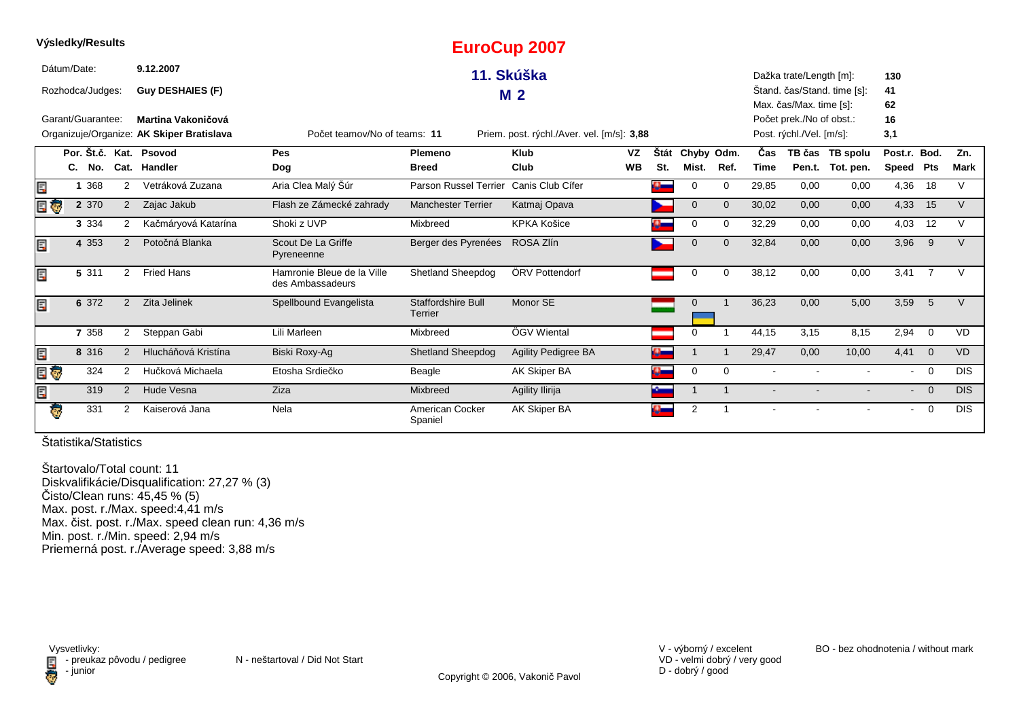|     | Výsledky/Results  |                |                                           |                                                |                                      | <b>EuroCup 2007</b>                        |           |                |                |                |                |                          |                             |                |                |             |
|-----|-------------------|----------------|-------------------------------------------|------------------------------------------------|--------------------------------------|--------------------------------------------|-----------|----------------|----------------|----------------|----------------|--------------------------|-----------------------------|----------------|----------------|-------------|
|     | Dátum/Date:       |                | 9.12.2007                                 |                                                |                                      | 11. Skúška                                 |           |                |                |                |                | Dažka trate/Length [m]:  |                             | 130            |                |             |
|     | Rozhodca/Judges:  |                | <b>Guy DESHAIES (F)</b>                   |                                                |                                      |                                            |           |                |                |                |                |                          | Stand. čas/Stand. time [s]: | 41             |                |             |
|     |                   |                |                                           |                                                |                                      | M <sub>2</sub>                             |           |                |                |                |                | Max. čas/Max. time [s]:  |                             | 62             |                |             |
|     | Garant/Guarantee: |                | Martina Vakoničová                        |                                                |                                      |                                            |           |                |                |                |                | Počet prek./No of obst.: |                             | 16             |                |             |
|     |                   |                | Organizuje/Organize: AK Skiper Bratislava | Počet teamov/No of teams: 11                   |                                      | Priem. post. rýchl./Aver. vel. [m/s]: 3,88 |           |                |                |                |                | Post. rýchl./Vel. [m/s]: |                             | 3,1            |                |             |
|     |                   |                | Por. Št.č. Kat. Psovod                    | <b>Pes</b>                                     | <b>Plemeno</b>                       | <b>Klub</b>                                | VZ        | Štát           | Chyby Odm.     |                | Čas            |                          | TB čas TB spolu             | Post.r. Bod.   |                | Zn.         |
|     | No.<br>C.         |                | Cat. Handler                              | Dog                                            | <b>Breed</b>                         | Club                                       | <b>WB</b> | St.            | Mist.          | Ref.           | Time           | Pen.t.                   | Tot. pen.                   | Speed Pts      |                | <b>Mark</b> |
| E,  | 1 3 6 8           | 2              | Vetráková Zuzana                          | Aria Clea Malý Šúr                             | <b>Parson Russel Terrier</b>         | Canis Club Cífer                           |           | $\bullet$      | 0              | 0              | 29,85          | 0,00                     | 0,00                        | 4,36           | 18             | V           |
| e o | 2 370             | $\overline{2}$ | Zajac Jakub                               | Flash ze Zámecké zahrady                       | <b>Manchester Terrier</b>            | Katmaj Opava                               |           |                | $\mathbf 0$    | $\Omega$       | 30,02          | 0,00                     | 0,00                        | 4,33           | 15             | V           |
|     | 3 3 3 4           | 2              | Kačmáryová Katarína                       | Shoki z UVP                                    | Mixbreed                             | <b>KPKA Košice</b>                         |           |                | 0              | $\Omega$       | 32,29          | 0,00                     | 0,00                        | 4,03           | 12             | V           |
| Ę   | 4 3 5 3           | 2              | Potočná Blanka                            | Scout De La Griffe<br>Pyreneenne               | Berger des Pyrenées                  | ROSA Zlín                                  |           |                | $\mathbf 0$    | $\Omega$       | 32,84          | 0,00                     | 0,00                        | 3,96           | 9              | V           |
| Ē.  | 5 311             | 2              | <b>Fried Hans</b>                         | Hamronie Bleue de la Ville<br>des Ambassadeurs | Shetland Sheepdog                    | ÖRV Pottendorf                             |           |                | $\Omega$       | $\Omega$       | 38,12          | 0,00                     | 0,00                        | 3,41           | $\overline{7}$ | $\vee$      |
| Ē.  | 6 372             | $\overline{2}$ | Zita Jelinek                              | Spellbound Evangelista                         | <b>Staffordshire Bull</b><br>Terrier | Monor SE                                   |           |                | $\mathbf{0}$   |                | 36,23          | 0,00                     | 5,00                        | 3,59           | $-5$           | $\vee$      |
|     | 7 3 5 8           | $\overline{2}$ | Steppan Gabi                              | Lili Marleen                                   | Mixbreed                             | ÖGV Wiental                                |           |                | 0              |                | 44,15          | 3,15                     | 8,15                        | 2,94           | $\overline{0}$ | <b>VD</b>   |
| Ę   | 8 316             | 2              | Hlucháňová Kristína                       | Biski Roxy-Ag                                  | <b>Shetland Sheepdog</b>             | <b>Agility Pedigree BA</b>                 |           | $\mathbf{a}_-$ |                |                | 29,47          | 0,00                     | 10,00                       | 4,41           | $\overline{0}$ | <b>VD</b>   |
| E G | 324               | 2              | Hučková Michaela                          | Etosha Srdiečko                                | Beagle                               | AK Skiper BA                               |           | $\bullet$      | 0              | 0              | $\blacksquare$ |                          |                             | $\sim$         | $\overline{0}$ | <b>DIS</b>  |
| Ę   | 319               | 2              | Hude Vesna                                | Ziza                                           | Mixbreed                             | Agility Ilirija                            |           |                |                | $\overline{1}$ | $\blacksquare$ |                          |                             | $\blacksquare$ | $\overline{0}$ | <b>DIS</b>  |
| ę.  | 331               | 2              | Kaiserová Jana                            | Nela                                           | American Cocker<br>Spaniel           | AK Skiper BA                               |           |                | $\overline{2}$ |                |                |                          |                             | $\blacksquare$ | $\mathbf 0$    | <b>DIS</b>  |

**Výsledky/Results**

Štartovalo/Total count: 11 Diskvalifikácie/Disqualification: 27,27 % (3) Čisto/Clean runs: 45,45 % (5) Max. post. r./Max. speed:4,41 m/s Max. čist. post. r./Max. speed clean run: 4,36 m/sMin. post. r./Min. speed: 2,94 m/s Priemerná post. r./Average speed: 3,88 m/s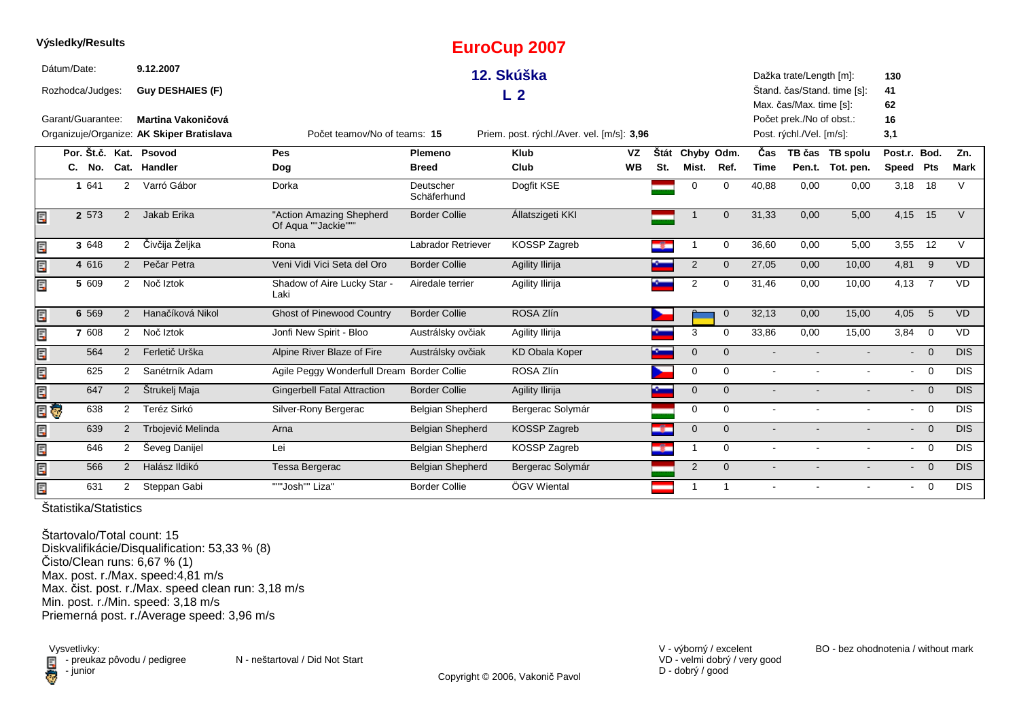|    | Výsledky/Results       |                      |                                           |                                                 |                          | <b>EuroCup 2007</b>                        |           |      |                |                |             |                          |                             |                          |                         |                  |
|----|------------------------|----------------------|-------------------------------------------|-------------------------------------------------|--------------------------|--------------------------------------------|-----------|------|----------------|----------------|-------------|--------------------------|-----------------------------|--------------------------|-------------------------|------------------|
|    | Dátum/Date:            |                      | 9.12.2007                                 |                                                 |                          | 12. Skúška                                 |           |      |                |                |             | Dažka trate/Length [m]:  |                             | 130                      |                         |                  |
|    | Rozhodca/Judges:       |                      | <b>Guy DESHAIES (F)</b>                   |                                                 |                          | L <sub>2</sub>                             |           |      |                |                |             |                          | Štand. čas/Stand. time [s]: | 41                       |                         |                  |
|    |                        |                      |                                           |                                                 |                          |                                            |           |      |                |                |             | Max. čas/Max. time [s]:  |                             | 62                       |                         |                  |
|    | Garant/Guarantee:      |                      | Martina Vakoničová                        |                                                 |                          |                                            |           |      |                |                |             | Počet prek./No of obst.: |                             | 16                       |                         |                  |
|    |                        |                      | Organizuje/Organize: AK Skiper Bratislava | Počet teamov/No of teams: 15                    |                          | Priem. post. rýchl./Aver. vel. [m/s]: 3,96 |           |      |                |                |             | Post. rýchl./Vel. [m/s]: |                             | 3,1                      |                         |                  |
|    | Por. Št.č. Kat. Psovod |                      |                                           | Pes                                             | Plemeno                  | <b>Klub</b>                                | <b>VZ</b> | Štát | Chyby Odm.     |                | Čas         |                          | TB čas TB spolu             | Post.r. Bod.             |                         | Zn.              |
|    | C. No.                 |                      | Cat. Handler                              | Dog                                             | <b>Breed</b>             | Club                                       | <b>WB</b> | St.  | Mist.          | Ref.           | <b>Time</b> |                          | Pen.t. Tot. pen.            | <b>Speed</b>             | Pts                     | <b>Mark</b>      |
|    | 1 641                  | $\overline{2}$       | Varró Gábor                               | Dorka                                           | Deutscher<br>Schäferhund | Dogfit KSE                                 |           |      | $\Omega$       | $\Omega$       | 40,88       | 0,00                     | 0,00                        | 3,18                     | 18                      | $\vee$           |
| E  | 2 573                  | $\overline{2}$       | Jakab Erika                               | "Action Amazing Shepherd<br>Of Aqua ""Jackie""" | <b>Border Collie</b>     | Állatszigeti KKI                           |           |      |                | $\Omega$       | 31,33       | 0,00                     | 5,00                        | 4,15                     | 15                      | $\vee$           |
| E  | 3 648                  | $\overline{2}$       | Čivčija Željka                            | Rona                                            | Labrador Retriever       | KOSSP Zagreb                               |           | Œ    | -1             | $\mathbf 0$    | 36,60       | 0,00                     | 5,00                        | 3,55                     | 12                      | $\vee$           |
| E  | 4 616                  | 2                    | Pečar Petra                               | Veni Vidi Vici Seta del Oro                     | <b>Border Collie</b>     | Agility Ilirija                            |           |      | $\overline{2}$ | $\mathbf{0}$   | 27,05       | 0,00                     | 10,00                       | 4,81                     | 9                       | <b>VD</b>        |
| E  | 5 609                  | 2                    | Noč Iztok                                 | Shadow of Aire Lucky Star -<br>Laki             | Airedale terrier         | Agility Ilirija                            |           |      | $\overline{2}$ | $\Omega$       | 31,46       | 0,00                     | 10,00                       | 4,13                     | $\overline{7}$          | <b>VD</b>        |
| E  | 6 5 6 9                | 2                    | Hanačíková Nikol                          | <b>Ghost of Pinewood Country</b>                | <b>Border Collie</b>     | ROSA Zlín                                  |           |      |                | $\overline{0}$ | 32,13       | 0,00                     | 15,00                       | 4,05                     | $5\overline{5}$         | <b>VD</b>        |
| E  | 7 608                  | $\mathbf{2}^{\circ}$ | Noč Iztok                                 | Jonfi New Spirit - Bloo                         | Austrálsky ovčiak        | Agility Ilirija                            |           |      | 3              | $\Omega$       | 33,86       | 0,00                     | 15,00                       | 3,84                     | $\overline{0}$          | <b>VD</b>        |
| E. | 564                    | 2                    | Ferletič Urška                            | Alpine River Blaze of Fire                      | Austrálsky ovčiak        | <b>KD Obala Koper</b>                      |           |      | $\mathbf 0$    | $\overline{0}$ |             |                          |                             | $\blacksquare$           | $\Omega$                | <b>DIS</b>       |
| E  | 625                    | $\overline{2}$       | Sanétrník Adam                            | Agile Peggy Wonderfull Dream Border Collie      |                          | ROSA Zlín                                  |           |      | 0              | $\Omega$       |             |                          |                             | $\blacksquare$           | $\overline{0}$          | <b>DIS</b>       |
| E  | 647                    | 2                    | Štrukelj Maja                             | <b>Gingerbell Fatal Attraction</b>              | <b>Border Collie</b>     | Agility Ilirija                            |           |      | $\Omega$       | $\Omega$       |             |                          |                             | $\overline{\phantom{a}}$ | $\overline{\mathbf{0}}$ | <b>DIS</b>       |
| E  | 638<br>Ģ               | $\overline{2}$       | Teréz Sirkó                               | Silver-Rony Bergerac                            | <b>Belgian Shepherd</b>  | Bergerac Solymár                           |           |      | $\mathbf 0$    | $\Omega$       |             | $\sim$                   | $\sim$                      | $\sim$                   | $\overline{0}$          | $\overline{DIS}$ |
| E  | 639                    | $\overline{2}$       | Trbojević Melinda                         | Arna                                            | <b>Belgian Shepherd</b>  | KOSSP Zagreb                               |           | ÷    | $\overline{0}$ | $\Omega$       |             |                          |                             |                          | $\overline{0}$          | <b>DIS</b>       |
| E  | 646                    | $\overline{2}$       | Ševeg Danijel                             | Lei                                             | Belgian Shepherd         | KOSSP Zagreb                               |           | -8-  | $\mathbf{1}$   | $\Omega$       |             |                          |                             | $\blacksquare$           | $\overline{0}$          | <b>DIS</b>       |
| E  | 566                    | 2                    | Halász Ildikó                             | Tessa Bergerac                                  | <b>Belgian Shepherd</b>  | Bergerac Solymár                           |           |      | $\overline{2}$ | $\mathbf{0}$   |             |                          |                             |                          | $\overline{0}$          | <b>DIS</b>       |
| E  | 631                    | $\overline{2}$       | Steppan Gabi                              | """Josh"" Liza"                                 | <b>Border Collie</b>     | ÖGV Wiental                                |           |      | $\mathbf{1}$   | $\mathbf{1}$   |             |                          |                             | $\blacksquare$           | $\overline{0}$          | <b>DIS</b>       |

Štartovalo/Total count: 15 Diskvalifikácie/Disqualification: 53,33 % (8) Čisto/Clean runs: 6,67 % (1) Max. post. r./Max. speed:4,81 m/s Max. čist. post. r./Max. speed clean run: 3,18 m/sMin. post. r./Min. speed: 3,18 m/s Priemerná post. r./Average speed: 3,96 m/s

Vysvetlivky:<br>E preuka:<br>iunior: - junior

 $\blacksquare$  - preukaz pôvodu / pedigree N - neštartoval / Did Not Start

VD - velmi dobrý / very good D - dobrý / good

V - výborný / excelent BO - bez ohodnotenia / without mark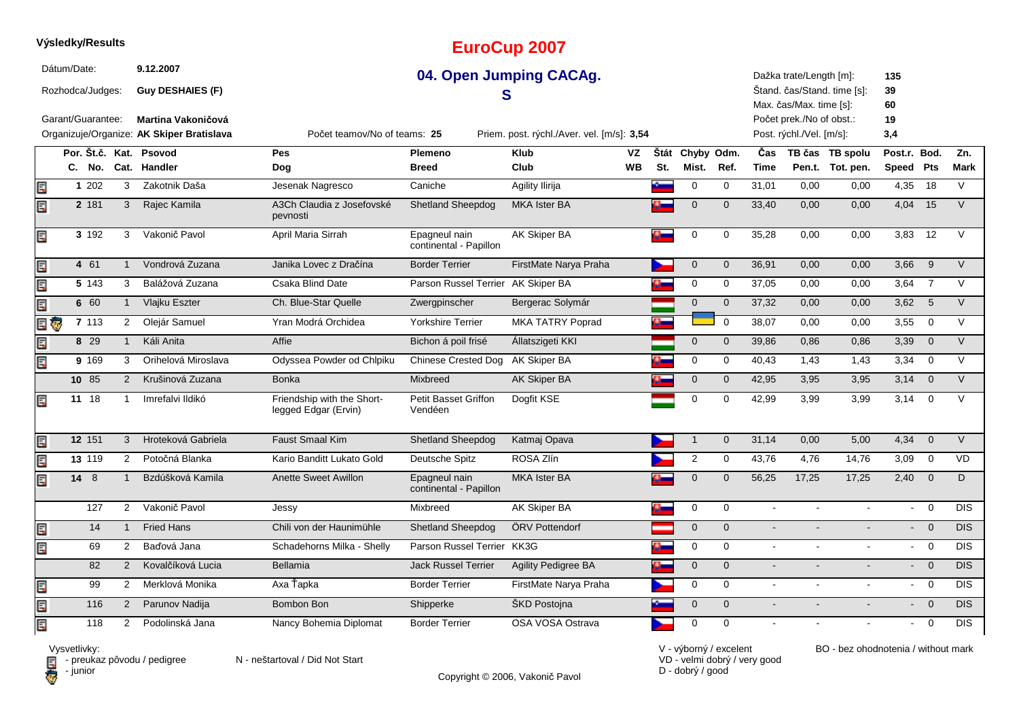#### **EuroCup 2007**Dátum/Date: **9.12.200704. Open Jumping CACAg.**Dažka trate/Length [m]:**135**Štand. čas/Stand. time [s]:Rozhodca/Judges: **Guy DESHAIES (F) 39S** Max. čas/Max. time [s]: **60**Garant/Guarantee:Počet prek./No of obst.: **19 Martina Vakoničová** Organizuje/Organize: **AK Skiper Bratislava** Priem. post. rýchl./Aver. vel. [m/s]: **3,54 3,4** Post. rýchl./Vel. [m/s]: $3.4$ Počet teamov/No of teams:**25Por. Št.č. Kat. Psovod Pes Plemeno Klub Štát VZ**Štát Chyby Odm. **Odm. <sup>Č</sup>as TB čas TB spolu**u Post.r. Bod. Zn. **Dog WBMist. Ref. TimePen.t. Tot. pen.** Speed Pts Mark **SpeedPtsC. No. Cat. Handler Breed Club St.** Ę **1**1 202 3 Zakotnik Daša Jesenak Nagresco Caniche Agility Ilirija <mark>Agility Lingverside 1,01 0,00 0,00 4,35 18 V</mark> **2**E, 2 181 3 Rajec Kamila A3Ch Claudia z Josefovské Shetland Sheepdog MKA Ister BA <sup>0</sup> <sup>0</sup> 33,40 0,00 0,00 V 4,04 <sup>15</sup> pevnosti <sup>0</sup> <sup>0</sup> 35,28 0,00 0,00 V 3,83 <sup>12</sup> 192**3** <sup>3</sup> Vakonič Pavol April Maria Sirrah Epagneul nain AK Skiper BAcontinental - PapillonĘ **4**4 61 1 Vondrová Zuzana Manika Lovec z Dračína Border Terrier FirstMate Narya Praha 1 0 0 36,91 0,00 0,00 3,66 9 V **5**143 Balážová Zuzana Csaka Blind Date Parson Russel Terrier AK Skiper BA Ę <sup>0</sup> <sup>0</sup> 37,05 0,00 0,00 V 3,64 <sup>7</sup> Ę **6**6 60 1 Vlajku Eszter Ch. Blue-Star Quelle Zwergpinscher Bergerac Solymár 1 0 0 37,32 0,00 0,00 3,62 5 V El G **7** <sup>113</sup> <sup>2</sup> Olejár Samuel Yran Modrá Orchidea Yorkshire Terrier MKA TATRY Poprad <sup>0</sup> <sup>0</sup> 38,07 0,00 0,00 V 3,55 <sup>0</sup> **8**8 29 1 Káli Anita Computer China Affie Computer Bichon á poil frisé Állatszigeti KKI Computer Computer Computer Computer State O,86 0,86 3,39 0 V Ę <sup>169</sup> <sup>3</sup> Orihelová Miroslava Odyssea Powder od Chlpiku Chinese Crested Dog AK Skiper BAE **9**A 3,34 0 V **10** <sup>85</sup> <sup>2</sup> Krušinová Zuzana Bonka Mixbreed AK Skiper BAA 3,95 3,95 3,95 3,14 0 V Friendship with the Short-同 11 18 1 Imrefalvi Ildikó Friendship with the Short- Petit Basset Griffon Dogfit KSE 19 10 10 42,99 3,99 3,99 3,14 0 V<br>Iegged Edgar (Ervin) Vendéen 18 1 Imrefalvi Ildikó Friendship with the Short- Petit Basset Griffon Dogfit KSE<br>legged Edgar (Ervin) Vendéen legged Edgar (Ervin)Ę **12** <sup>151</sup> <sup>3</sup> Hroteková Gabriela Faust Smaal Kimm Shetland Sheepdog Katmaj Opava **1 0** 31,14 0,00 5,00 4,34 0 V Ę **13**3 119 2 Potočná Blanka kario Banditt Lukato Gold Deutsche Spitz ROSA Zlín 2 0 43,76 4,76 14,76 3,09 0 VD Ę 8**14**4 8 1 Bzdúšková Kamila Anette Sweet Awillon Epagneul nain MKA Ister BA 0 56,25 17,25 17,25 2,40 0 D <sup>1</sup> Bzdúšková Kamila Anette Sweet Awillon Epagneul nain MKA Ister BAcontinental - Papillon127 <sup>2</sup> Vakonič Pavol Jessy Mixbreed AK Skiper BA <sup>0</sup> <sup>0</sup> - - - DIS - <sup>0</sup> Ę 144 1 Fried Hans Chili von der Haunimühle Shetland Sheepdog ÖRV Pottendorf **1 0 0 - - - - - - - - - 0 DIS**  $0$  DIS Ę 69 <sup>2</sup> Baďová Jana Schadehorns Milka - Shelly Parson Russel Terrier KK3GG <mark>0 -</mark> 0 0 0 DIS <sup>2</sup> Kovalčíková Lucia Bellamia Jack Russel Terrier Agility Pedigree BA82A <mark>0 0</mark> 0 0 - - - - - - - 0 DIS 99- 0 DIS Ę 9 2 Merklová Monika Axa Ťapka Border Terrier FirstMate Narya Praha <mark>Den</mark> 0 0 - - - - - - - - 0 DIS E 116 <sup>2</sup> Parunov Nadija Bombon Bon Shipperke ŠKD Postojna <sup>0</sup> <sup>0</sup> - - - DIS $0$  DIS Ē. 118 $0$  DIS 8 2 Podolinská Jana Nancy Bohemia Diplomat Border Terrier OSA VOSA Ostrava 1 0 0 0 - - - - - - - 0 DIS



**Výsledky/Results**

El preuk<br>Computer

 $\blacksquare$  - preukaz pôvodu / pedigree N - neštartoval / Did Not Start

Copyright © 2006, Vakonič Pavol

VD - velmi dobrý / very goodD - dobrý / good

V - výborný / excelent BO - bez ohodnotenia / without mark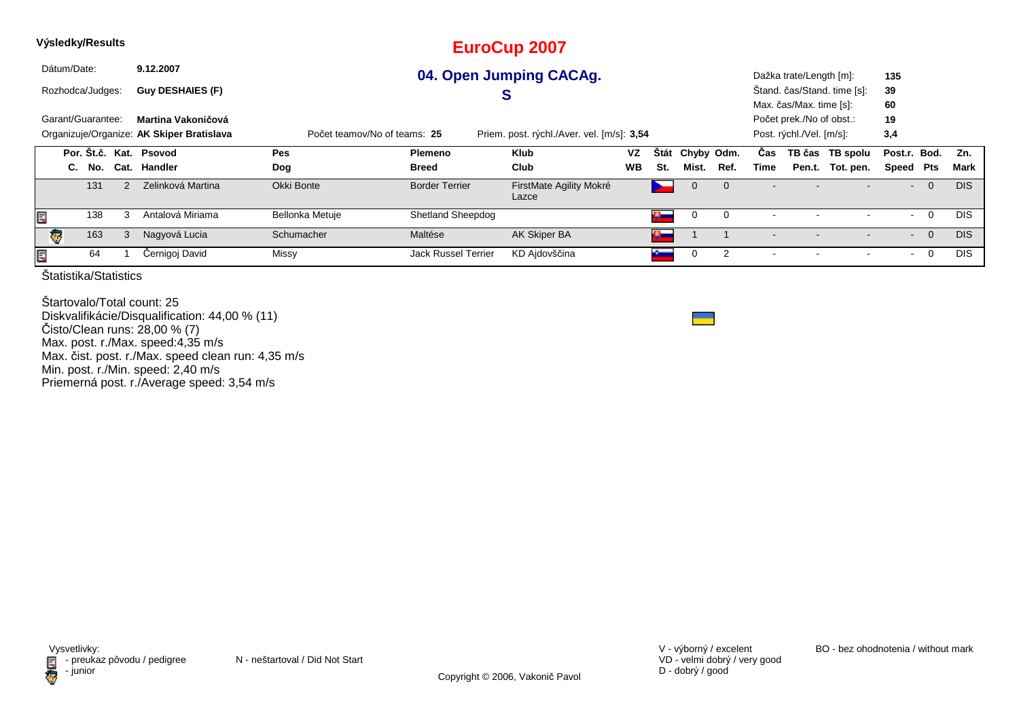| Výsledky/Results       |                                                                                                                         |                 |                            | <b>EuroCup 2007</b>              |           |             |            |                |      |                         |                             |                |                |            |
|------------------------|-------------------------------------------------------------------------------------------------------------------------|-----------------|----------------------------|----------------------------------|-----------|-------------|------------|----------------|------|-------------------------|-----------------------------|----------------|----------------|------------|
| Dátum/Date:            | 9.12.2007                                                                                                               |                 |                            | 04. Open Jumping CACAg.          |           |             |            |                |      | Dažka trate/Length [m]: |                             | 135            |                |            |
| Rozhodca/Judges:       | <b>Guy DESHAIES (F)</b>                                                                                                 |                 |                            | S                                |           |             |            |                |      |                         | Štand. čas/Stand. time [s]: | 39             |                |            |
|                        |                                                                                                                         |                 |                            |                                  |           |             |            |                |      | Max. čas/Max. time [s]: |                             | 60             |                |            |
| Garant/Guarantee:      | Martina Vakoničová                                                                                                      |                 |                            |                                  |           |             |            |                |      |                         | Počet prek./No of obst.:    | 19             |                |            |
|                        | Organizuje/Organize: AK Skiper Bratislava<br>Priem. post. rýchl./Aver. vel. [m/s]: 3,54<br>Počet teamov/No of teams: 25 |                 |                            |                                  |           |             |            |                |      |                         |                             | 3,4            |                |            |
| Por. Št.č. Kat. Psovod |                                                                                                                         | Pes             | <b>Plemeno</b>             | <b>Klub</b>                      | <b>VZ</b> | <b>Stát</b> | Chyby Odm. |                | Cas  |                         | TB čas TB spolu             | Post.r. Bod.   |                | Zn.        |
| No.<br>C.              | Cat. Handler                                                                                                            | Dog             | <b>Breed</b>               | Club                             | <b>WB</b> | St.         | Mist.      | Ref.           | Time |                         | Pen.t. Tot. pen.            | Speed          | Pts            | Mark       |
| 131<br>2               | Zelinková Martina                                                                                                       | Okki Bonte      | <b>Border Terrier</b>      | FirstMate Agility Mokré<br>Lazce |           |             |            |                |      |                         |                             | $\blacksquare$ | $\overline{0}$ | <b>DIS</b> |
| 138<br>E               | Antalová Miriama                                                                                                        | Bellonka Metuje | <b>Shetland Sheepdog</b>   |                                  |           |             | 0          |                |      |                         |                             |                | $\mathbf 0$    | DIS        |
| 163<br>3<br>l Gr       | Nagyová Lucia                                                                                                           | Schumacher      | Maltése                    | AK Skiper BA                     |           | o and       |            |                |      |                         |                             | $\blacksquare$ | $\overline{0}$ | <b>DIS</b> |
| E,<br>64               | Černigoj David                                                                                                          | Missy           | <b>Jack Russel Terrier</b> | KD Ajdovščina                    |           |             | 0          | $\overline{2}$ |      |                         |                             |                | $\mathbf 0$    | DIS        |
| .                      |                                                                                                                         |                 |                            |                                  |           |             |            |                |      |                         |                             |                |                |            |

Štartovalo/Total count: 25 Diskvalifikácie/Disqualification: 44,00 % (11)Čisto/Clean runs: 28,00 % (7) Max. post. r./Max. speed:4,35 m/s Max. čist. post. r./Max. speed clean run: 4,35 m/sMin. post. r./Min. speed: 2,40 m/s Priemerná post. r./Average speed: 3,54 m/s

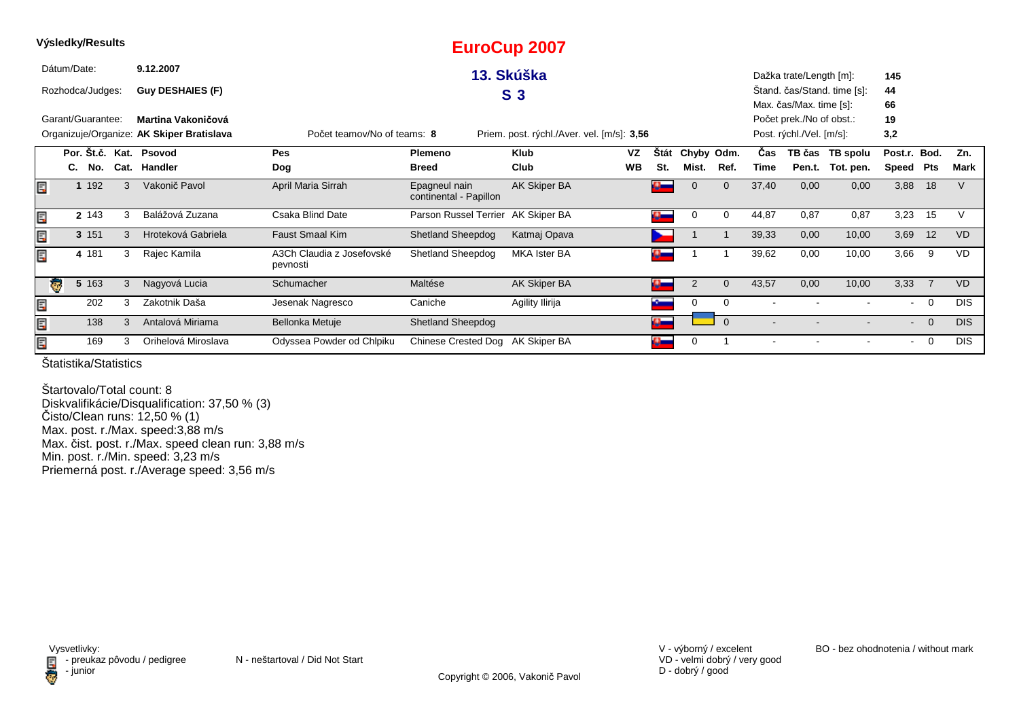|   |             | Výsledky/Results  |   |                                           |                                       |                                         | <b>EuroCup 2007</b>                        |           |                           |                |              |       |                          |                             |                |                |            |
|---|-------------|-------------------|---|-------------------------------------------|---------------------------------------|-----------------------------------------|--------------------------------------------|-----------|---------------------------|----------------|--------------|-------|--------------------------|-----------------------------|----------------|----------------|------------|
|   | Dátum/Date: |                   |   | 9.12.2007                                 |                                       |                                         | 13. Skúška                                 |           |                           |                |              |       | Dažka trate/Length [m]:  |                             | 145            |                |            |
|   |             | Rozhodca/Judges:  |   | <b>Guy DESHAIES (F)</b>                   |                                       |                                         | S <sub>3</sub>                             |           |                           |                |              |       |                          | Stand. čas/Stand. time [s]: | 44             |                |            |
|   |             |                   |   |                                           |                                       |                                         |                                            |           |                           |                |              |       | Max. čas/Max. time [s]:  |                             | 66             |                |            |
|   |             | Garant/Guarantee: |   | Martina Vakoničová                        |                                       |                                         |                                            |           |                           |                |              |       | Počet prek./No of obst.: |                             | 19             |                |            |
|   |             |                   |   | Organizuje/Organize: AK Skiper Bratislava | Počet teamov/No of teams: 8           |                                         | Priem. post. rýchl./Aver. vel. [m/s]: 3,56 |           |                           |                |              |       | Post. rýchl./Vel. [m/s]: |                             | 3,2            |                |            |
|   |             |                   |   | Por. Št.č. Kat. Psovod                    | Pes                                   | Plemeno                                 | <b>Klub</b>                                | VZ        | Stát                      | Chyby Odm.     |              | Cas   |                          | TB čas TB spolu             | Post.r. Bod.   |                | Zn.        |
|   |             | C. No.            |   | Cat. Handler                              | Dog                                   | <b>Breed</b>                            | Club                                       | <b>WB</b> | St.                       | Mist.          | Ref.         | Time  | Pen.t.                   | Tot. pen.                   | Speed          | Pts            | Mark       |
| E |             | 1 192             | 3 | Vakonič Pavol                             | April Maria Sirrah                    | Epagneul nain<br>continental - Papillon | AK Skiper BA                               |           | $\mathbf{G}_{\mathbf{m}}$ | $\mathbf 0$    | $\mathbf 0$  | 37,40 | 0,00                     | 0,00                        | 3,88           | 18             |            |
| E |             | 2 143             | 3 | Balážová Zuzana                           | Csaka Blind Date                      | Parson Russel Terrier AK Skiper BA      |                                            |           | $\mathbf{u}_-$            | 0              | 0            | 44,87 | 0,87                     | 0,87                        | 3,23           | 15             |            |
| Ę |             | 3 151             | 3 | Hroteková Gabriela                        | <b>Faust Smaal Kim</b>                | <b>Shetland Sheepdog</b>                | Katmaj Opava                               |           |                           |                |              | 39,33 | 0,00                     | 10,00                       | 3,69           | 12             | <b>VD</b>  |
| Ę |             | 4 181             | 3 | Rajec Kamila                              | A3Ch Claudia z Josefovské<br>pevnosti | Shetland Sheepdog                       | <b>MKA Ister BA</b>                        |           | o.                        |                |              | 39,62 | 0,00                     | 10,00                       | 3,66           | 9              | <b>VD</b>  |
|   | ङ           | 5 163             | 3 | Nagyová Lucia                             | Schumacher                            | Maltése                                 | AK Skiper BA                               |           | ą                         | $\overline{2}$ | $\mathbf{0}$ | 43,57 | 0,00                     | 10,00                       | 3,33           | $\overline{7}$ | <b>VD</b>  |
| E |             | 202               | 3 | Zakotnik Daša                             | Jesenak Nagresco                      | Caniche                                 | Agility Ilirija                            |           |                           | 0              | 0            |       |                          |                             | $\blacksquare$ | 0              | <b>DIS</b> |
| E |             | 138               | 3 | Antalová Miriama                          | Bellonka Metuje                       | <b>Shetland Sheepdog</b>                |                                            |           | $\mathbf{C}$              |                | $\Omega$     |       |                          |                             | $\sim$         | $\overline{0}$ | <b>DIS</b> |
| E |             | 169               | 3 | Orihelová Miroslava                       | Odyssea Powder od Chlpiku             | Chinese Crested Dog AK Skiper BA        |                                            |           | o.                        | 0              |              |       |                          |                             | $\blacksquare$ | 0              | <b>DIS</b> |

Štartovalo/Total count: 8 Diskvalifikácie/Disqualification: 37,50 % (3) Čisto/Clean runs: 12,50 % (1) Max. post. r./Max. speed:3,88 m/s Max. čist. post. r./Max. speed clean run: 3,88 m/sMin. post. r./Min. speed: 3,23 m/s Priemerná post. r./Average speed: 3,56 m/s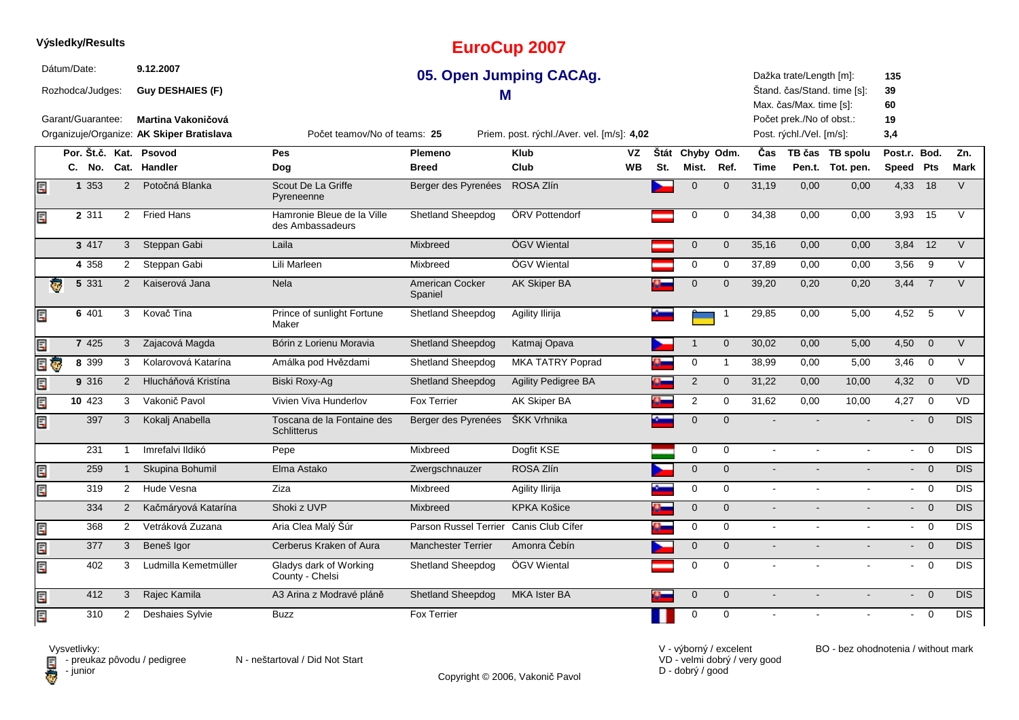|    |                        |                |                                           |                                                  |                            | $-$ ul vvup $-$ vvi                        |           |              |                     |                |                |                                                     |                             |                |                |                  |
|----|------------------------|----------------|-------------------------------------------|--------------------------------------------------|----------------------------|--------------------------------------------|-----------|--------------|---------------------|----------------|----------------|-----------------------------------------------------|-----------------------------|----------------|----------------|------------------|
|    | Dátum/Date:            |                | 9.12.2007                                 |                                                  |                            | 05. Open Jumping CACAg.                    |           |              |                     |                |                | Dažka trate/Length [m]:                             |                             | 135            |                |                  |
|    | Rozhodca/Judges:       |                | <b>Guy DESHAIES (F)</b>                   |                                                  | M                          |                                            |           |              |                     |                |                |                                                     | Stand. čas/Stand. time [s]: | 39             |                |                  |
|    | Garant/Guarantee:      |                | Martina Vakoničová                        |                                                  |                            |                                            |           |              |                     |                |                | Max. čas/Max. time [s]:<br>Počet prek./No of obst.: |                             | 60<br>19       |                |                  |
|    |                        |                | Organizuje/Organize: AK Skiper Bratislava | Počet teamov/No of teams: 25                     |                            | Priem. post. rýchl./Aver. vel. [m/s]: 4,02 |           |              |                     |                |                | Post. rýchl./Vel. [m/s]:                            |                             | 3,4            |                |                  |
|    |                        |                |                                           |                                                  |                            |                                            |           |              |                     |                |                |                                                     |                             |                |                |                  |
|    | Por. Št.č. Kat. Psovod |                |                                           | <b>Pes</b>                                       | Plemeno                    | <b>Klub</b>                                | VZ        | Štát         | Chyby Odm.          |                | Čas            |                                                     | TB čas TB spolu             | Post.r. Bod.   |                | Zn.              |
|    | C. No.                 |                | Cat. Handler                              | Dog                                              | <b>Breed</b>               | Club                                       | <b>WB</b> | St.          | Mist.               | Ref.           | <b>Time</b>    |                                                     | Pen.t. Tot. pen.            | Speed Pts      |                | <b>Mark</b>      |
| E  | 1 353                  | 2              | Potočná Blanka                            | Scout De La Griffe<br>Pyreneenne                 | Berger des Pyrenées        | ROSA Zlín                                  |           |              | $\mathbf 0$         | $\mathbf{0}$   | 31,19          | 0,00                                                | 0,00                        | 4,33           | 18             | $\vee$           |
| Ę  | 2 3 1 1                |                | 2 Fried Hans                              | Hamronie Bleue de la Ville<br>des Ambassadeurs   | <b>Shetland Sheepdog</b>   | ÖRV Pottendorf                             |           |              | $\mathbf 0$         | $\mathbf 0$    | 34,38          | 0,00                                                | 0,00                        | 3,93           | 15             | $\vee$           |
|    | 3 417                  | 3 <sup>1</sup> | Steppan Gabi                              | Laila                                            | Mixbreed                   | ÖGV Wiental                                |           |              | $\mathbf 0$         | $\mathbf{0}$   | 35,16          | 0,00                                                | 0,00                        | $3,84$ 12      |                | $\vee$           |
|    | 4 3 5 8                | $\overline{2}$ | Steppan Gabi                              | Lili Marleen                                     | Mixbreed                   | ÖGV Wiental                                |           |              | 0                   | 0              | 37,89          | 0,00                                                | 0,00                        | 3,56           | 9              | $\vee$           |
| ē  | 5 3 3 1                | 2              | Kaiserová Jana                            | <b>Nela</b>                                      | American Cocker<br>Spaniel | <b>AK Skiper BA</b>                        |           |              | $\mathbf 0$         | $\mathbf{0}$   | 39,20          | 0,20                                                | 0,20                        | 3,44           | $\overline{7}$ | $\vee$           |
| Ę  | 6 401                  | 3              | Kovač Tina                                | Prince of sunlight Fortune<br>Maker              | Shetland Sheepdog          | Agility Ilirija                            |           |              |                     | $\overline{1}$ | 29,85          | 0,00                                                | 5,00                        | 4,52           | 5              | $\vee$           |
| Ę  | 7 4 2 5                | 3              | Zajacová Magda                            | Bórin z Lorienu Moravia                          | <b>Shetland Sheepdog</b>   | Katmaj Opava                               |           |              | $\mathbf 1$         | $\overline{0}$ | 30,02          | 0,00                                                | 5,00                        | 4,50           | $\overline{0}$ | $\vee$           |
| 目も | 8 3 9 9                | 3              | Kolarovová Katarína                       | Amálka pod Hvězdami                              | Shetland Sheepdog          | <b>MKA TATRY Poprad</b>                    |           |              | $\mathbf 0$         | $\mathbf{1}$   | 38,99          | 0,00                                                | 5,00                        | 3,46           | $\overline{0}$ | $\vee$           |
| Ę  | 9 316                  | $\overline{2}$ | Hlucháňová Kristína                       | Biski Roxy-Aq                                    | <b>Shetland Sheepdog</b>   | <b>Agility Pedigree BA</b>                 |           |              | $\overline{2}$      | $\mathbf 0$    | 31,22          | 0,00                                                | 10,00                       | $4,32$ 0       |                | VD               |
| Ę  | 10 423                 | 3              | Vakonič Pavol                             | Vivien Viva Hunderlov                            | <b>Fox Terrier</b>         | <b>AK Skiper BA</b>                        |           |              | $\overline{2}$      | $\mathbf 0$    | 31,62          | 0,00                                                | 10,00                       | 4,27           | $\Omega$       | VD               |
| Ę  | 397                    | 3              | Kokalj Anabella                           | Toscana de la Fontaine des<br><b>Schlitterus</b> | Berger des Pyrenées        | ŠKK Vrhnika                                |           |              | $\mathbf 0$         | $\mathbf{0}$   |                |                                                     |                             |                | $\overline{0}$ | <b>DIS</b>       |
|    | 231                    | $\mathbf{1}$   | Imrefalvi Ildikó                          | Pepe                                             | Mixbreed                   | Dogfit KSE                                 |           |              | $\mathbf 0$         | $\mathbf 0$    | $\mathbf{r}$   |                                                     | $\overline{a}$              | $\sim$         | $\Omega$       | $\overline{DIS}$ |
| Ę  | 259                    | $\mathbf{1}$   | Skupina Bohumil                           | Elma Astako                                      | Zwergschnauzer             | ROSA Zlín                                  |           |              | $\mathbf 0$         | $\mathbf 0$    | $\blacksquare$ |                                                     | $\overline{a}$              | $\blacksquare$ | $\overline{0}$ | <b>DIS</b>       |
| Ę  | 319                    | $\overline{2}$ | Hude Vesna                                | Ziza                                             | Mixbreed                   | Agility Ilirija                            |           |              | $\mathbf 0$         | $\mathbf 0$    | $\mathbf{r}$   | $\blacksquare$                                      | $\blacksquare$              | $\sim$         | $\overline{0}$ | <b>DIS</b>       |
|    | 334                    | $\overline{2}$ | Kačmáryová Katarína                       | Shoki z UVP                                      | Mixbreed                   | <b>KPKA Košice</b>                         |           | $\mathbf{a}$ | $\mathsf{O}\xspace$ | $\overline{0}$ | $\blacksquare$ | $\blacksquare$                                      | $\blacksquare$              | $\sim$         | $\overline{0}$ | $\overline{DIS}$ |
| Ę  | 368                    | $\overline{2}$ | Vetráková Zuzana                          | Aria Clea Malý Šúr                               | Parson Russel Terrier      | Canis Club Cífer                           |           |              | $\mathbf 0$         | $\mathbf 0$    | $\blacksquare$ | $\sim$                                              | $\blacksquare$              | $\sim$         | $\overline{0}$ | <b>DIS</b>       |
| Ę  | 377                    | 3              | Beneš Igor                                | Cerberus Kraken of Aura                          | <b>Manchester Terrier</b>  | Amonra Čebín                               |           |              | $\mathbf 0$         | $\overline{0}$ | $\blacksquare$ | $\blacksquare$                                      | $\blacksquare$              | $\sim$         | $\overline{0}$ | <b>DIS</b>       |
| Ę  | 402                    | 3              | Ludmilla Kemetmüller                      | Gladys dark of Working<br>County - Chelsi        | Shetland Sheepdog          | ÖGV Wiental                                |           |              | $\mathbf 0$         | $\Omega$       | $\sim$         |                                                     | $\mathbf{r}$                | $\sim$         | $\overline{0}$ | <b>DIS</b>       |
| Ę  | 412                    | 3              | Rajec Kamila                              | A3 Arina z Modravé pláně                         | <b>Shetland Sheepdog</b>   | MKA Ister BA                               |           |              | $\mathbf 0$         | $\mathbf{0}$   | $\blacksquare$ |                                                     |                             | $\blacksquare$ | $\overline{0}$ | <b>DIS</b>       |
| Ę  | 310                    | $\overline{2}$ | Deshaies Sylvie                           | <b>Buzz</b>                                      | <b>Fox Terrier</b>         |                                            |           |              | $\pmb{0}$           | $\mathbf 0$    | $\sim$         |                                                     | $\blacksquare$              | $\sim$         | $\overline{0}$ | <b>DIS</b>       |

**EuroCup 2007**

**Výsledky/Results**

**D** - junior

Vysvetlivky:<br>⊟ - preukaz pôvodu / pedigree N - neštartoval / Did Not Start

Copyright © 2006, Vakonič Pavol

VD - velmi dobrý / very good D - dobrý / good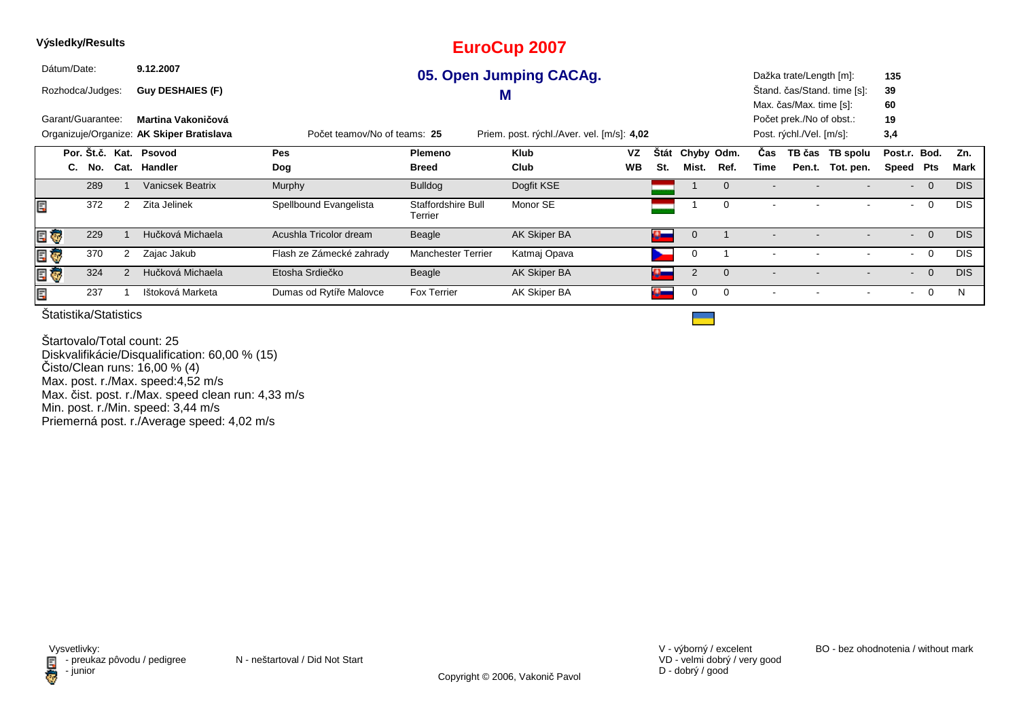| Výsledky/Results            |                                                                                                                         |                          |                               | <b>EuroCup 2007</b>     |           |                    |                |          |           |                          |                             |                |                |            |
|-----------------------------|-------------------------------------------------------------------------------------------------------------------------|--------------------------|-------------------------------|-------------------------|-----------|--------------------|----------------|----------|-----------|--------------------------|-----------------------------|----------------|----------------|------------|
| Dátum/Date:                 | 9.12.2007                                                                                                               |                          |                               | 05. Open Jumping CACAg. |           |                    |                |          |           | Dažka trate/Length [m]:  |                             | 135            |                |            |
| Rozhodca/Judges:            | <b>Guy DESHAIES (F)</b>                                                                                                 |                          |                               | M                       |           |                    |                |          |           |                          | Štand. čas/Stand. time [s]: | 39             |                |            |
|                             |                                                                                                                         |                          |                               |                         |           |                    |                |          |           | Max. čas/Max. time [s]:  |                             | 60             |                |            |
| Garant/Guarantee:           | Martina Vakoničová                                                                                                      |                          |                               |                         |           |                    |                |          |           | Počet prek./No of obst.: |                             | 19             |                |            |
|                             | Organizuje/Organize: AK Skiper Bratislava<br>Priem. post. rýchl./Aver. vel. [m/s]: 4,02<br>Počet teamov/No of teams: 25 |                          |                               |                         |           |                    |                |          |           |                          | Post. rýchl./Vel. [m/s]:    | 3,4            |                |            |
| Por. Št.č. Kat. Psovod      |                                                                                                                         | Pes                      | Plemeno                       | <b>Klub</b>             | VZ        | Štát               | Chyby Odm.     |          | Čas       |                          | TB čas TB spolu             | Post.r. Bod.   |                | Zn.        |
| Cat.<br>C.<br>No.           | Handler                                                                                                                 | Dog                      | <b>Breed</b>                  | Club                    | <b>WB</b> | St.                | Mist.          | Ref.     | Time      | Pen.t.                   | Tot. pen.                   | Speed          | Pts            | Mark       |
| 289                         | <b>Vanicsek Beatrix</b>                                                                                                 | Murphy                   | <b>Bulldog</b>                | Dogfit KSE              |           |                    |                | $\Omega$ |           |                          |                             | $\sim$         | $\overline{0}$ | <b>DIS</b> |
| 372<br>2<br>E               | Zita Jelinek                                                                                                            | Spellbound Evangelista   | Staffordshire Bull<br>Terrier | Monor SE                |           |                    |                | $\Omega$ | $\,$ $\,$ |                          |                             | $\blacksquare$ | $\mathbf 0$    | <b>DIS</b> |
| 229<br>目家                   | Hučková Michaela                                                                                                        | Acushla Tricolor dream   | Beagle                        | AK Skiper BA            |           | $\mathbf{C}$       | $\mathbf 0$    |          |           |                          |                             | $\blacksquare$ | $\overline{0}$ | <b>DIS</b> |
| 370<br>E G<br>2             | Zajac Jakub                                                                                                             | Flash ze Zámecké zahrady | <b>Manchester Terrier</b>     | Katmaj Opava            |           |                    |                |          |           |                          |                             |                | $\overline{0}$ | <b>DIS</b> |
| 324<br>E G<br>$\mathcal{P}$ | Hučková Michaela                                                                                                        | Etosha Srdiečko          | Beagle                        | AK Skiper BA            |           | $\Omega_{\rm max}$ | $\overline{2}$ | $\Omega$ |           |                          |                             | $\sim$         | $\overline{0}$ | <b>DIS</b> |
| 237<br>E                    | Ištoková Marketa                                                                                                        | Dumas od Rytíře Malovce  | <b>Fox Terrier</b>            | AK Skiper BA            |           | o.                 | 0              | $\Omega$ |           |                          |                             |                | $\overline{0}$ | N.         |

Štartovalo/Total count: 25 Diskvalifikácie/Disqualification: 60,00 % (15) Čisto/Clean runs: 16,00 % (4) Max. post. r./Max. speed:4,52 m/s Max. čist. post. r./Max. speed clean run: 4,33 m/s Min. post. r./Min. speed: 3,44 m/sPriemerná post. r./Average speed: 4,02 m/s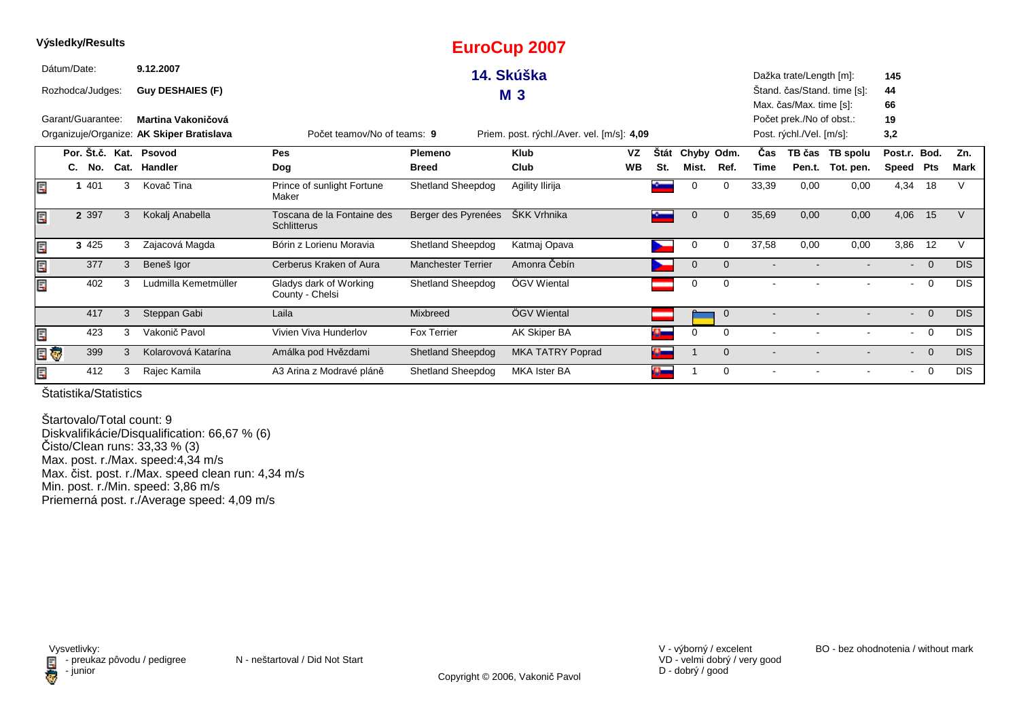|    | Výsledky/Results  |   |                                           |                                                  |                           | <b>EuroCup 2007</b>                        |           |             |             |             |                |                          |                             |                 |                |             |  |  |  |  |  |
|----|-------------------|---|-------------------------------------------|--------------------------------------------------|---------------------------|--------------------------------------------|-----------|-------------|-------------|-------------|----------------|--------------------------|-----------------------------|-----------------|----------------|-------------|--|--|--|--|--|
|    | Dátum/Date:       |   | 9.12.2007                                 |                                                  |                           | 14. Skúška                                 |           |             |             |             |                | Dažka trate/Length [m]:  |                             | 145             |                |             |  |  |  |  |  |
|    | Rozhodca/Judges:  |   | <b>Guy DESHAIES (F)</b>                   |                                                  |                           | <b>M3</b>                                  |           |             |             |             |                |                          | Stand. čas/Stand. time [s]: | 44              |                |             |  |  |  |  |  |
|    |                   |   |                                           |                                                  |                           |                                            |           |             |             |             |                | Max. čas/Max. time [s]:  |                             | 66              |                |             |  |  |  |  |  |
|    | Garant/Guarantee: |   | Martina Vakoničová                        |                                                  |                           |                                            |           |             |             |             |                | Počet prek./No of obst.: |                             | 19              |                |             |  |  |  |  |  |
|    |                   |   | Organizuje/Organize: AK Skiper Bratislava | Počet teamov/No of teams: 9                      |                           | Priem. post. rýchl./Aver. vel. [m/s]: 4,09 |           |             |             |             |                | Post. rýchl./Vel. [m/s]: |                             | 3,2             |                |             |  |  |  |  |  |
|    | Por. Št.č. Kat.   |   | Psovod                                    | Pes                                              | Plemeno                   | <b>Klub</b>                                | VZ        | <b>Stát</b> | Chyby Odm.  |             | Čas            |                          | TB čas TB spolu             | Post.r. Bod.    |                | Zn.         |  |  |  |  |  |
|    | C.<br>No.         |   | Cat. Handler                              | Dog                                              | <b>Breed</b>              | Club                                       | <b>WB</b> | St.         | Mist.       | Ref.        | Time           | Pen.t.                   | Tot. pen.                   | Speed           | Pts            | <b>Mark</b> |  |  |  |  |  |
| E  | 401               | 3 | Kovač Tina                                | Prince of sunlight Fortune<br>Maker              | Shetland Sheepdog         | Agility Ilirija                            |           | à.          | $\Omega$    | 0           | 33,39          | 0,00                     | 0,00                        | 4,34            | 18             |             |  |  |  |  |  |
| E  | 2 3 9 7           | 3 | Kokalj Anabella                           | Toscana de la Fontaine des<br><b>Schlitterus</b> | Berger des Pyrenées       | ŠKK Vrhnika                                |           |             |             | $\Omega$    | 35,69          | 0,00                     | 0,00                        | 4,06            | 15             |             |  |  |  |  |  |
| E  | 3 4 2 5           | 3 | Zajacová Magda                            | Bórin z Lorienu Moravia                          | Shetland Sheepdog         | Katmaj Opava                               |           |             | 0           | $\Omega$    | 37,58          | 0,00                     | 0,00                        | 3,86            | 12             | v           |  |  |  |  |  |
| Ę  | 377               | 3 | Beneš Igor                                | Cerberus Kraken of Aura                          | <b>Manchester Terrier</b> | Amonra Čebín                               |           |             | $\mathbf 0$ | $\mathbf 0$ |                |                          |                             | $\sim$ 10 $\pm$ | $\overline{0}$ | <b>DIS</b>  |  |  |  |  |  |
| E. | 402               | 3 | Ludmilla Kemetmüller                      | Gladys dark of Working<br>County - Chelsi        | Shetland Sheepdog         | ÖGV Wiental                                |           |             | 0           | 0           |                |                          |                             | $\sim$          | $\overline{0}$ | <b>DIS</b>  |  |  |  |  |  |
|    | 417               | 3 | Steppan Gabi                              | Laila                                            | Mixbreed                  | ÖGV Wiental                                |           |             |             | $\mathbf 0$ |                |                          |                             | $\sim$          | $\overline{0}$ | DIS.        |  |  |  |  |  |
| Ē, | 423               | 3 | Vakonič Pavol                             | Vivien Viva Hunderlov                            | <b>Fox Terrier</b>        | AK Skiper BA                               |           | $\alpha$    | $\Omega$    | 0           | $\overline{a}$ |                          |                             | $\sim$          | $\overline{0}$ | <b>DIS</b>  |  |  |  |  |  |
|    | E Ç<br>399        | 3 | Kolarovová Katarína                       | Amálka pod Hvězdami                              | <b>Shetland Sheepdog</b>  | <b>MKA TATRY Poprad</b>                    |           |             |             | $\Omega$    |                |                          |                             | $\sim$          | $\overline{0}$ | <b>DIS</b>  |  |  |  |  |  |
| E. | 412               | 3 | Rajec Kamila                              | A3 Arina z Modravé pláně                         | <b>Shetland Sheepdog</b>  | <b>MKA Ister BA</b>                        |           |             |             | 0           |                |                          | $\sim$                      | $\sim$          | $\overline{0}$ | <b>DIS</b>  |  |  |  |  |  |

Štartovalo/Total count: 9 Diskvalifikácie/Disqualification: 66,67 % (6) Čisto/Clean runs: 33,33 % (3) Max. post. r./Max. speed:4,34 m/s Max. čist. post. r./Max. speed clean run: 4,34 m/sMin. post. r./Min. speed: 3,86 m/s Priemerná post. r./Average speed: 4,09 m/s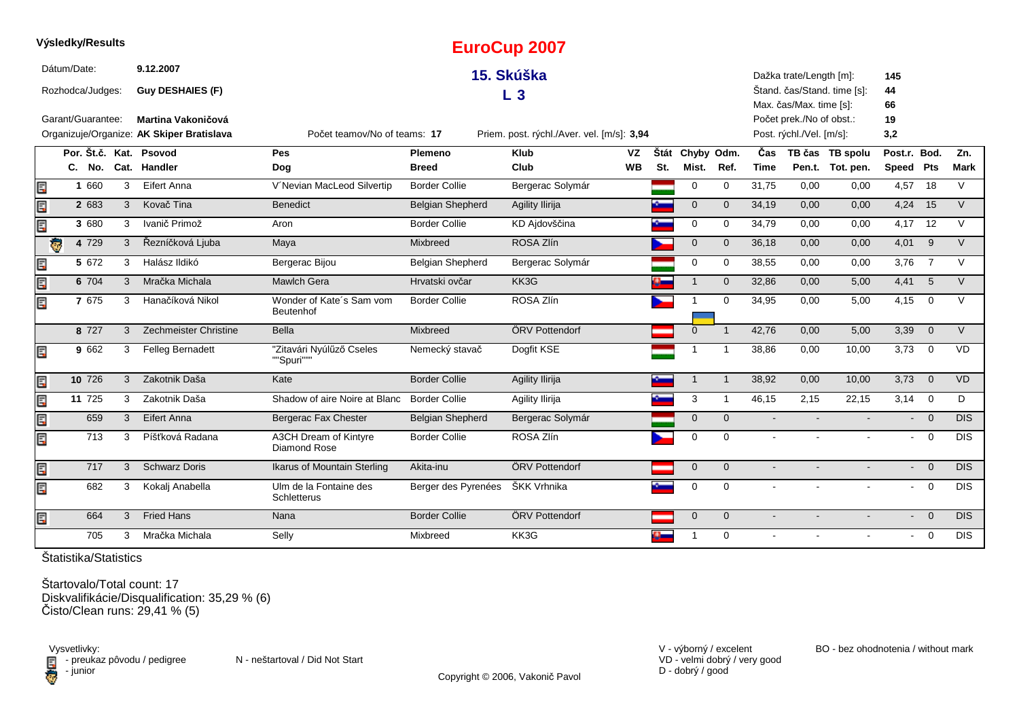|     | Výsledky/Results    |   |                                           |                                        |                         | <b>EuroCup 2007</b>                        |           |     |                 |                |                |                          |                             |                |                         |             |
|-----|---------------------|---|-------------------------------------------|----------------------------------------|-------------------------|--------------------------------------------|-----------|-----|-----------------|----------------|----------------|--------------------------|-----------------------------|----------------|-------------------------|-------------|
|     | Dátum/Date:         |   | 9.12.2007                                 |                                        |                         | 15. Skúška                                 |           |     |                 |                |                | Dažka trate/Length [m]:  |                             | 145            |                         |             |
|     | Rozhodca/Judges:    |   | <b>Guy DESHAIES (F)</b>                   |                                        |                         | L <sub>3</sub>                             |           |     |                 |                |                |                          | Štand. čas/Stand. time [s]: | 44             |                         |             |
|     |                     |   |                                           |                                        |                         |                                            |           |     |                 |                |                | Max. čas/Max. time [s]:  |                             | 66             |                         |             |
|     | Garant/Guarantee:   |   | <b>Martina Vakoničová</b>                 |                                        |                         |                                            |           |     |                 |                |                | Počet prek./No of obst.: |                             | 19             |                         |             |
|     |                     |   | Organizuje/Organize: AK Skiper Bratislava | Počet teamov/No of teams: 17           |                         | Priem. post. rýchl./Aver. vel. [m/s]: 3,94 |           |     |                 |                |                | Post. rýchl./Vel. [m/s]: |                             | 3,2            |                         |             |
|     |                     |   | Por. Št.č. Kat. Psovod                    | <b>Pes</b>                             | Plemeno                 | <b>Klub</b>                                | <b>VZ</b> |     | Štát Chyby Odm. |                | Čas            |                          | TB čas TB spolu             | Post.r. Bod.   |                         | Zn.         |
|     | C. No.              |   | Cat. Handler                              | Dog                                    | <b>Breed</b>            | Club                                       | <b>WB</b> | St. | Mist.           | Ref.           | <b>Time</b>    |                          | Pen.t. Tot. pen.            | Speed Pts      |                         | <b>Mark</b> |
| E   | 1 660               | 3 | Eifert Anna                               | V'Nevian MacLeod Silvertip             | <b>Border Collie</b>    | Bergerac Solymár                           |           |     | $\mathbf 0$     | $\mathbf 0$    | 31,75          | 0,00                     | 0,00                        | 4,57           | 18                      | $\vee$      |
| E.P | 2 683               | 3 | Kovač Tina                                | <b>Benedict</b>                        | <b>Belgian Shepherd</b> | Agility Ilirija                            |           | ÷.  | $\mathbf{0}$    | $\mathbf{0}$   | 34,19          | 0,00                     | 0,00                        | 4,24           | 15                      | $\vee$      |
| Ę   | 3 680               | 3 | Ivanič Primož                             | Aron                                   | <b>Border Collie</b>    | KD Ajdovščina                              |           |     | 0               | $\mathbf 0$    | 34,79          | 0,00                     | 0,00                        | 4,17           | 12                      | $\vee$      |
|     | 4 7 2 9<br><b>G</b> | 3 | Řezníčková Ljuba                          | Maya                                   | Mixbreed                | ROSA Zlín                                  |           |     | $\mathbf 0$     | $\Omega$       | 36,18          | 0,00                     | 0,00                        | 4,01           | 9                       | $\vee$      |
| E   | 5 672               | 3 | Halász Ildikó                             | Bergerac Bijou                         | <b>Belgian Shepherd</b> | Bergerac Solymár                           |           |     | $\mathbf 0$     | $\Omega$       | 38,55          | 0,00                     | 0,00                        | 3,76           | $\overline{7}$          | $\vee$      |
| E   | 6 704               | 3 | Mračka Michala                            | <b>Mawlch Gera</b>                     | Hrvatski ovčar          | KK3G                                       |           |     | $\overline{1}$  | $\overline{0}$ | 32,86          | 0,00                     | 5,00                        | 4,41           | 5                       | $\vee$      |
| E   | 7 675               | 3 | Hanačíková Nikol                          | Wonder of Kate's Sam vom<br>Beutenhof  | <b>Border Collie</b>    | ROSA Zlín                                  |           |     |                 | $\Omega$       | 34,95          | 0.00                     | 5,00                        | 4,15           | $\mathbf 0$             | $\vee$      |
|     | 8 7 2 7             | 3 | Zechmeister Christine                     | Bella                                  | Mixbreed                | ÖRV Pottendorf                             |           |     | $\Omega$        | $\overline{1}$ | 42.76          | 0.00                     | 5,00                        | 3,39           | $\overline{0}$          | $\vee$      |
| E   | 9 662               | 3 | <b>Felleg Bernadett</b>                   | "Zitavári Nyúlűző Cseles<br>""Spuri""" | Nemecký stavač          | Dogfit KSE                                 |           |     | 1               | -1             | 38,86          | 0,00                     | 10,00                       | 3,73           | $\mathbf 0$             | <b>VD</b>   |
| E   | 10 726              | 3 | Zakotnik Daša                             | Kate                                   | <b>Border Collie</b>    | Agility Ilirija                            |           |     | $\mathbf{1}$    | $\overline{1}$ | 38,92          | 0,00                     | 10,00                       | 3,73           | $\mathbf 0$             | VD          |
| E.P | 11 725              | 3 | Zakotnik Daša                             | Shadow of aire Noire at Blanc          | <b>Border Collie</b>    | Agility Ilirija                            |           |     | 3               | -1             | 46,15          | 2,15                     | 22,15                       | $3,14$ 0       |                         | D           |
| E   | 659                 | 3 | Eifert Anna                               | Bergerac Fax Chester                   | <b>Belgian Shepherd</b> | Bergerac Solymár                           |           |     | $\mathbf{0}$    | $\overline{0}$ | $\blacksquare$ |                          |                             | $\blacksquare$ | $\overline{0}$          | <b>DIS</b>  |
| E   | 713                 | 3 | Píšťková Radana                           | A3CH Dream of Kintyre<br>Diamond Rose  | <b>Border Collie</b>    | ROSA Zlín                                  |           |     | $\Omega$        | $\Omega$       | $\mathbf{r}$   | $\sim$                   | $\sim$                      |                | $-0$                    | <b>DIS</b>  |
| E   | 717                 | 3 | <b>Schwarz Doris</b>                      | Ikarus of Mountain Sterling            | Akita-inu               | ÖRV Pottendorf                             |           |     | $\overline{0}$  | $\Omega$       |                |                          |                             | $\blacksquare$ | $\overline{\mathbf{0}}$ | DIS         |
| E   | 682                 | 3 | Kokalj Anabella                           | Ulm de la Fontaine des<br>Schletterus  | Berger des Pyrenées     | ŠKK Vrhnika                                |           |     | $\mathbf 0$     | $\Omega$       |                |                          |                             | $\blacksquare$ | $\overline{0}$          | <b>DIS</b>  |
| E   | 664                 | 3 | <b>Fried Hans</b>                         | Nana                                   | <b>Border Collie</b>    | ÖRV Pottendorf                             |           |     | $\mathbf 0$     | $\mathbf{0}$   |                |                          |                             | $\blacksquare$ | $\overline{0}$          | <b>DIS</b>  |
|     | 705                 | 3 | Mračka Michala                            | Selly                                  | Mixbreed                | KK3G                                       |           |     | 1               | $\Omega$       |                |                          |                             | $\blacksquare$ | $\overline{0}$          | <b>DIS</b>  |

Štartovalo/Total count: 17Diskvalifikácie/Disqualification: 35,29 % (6) Čisto/Clean runs: 29,41 % (5)

Vysvetlivky:<br>⊟ - preukaz pôvodu / pedigree N - neštartoval / Did Not Start **D** - junior

VD - velmi dobrý / very good D - dobrý / good

V - výborný / excelent BO - bez ohodnotenia / without mark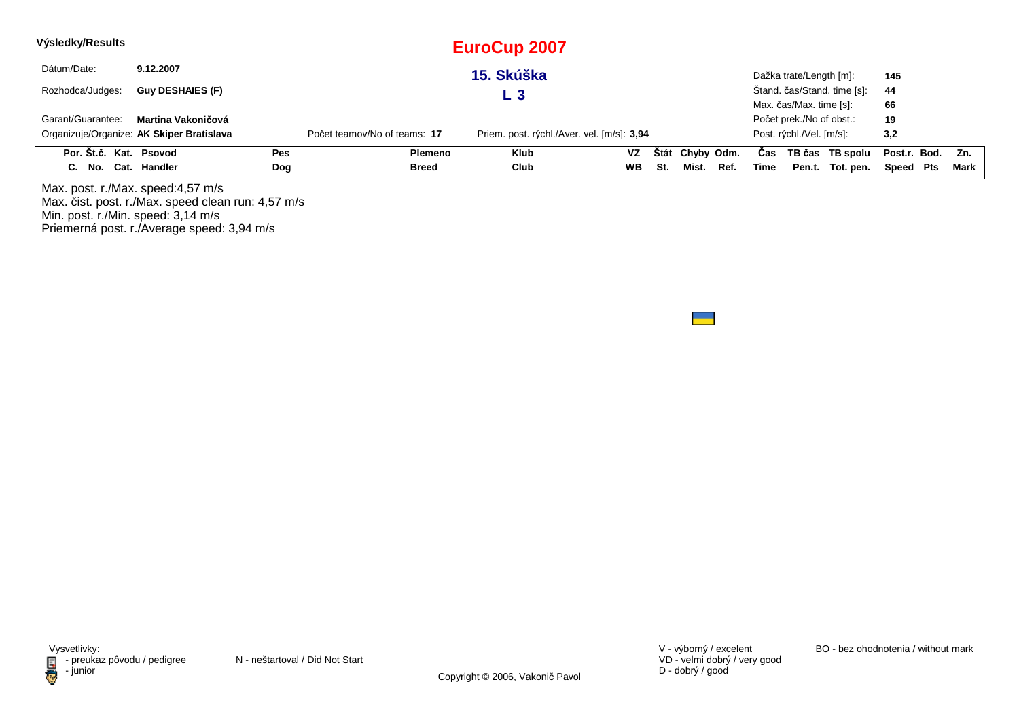| Výsledky/Results       |                                           |            |                              | <b>EuroCup 2007</b>                        |           |     |                 |      |      |                          |                             |                  |        |
|------------------------|-------------------------------------------|------------|------------------------------|--------------------------------------------|-----------|-----|-----------------|------|------|--------------------------|-----------------------------|------------------|--------|
| Dátum/Date:            | 9.12.2007                                 |            |                              | 15. Skúška                                 |           |     |                 |      |      | Dažka trate/Length [m]:  |                             | 145              |        |
| Rozhodca/Judges:       | <b>Guy DESHAIES (F)</b>                   |            |                              | L 3                                        |           |     |                 |      |      |                          | Štand. čas/Stand. time [s]: | 44               |        |
|                        |                                           |            |                              |                                            |           |     |                 |      |      | Max. čas/Max. time [s]:  |                             | 66               |        |
| Garant/Guarantee:      | Martina Vakoničová                        |            |                              |                                            |           |     |                 |      |      | Počet prek./No of obst.: |                             | 19               |        |
|                        | Organizuje/Organize: AK Skiper Bratislava |            | Počet teamov/No of teams: 17 | Priem. post. rýchl./Aver. vel. [m/s]: 3,94 |           |     |                 |      |      | Post. rýchl./Vel. [m/s]: |                             | 3,2              |        |
| Por. Št.č. Kat. Psovod |                                           | <b>Pes</b> | Plemeno                      | <b>Klub</b>                                | <b>VZ</b> |     | Štát Chyby Odm. |      | Cas  |                          | TB čas TB spolu             | Post.r. Bod. Zn. |        |
| C. No. Cat. Handler    |                                           | Dog        | <b>Breed</b>                 | Club                                       | <b>WB</b> | St. | Mist.           | Ref. | Time |                          | Pen.t. Tot. pen.            | Speed Pts        | Mark I |

Max. post. r./Max. speed:4,57 m/s Max. čist. post. r./Max. speed clean run: 4,57 m/s Min. post. r./Min. speed: 3,14 m/s Priemerná post. r./Average speed: 3,94 m/s

VD - velmi dobrý / very good D - dobrý / good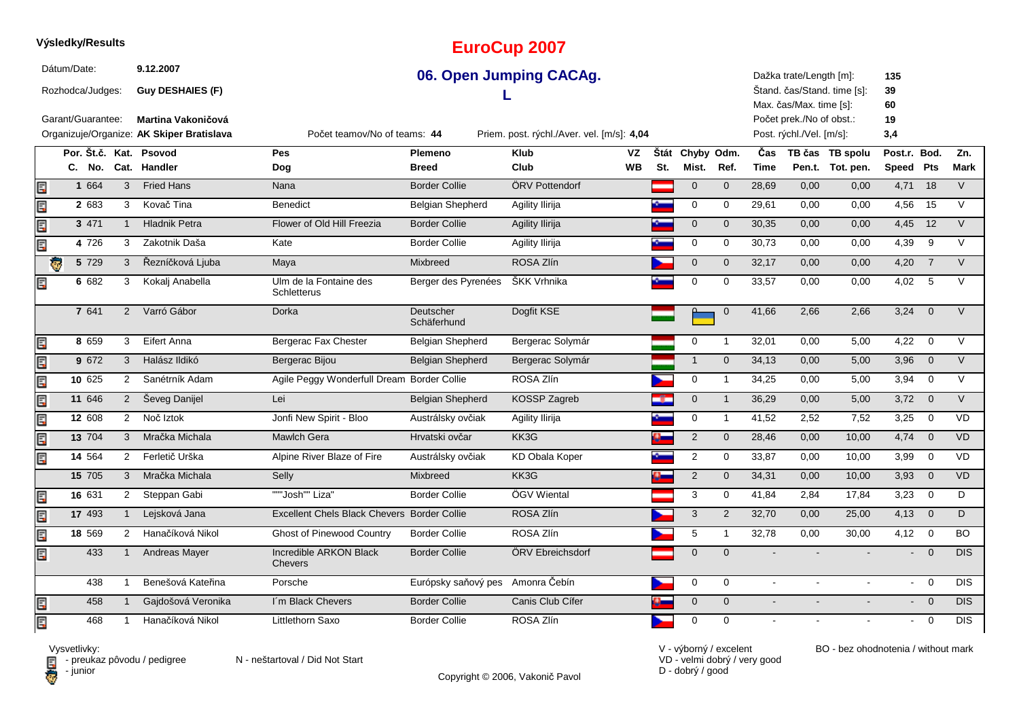#### **EuroCup 2007**Dátum/Date: **9.12.200706. Open Jumping CACAg.**Dažka trate/Length [m]:**135**Štand. čas/Stand. time [s]:Rozhodca/Judges: **Guy DESHAIES (F) 39L** Max. čas/Max. time [s]: **60**Garant/Guarantee:Počet prek./No of obst.: **19 Martina Vakoničová** Organizuje/Organize: **AK Skiper Bratislava**Priem. post. rýchl./Aver. vel. [m/s]: 4.04 Post. rýchl./Vel. [m/s]: $3.4$ Počet teamov/No of teams:**44Por. Št.č. Kat. Psovod Pes Plemeno Klub Štát VZ**Štát Chyby Odm. **Odm. <sup>Č</sup>as TB čas TB spolu**u Post.r. Bod. Zn. **Dog WBMist. Ref. TimePen.t. Tot. pen.** Speed Pts Mark **SpeedPtsC. No. Cat. Handler Breed Club St.** Ę **1**1 664 3 Fried Hans Mana Nana Border Collie ÖRV Pottendorf 1 0 0 28,69 0,00 0,00 4,71 18 V  $2.683$ Ę 2 683 3 Kovač Tina Benedict Belgian Shepherd Agility Ilirija 1 1 1 0 0 29,61 0,00 0,00 4,56 15 V Ę **3**3 471 1 Hladnik Petra 1990 Flower of Old Hill Freezia Border Collie Agility Ilirija 1990 10 0 30,35 0,00 0,00 4,45 12 V **4**Ę <sup>726</sup> <sup>3</sup> Zakotnik Daša Kate Border Collie Agility Ilirija <sup>0</sup> <sup>0</sup> 30,73 0,00 0,00 V 4,39 <sup>9</sup> **5**5 729 3 Řezníčková Ljuba Maya Mixbreed ROSA Zlín November 1986, 17 0,00 0,00 4,20 7 V **6**6 682 3 Kokalj Anabella bulm de la Fontaine des Berger des Pyrenées ŠKK Vrhnika **1 1 0 0 33,57** 0,00 0,00 4,02 5 V Ulm de la Fontaine des Ę **Schletterus**  <sup>2</sup> Varró Gábor Dorka Deutscher Dogfit KSE <sup>0</sup> <sup>0</sup> 41,66 2,66 2,66 V 3,24 <sup>0</sup> 641**7**SchäferhundĘ **8**8 659 3 Eifert Anna Na Bergerac Fax Chester Na Belgian Shepherd Bergerac Solymár Na Na Na Na Na 10,00 5,00 4,22 0 V **9**E 9 672 3 Halász Ildikó Bergerac Bijou Belgian Shepherd Bergerac Solymár 1 0 34,13 0,00 5,00 3,96 0 V **10**2 Sanétrník Adam Agile Peggy Wonderfull Dream Border Collie ROSA Zlín 1994 and 1994 and 25,000 5,000 3,94 0 V Ę **11** <sup>646</sup> <sup>2</sup> Ševeg Danijel Lei Belgian Shepherd KOSSP Zagreb <sup>0</sup> <sup>1</sup> 36,29 0,00 5,00 V 3,72 <sup>0</sup> Ę **12**冐 **2** 608 2 Noč Iztok Jonfi New Spirit - Bloo Austrálsky ovčiak Agility Ilirija <mark>0 1</mark> 0 1 41,52 2,52 7,52 3,25 0 VD **13**Ę **3** 704 3 Mračka Michala Mawlch Gera Hrvatski ovčar KK3G 2 0 28,46 0,00 10,00 4,74 0 VD **14**同 <sup>564</sup> <sup>2</sup> Ferletič Urška Alpine River Blaze of Fire Austrálsky ovčiak KD Obala Koper <sup>2</sup> <sup>0</sup> 33,87 0,00 10,00 VD 3,99 <sup>0</sup> **15** <sup>705</sup> <sup>3</sup> Mračka Michala Selly Mixbreed KK3GC <mark>D 3</mark> 2 0 34,31 0,00 10,00 3,93 0 VD Ę **16** <sup>631</sup> <sup>2</sup> Steppan Gabi """Josh"" Liza" Border Collie ÖGV Wiental <sup>3</sup> <sup>0</sup> 41,84 2,84 17,84 D 3,23 <sup>0</sup> **17**1 Lejsková Jana **Excellent Chels Black Chevers Border Collie** ROSA Zlín 3 2 32,70 0,00 25,00 4,13 0 D Ę **18**Ę **8** 569 2 Hanačíková Nikol Ghost of Pinewood Country Border Collie ROSA Zlín 5 1 32,78 0,00 30,00 4,12 0 BO 433Incredible ARKON Black E 3 1 Andreas Mayer Contractible ARKON Black Border Collie CORV Ebreichsdorf Contraction Contraction Contraction Contraction Contraction Contraction Contraction Contraction Contraction Contraction Contraction Contraction Con - 0 DI Chevers4381 Benešová Kateřina Porsche **Európsky saňový pes Amonra Čebín Caterina Diskové procesová Kateřina** Diskové procesová Kateřina Diskové procesová Kateřina Diskové procesová Kateřina Diskové procesová Katerina Diskové proce DIS - 0 DIS 目 458<sup>1</sup> Gajdošová Veronika I´m Black Chevers Border Collie Canis Club Cífer <sup>0</sup> <sup>0</sup> - - - DIS

同

468

**Výsledky/Results**

 $\blacksquare$  - preukaz pôvodu / pedigree N - neštartoval / Did Not Start

Copyright © 2006, Vakonič Pavol

<sup>1</sup> Hanačíková Nikol Littlethorn Saxo Border Collie ROSA Zlín <sup>0</sup> <sup>0</sup> - - - DIS

VD - velmi dobrý / very goodD - dobrý / good

V - výborný / excelent BO - bez ohodnotenia / without mark

- <sup>0</sup>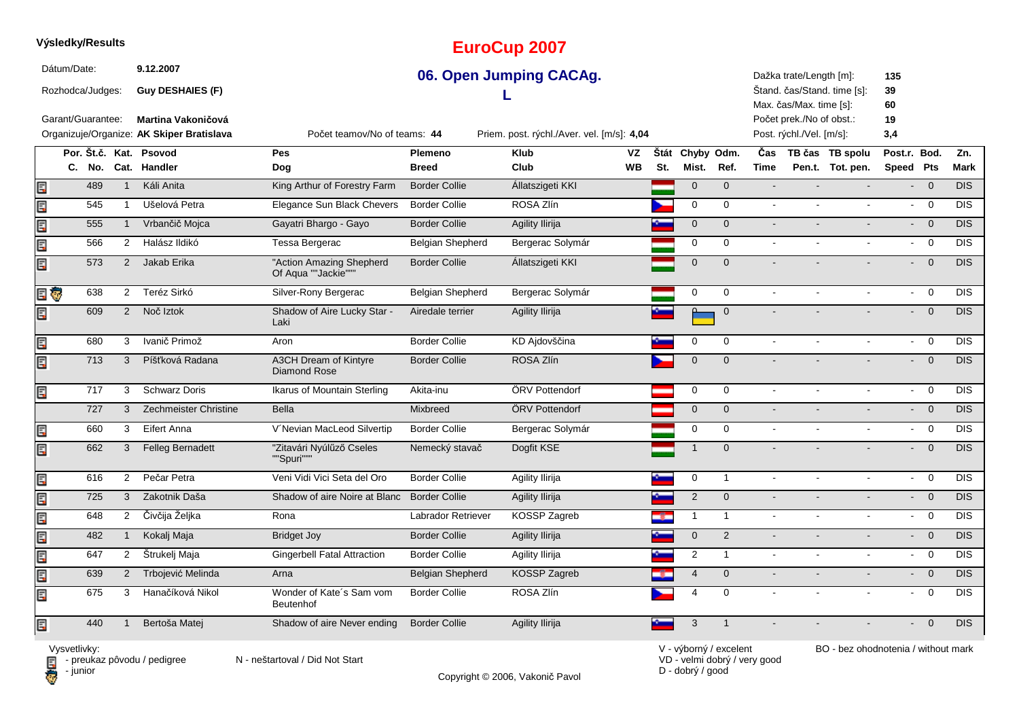### **Výsledky/Results**

Dátum/Date:

Rozhodca/Judges:

Garant/Guarantee:

**Guy DESHAIES (F)**

**Martina Vakoničová**

**9.12.2007**

# **EuroCup 2007**

## **06. Open Jumping CACAg.**

Priem. post. rýchl./Aver. vel. [m/s]: 4,04

**L** 

Dažka trate/Length [m]:**135**

 Štand. čas/Stand. time [s]:**39**

Max. čas/Max. time [s]:**60**

Počet prek./No of obst.:**19**

Post. rýchl./Vel. [m/s]: $3,4$ 

|       |                 |                | Organizuje/Organize: AK Skiper Bratislava | Počet teamov/No of teams: 44                    | Priem. post. rýchl./Aver. vel. [m/s]: 4,04 |                     |           |      |                |                | Post. rýchl./Vel. [m/s]: | 3,4              |                |                         |                  |
|-------|-----------------|----------------|-------------------------------------------|-------------------------------------------------|--------------------------------------------|---------------------|-----------|------|----------------|----------------|--------------------------|------------------|----------------|-------------------------|------------------|
|       | Por. Št.č. Kat. |                | Psovod                                    | Pes                                             | Plemeno                                    | <b>Klub</b>         | VZ        | Štát | Chyby Odm.     |                | Čas                      | TB čas TB spolu  | Post.r. Bod.   |                         | Zn.              |
|       | C. No.          | Cat.           | <b>Handler</b>                            | Dog                                             | <b>Breed</b>                               | Club                | <b>WB</b> | St.  | Mist.          | Ref.           | <b>Time</b>              | Pen.t. Tot. pen. | Speed Pts      |                         | <b>Mark</b>      |
|       | 489             | $\mathbf{1}$   | Káli Anita                                | King Arthur of Forestry Farm                    | <b>Border Collie</b>                       | Állatszigeti KKI    |           |      | $\mathbf 0$    | $\mathbf{0}$   |                          |                  |                | $\overline{0}$          | <b>DIS</b>       |
| an an | 545             |                | Ušelová Petra                             | Elegance Sun Black Chevers                      | <b>Border Collie</b>                       | ROSA Zlín           |           |      | $\mathbf 0$    | $\mathbf 0$    | $\sim$                   |                  |                | $-0$                    | <b>DIS</b>       |
| E.P   | 555             |                | Vrbančič Mojca                            | Gayatri Bhargo - Gayo                           | <b>Border Collie</b>                       | Agility Ilirija     |           |      | $\mathbf{0}$   | $\mathbf{0}$   |                          |                  | $\blacksquare$ | $\overline{0}$          | $\overline{DIS}$ |
| Ę     | 566             | $\overline{2}$ | Halász Ildikó                             | Tessa Bergerac                                  | <b>Belgian Shepherd</b>                    | Bergerac Solymár    |           |      | $\Omega$       | $\Omega$       | $\sim$                   |                  |                | $- 0$                   | <b>DIS</b>       |
| Ę     | 573             | 2              | Jakab Erika                               | "Action Amazing Shepherd<br>Of Aqua ""Jackie""" | <b>Border Collie</b>                       | Állatszigeti KKI    |           |      | $\Omega$       | $\Omega$       |                          |                  |                | $- 0$                   | <b>DIS</b>       |
| e o   | 638             | $\overline{2}$ | Teréz Sirkó                               | Silver-Rony Bergerac                            | <b>Belgian Shepherd</b>                    | Bergerac Solymár    |           |      | 0              | $\mathbf 0$    |                          |                  | $\sim$         | $\overline{0}$          | <b>DIS</b>       |
| E     | 609             | $2^{\circ}$    | Noč Iztok                                 | Shadow of Aire Lucky Star -<br>Laki             | Airedale terrier                           | Agility Ilirija     |           |      |                | $\overline{0}$ |                          |                  |                | $- 0$                   | <b>DIS</b>       |
| E     | 680             | 3              | Ivanič Primož                             | Aron                                            | <b>Border Collie</b>                       | KD Ajdovščina       |           |      | $\Omega$       | 0              | $\sim$                   |                  |                | $- 0$                   | <b>DIS</b>       |
| E     | 713             | 3              | Píšťková Radana                           | A3CH Dream of Kintyre<br><b>Diamond Rose</b>    | <b>Border Collie</b>                       | ROSA Zlín           |           |      | $\mathbf 0$    | $\mathbf{0}$   |                          |                  |                | $\overline{\mathbf{0}}$ | <b>DIS</b>       |
| E     | 717             | 3              | <b>Schwarz Doris</b>                      | Ikarus of Mountain Sterling                     | Akita-inu                                  | ÖRV Pottendorf      |           |      | $\mathbf 0$    | $\mathbf 0$    |                          |                  | $\sim$         | $\overline{0}$          | <b>DIS</b>       |
|       | 727             | 3              | Zechmeister Christine                     | <b>Bella</b>                                    | Mixbreed                                   | ÖRV Pottendorf      |           |      | $\mathbf{0}$   | $\mathbf{0}$   |                          |                  |                | $- 0$                   | <b>DIS</b>       |
| Ē     | 660             | 3              | Eifert Anna                               | V'Nevian MacLeod Silvertip                      | <b>Border Collie</b>                       | Bergerac Solymár    |           |      | $\mathbf 0$    | $\mathbf 0$    | $\sim$                   |                  |                | $- 0$                   | <b>DIS</b>       |
| Ę     | 662             | 3              | <b>Felleg Bernadett</b>                   | "Zitavári Nyúlűző Cseles<br>""Spuri"""          | Nemecký stavač                             | Dogfit KSE          |           |      |                | $\Omega$       |                          |                  |                | $- 0$                   | <b>DIS</b>       |
| E     | 616             | $\overline{2}$ | Pečar Petra                               | Veni Vidi Vici Seta del Oro                     | <b>Border Collie</b>                       | Agility Ilirija     |           |      | 0              | $\overline{1}$ | $\overline{\phantom{a}}$ |                  |                | $- 0$                   | <b>DIS</b>       |
| E     | 725             | 3 <sup>1</sup> | Zakotnik Daša                             | Shadow of aire Noire at Blanc                   | <b>Border Collie</b>                       | Agility Ilirija     |           |      | $\sqrt{2}$     | $\mathbf{0}$   |                          |                  |                | $- 0$                   | <b>DIS</b>       |
| E     | 648             | $\overline{2}$ | Čivčija Željka                            | Rona                                            | Labrador Retriever                         | KOSSP Zagreb        |           |      | 1              | $\overline{1}$ | $\sim$                   |                  |                | $- 0$                   | <b>DIS</b>       |
| E.    | 482             | $\mathbf{1}$   | Kokalj Maja                               | <b>Bridget Joy</b>                              | <b>Border Collie</b>                       | Agility Ilirija     |           |      | $\mathbf{0}$   | 2              |                          |                  | $\blacksquare$ | $\overline{0}$          | <b>DIS</b>       |
| E     | 647             | $\overline{2}$ | Štrukelj Maja                             | <b>Gingerbell Fatal Attraction</b>              | <b>Border Collie</b>                       | Agility Ilirija     |           |      | $\overline{2}$ | $\mathbf{1}$   | $\sim$                   |                  |                | $- 0$                   | <b>DIS</b>       |
| E.    | 639             | $\overline{2}$ | Trbojević Melinda                         | Arna                                            | <b>Belgian Shepherd</b>                    | <b>KOSSP Zagreb</b> |           |      | $\overline{4}$ | $\mathbf 0$    |                          |                  |                | $- 0$                   | <b>DIS</b>       |
| Ę     | 675             | 3              | Hanačíková Nikol                          | Wonder of Kate's Sam vom<br>Beutenhof           | <b>Border Collie</b>                       | ROSA Zlín           |           |      | 4              | $\mathbf 0$    |                          |                  | $\blacksquare$ | $\overline{0}$          | <b>DIS</b>       |
| Eг    | 440             |                | Bertoša Matej                             | Shadow of aire Never ending                     | <b>Border Collie</b>                       | Agility Ilirija     |           |      | 3              |                |                          |                  |                | $\Omega$                | <b>DIS</b>       |



Copyright © 2006, Vakonič Pavol

VD - velmi dobrý / very goodD - dobrý / good

V - výborný / excelent BO - bez ohodnotenia / without mark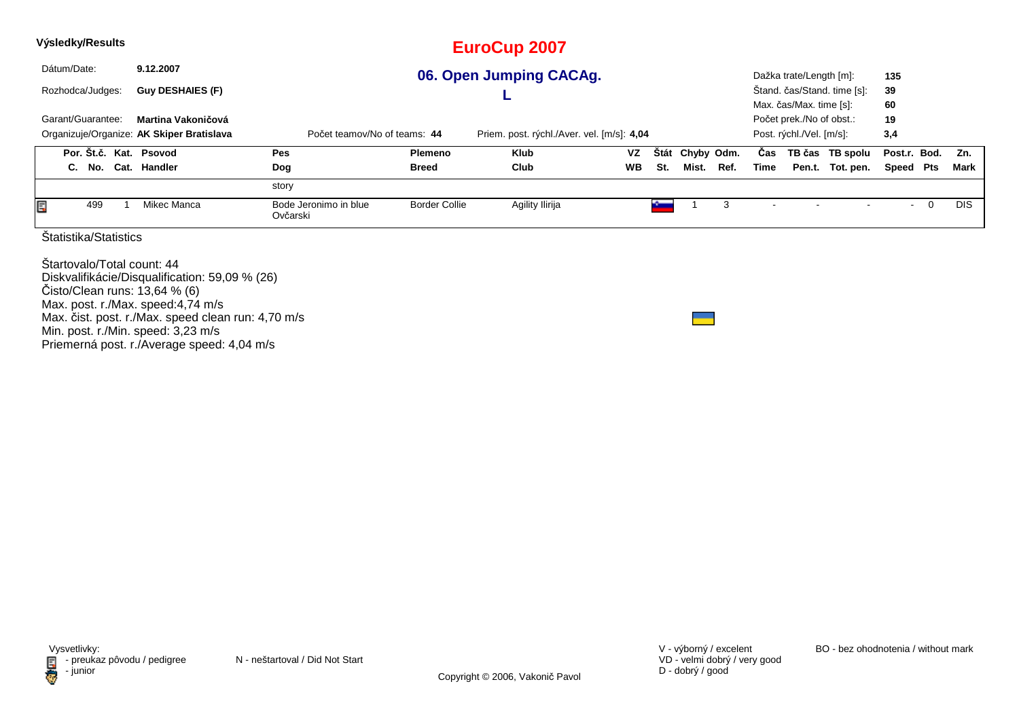| Výsledky/Results                                                                                                        |                                                                                                   |                                   |                      | <b>EuroCup 2007</b>     |           |     |       |      |      |                          |                             |              |             |            |
|-------------------------------------------------------------------------------------------------------------------------|---------------------------------------------------------------------------------------------------|-----------------------------------|----------------------|-------------------------|-----------|-----|-------|------|------|--------------------------|-----------------------------|--------------|-------------|------------|
| Dátum/Date:                                                                                                             | 9.12.2007                                                                                         |                                   |                      | 06. Open Jumping CACAg. |           |     |       |      |      | Dažka trate/Length [m]:  |                             | 135          |             |            |
| Rozhodca/Judges:                                                                                                        | Guy DESHAIES (F)                                                                                  |                                   |                      |                         |           |     |       |      |      |                          | Štand. čas/Stand. time [s]: | 39           |             |            |
|                                                                                                                         |                                                                                                   |                                   |                      |                         |           |     |       |      |      | Max. čas/Max. time [s]:  |                             | 60           |             |            |
| Garant/Guarantee:                                                                                                       | Martina Vakoničová                                                                                |                                   |                      |                         |           |     |       |      |      |                          | Počet prek./No of obst.:    | 19           |             |            |
| Organizuje/Organize: AK Skiper Bratislava<br>Počet teamov/No of teams: 44<br>Priem. post. rýchl./Aver. vel. [m/s]: 4,04 |                                                                                                   |                                   |                      |                         |           |     |       |      |      | Post. rýchl./Vel. [m/s]: |                             | 3,4          |             |            |
|                                                                                                                         | Por. Št.č. Kat. Psovod<br>VZ<br><b>Stát</b><br>Chyby Odm.<br><b>Pes</b><br>Klub<br><b>Plemeno</b> |                                   |                      |                         |           |     |       |      |      |                          | TB čas TB spolu             | Post.r. Bod. |             | Zn.        |
| C. No. Cat. Handler                                                                                                     |                                                                                                   | <b>Dog</b>                        | <b>Breed</b>         | Club                    | <b>WB</b> | St. | Mist. | Ref. | Time |                          | Pen.t. Tot. pen.            | Speed Pts    |             | Mark       |
|                                                                                                                         |                                                                                                   | story                             |                      |                         |           |     |       |      |      |                          |                             |              |             |            |
| E<br>499                                                                                                                | Mikec Manca                                                                                       | Bode Jeronimo in blue<br>Ovčarski | <b>Border Collie</b> | Agility Ilirija         |           |     |       | 3    |      |                          |                             |              | $\mathbf 0$ | <b>DIS</b> |
| Štatistika/Statistics                                                                                                   |                                                                                                   |                                   |                      |                         |           |     |       |      |      |                          |                             |              |             |            |
| Startovalo/Total count: 44<br>Diskvalifikácie/Disqualification: 59,09 % (26)<br>Cisto/Clean runs: 13 64 % (6)           |                                                                                                   |                                   |                      |                         |           |     |       |      |      |                          |                             |              |             |            |

Čisto/Clean runs: 13,64 % (6) Max. post. r./Max. speed:4,74 m/sMax. čist. post. r./Max. speed clean run: 4,70 m/s

Min. post. r./Min. speed: 3,23 m/s Priemerná post. r./Average speed: 4,04 m/s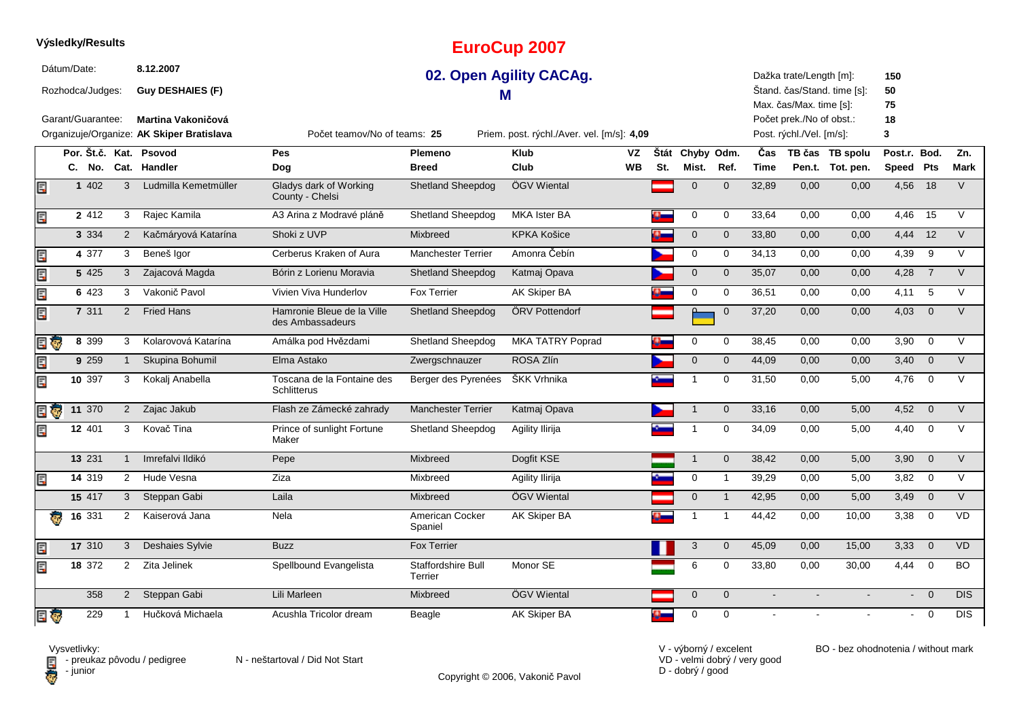|      | Dátum/Date: |                   |                | 8.12.2007                                 |                                                |                               | 02. Open Agility CACAg.                    |           |     |                           |              |             | Dažka trate/Length [m]:  |                             | 150            |                         |                |
|------|-------------|-------------------|----------------|-------------------------------------------|------------------------------------------------|-------------------------------|--------------------------------------------|-----------|-----|---------------------------|--------------|-------------|--------------------------|-----------------------------|----------------|-------------------------|----------------|
|      |             | Rozhodca/Judges:  |                | <b>Guy DESHAIES (F)</b>                   |                                                | M                             |                                            |           |     |                           |              |             |                          | Štand. čas/Stand. time [s]: | 50             |                         |                |
|      |             |                   |                |                                           |                                                |                               |                                            |           |     |                           |              |             | Max. čas/Max. time [s]:  |                             | 75             |                         |                |
|      |             | Garant/Guarantee: |                | <b>Martina Vakoničová</b>                 |                                                |                               |                                            |           |     |                           |              |             | Počet prek./No of obst.: |                             | 18             |                         |                |
|      |             |                   |                | Organizuje/Organize: AK Skiper Bratislava | Počet teamov/No of teams: 25                   |                               | Priem. post. rýchl./Aver. vel. [m/s]: 4,09 |           |     |                           |              |             | Post. rýchl./Vel. [m/s]: |                             | 3              |                         |                |
|      |             |                   |                | Por. Št.č. Kat. Psovod                    | <b>Pes</b>                                     | <b>Plemeno</b>                | <b>Klub</b>                                | VZ        |     | Štát Chyby Odm.           |              | <b>Čas</b>  |                          | TB čas TB spolu             | Post.r. Bod.   |                         | Zn.            |
|      | C.          |                   |                | No. Cat. Handler                          | Dog                                            | <b>Breed</b>                  | Club                                       | <b>WB</b> | St. | Mist.                     | Ref.         | <b>Time</b> |                          | Pen.t. Tot. pen.            | Speed Pts      |                         | <b>Mark</b>    |
| E    |             | 1 402             | 3              | Ludmilla Kemetmüller                      | Gladys dark of Working<br>County - Chelsi      | <b>Shetland Sheepdog</b>      | ÖGV Wiental                                |           |     | $\mathbf{0}$              | $\Omega$     | 32,89       | 0,00                     | 0,00                        | 4,56 18        |                         | V              |
| Ę    |             | 2 4 1 2           | 3              | Rajec Kamila                              | A3 Arina z Modravé pláně                       | Shetland Sheepdog             | MKA Ister BA                               |           | 5   | 0                         | $\mathbf 0$  | 33,64       | 0,00                     | 0,00                        | 4,46           | 15                      | $\vee$         |
|      |             | 3 3 3 4           | 2              | Kačmáryová Katarína                       | Shoki z UVP                                    | Mixbreed                      | <b>KPKA Košice</b>                         |           |     | $\mathbf 0$               | $\mathbf{0}$ | 33,80       | 0,00                     | 0,00                        | 4,44           | 12                      | $\vee$         |
| Ę    |             | 4 377             | 3              | Beneš Igor                                | Cerberus Kraken of Aura                        | <b>Manchester Terrier</b>     | Amonra Čebín                               |           |     | $\mathbf 0$               | $\mathbf 0$  | 34,13       | 0,00                     | 0,00                        | 4,39           | 9                       | $\vee$         |
| ECPS |             | 5 4 2 5           | 3              | Zajacová Magda                            | Bórin z Lorienu Moravia                        | <b>Shetland Sheepdog</b>      | Katmaj Opava                               |           |     | $\mathbf 0$               | $\mathbf{0}$ | 35,07       | 0,00                     | 0,00                        | 4,28           | $\overline{7}$          | $\vee$         |
| Ę    |             | 6 423             | 3              | Vakonič Pavol                             | Vivien Viva Hunderlov                          | <b>Fox Terrier</b>            | AK Skiper BA                               |           | y.  | $\mathbf 0$               | $\Omega$     | 36,51       | 0.00                     | 0,00                        | 4,11           | 5                       | $\vee$         |
| E.   |             | 7 311             | 2              | <b>Fried Hans</b>                         | Hamronie Bleue de la Ville<br>des Ambassadeurs | Shetland Sheepdog             | ÖRV Pottendorf                             |           |     | $\Omega$                  | $\mathbf 0$  | 37,20       | 0,00                     | 0,00                        | 4,03           | $\mathbf 0$             | $\vee$         |
| EU   |             | 8 3 9 9           | 3              | Kolarovová Katarína                       | Amálka pod Hvězdami                            | <b>Shetland Sheepdog</b>      | <b>MKA TATRY Poprad</b>                    |           |     | 0                         | $\mathbf 0$  | 38,45       | 0.00                     | 0,00                        | 3,90           | $\mathbf 0$             | $\vee$         |
| Ę    |             | 9 2 5 9           | $\mathbf{1}$   | Skupina Bohumil                           | Elma Astako                                    | Zwergschnauzer                | ROSA Zlín                                  |           |     | $\mathbf{0}$              | $\mathbf{0}$ | 44,09       | 0.00                     | 0,00                        | 3,40           | $\overline{0}$          | $\vee$         |
| Ę    |             | 10 $397$          | 3              | Kokalj Anabella                           | Toscana de la Fontaine des<br>Schlitterus      | Berger des Pyrenées           | ŠKK Vrhnika                                |           |     | -1                        | $\mathbf 0$  | 31,50       | 0.00                     | 5,00                        | 4,76           | $\overline{0}$          | $\vee$         |
| e J  |             | 11 370            | $2^{\circ}$    | Zajac Jakub                               | Flash ze Zámecké zahrady                       | <b>Manchester Terrier</b>     | Katmaj Opava                               |           |     | $\mathbf{1}$              | $\mathbf 0$  | 33,16       | 0,00                     | 5,00                        | 4,52           | $\overline{0}$          | $\vee$         |
| Ę    |             | 12 401            | 3              | Kovač Tina                                | Prince of sunlight Fortune<br>Maker            | Shetland Sheepdog             | Agility Ilirija                            |           |     | 1                         | $\Omega$     | 34,09       | 0,00                     | 5,00                        | 4,40           | $\mathbf 0$             | $\vee$         |
|      |             | 13 231            | $\overline{1}$ | Imrefalvi Ildikó                          | Pepe                                           | Mixbreed                      | Dogfit KSE                                 |           |     | $\mathbf{1}$              | $\mathbf 0$  | 38,42       | 0,00                     | 5,00                        | 3,90           | $\mathbf 0$             | $\overline{V}$ |
| Ę    |             | 14 319            | $\overline{2}$ | Hude Vesna                                | Ziza                                           | Mixbreed                      | Agility Ilirija                            |           |     | 0                         | $\mathbf{1}$ | 39,29       | 0,00                     | 5,00                        | 3,82           | $\mathbf 0$             | V              |
|      |             | 15 417            | $\mathbf{3}$   | Steppan Gabi                              | Laila                                          | <b>Mixbreed</b>               | ÖGV Wiental                                |           |     | $\mathbf 0$               | $\mathbf{1}$ | 42,95       | 0,00                     | 5,00                        | 3,49           | $\mathbf{0}$            | $\vee$         |
|      |             | 16 331            | $\overline{2}$ | Kaiserová Jana                            | Nela                                           | American Cocker<br>Spaniel    | AK Skiper BA                               |           |     | $\overline{1}$            | $\mathbf{1}$ | 44,42       | 0,00                     | 10,00                       | 3,38           | $\mathbf 0$             | VD             |
| E    |             | 17 310            | 3              | Deshaies Sylvie                           | <b>Buzz</b>                                    | <b>Fox Terrier</b>            |                                            |           |     | $\ensuremath{\mathsf{3}}$ | $\mathbf 0$  | 45,09       | 0,00                     | 15,00                       | 3,33           | $\overline{0}$          | VD             |
| Ē,   |             | 18 372            | 2              | Zita Jelinek                              | Spellbound Evangelista                         | Staffordshire Bull<br>Terrier | Monor SE                                   |           |     | 6                         | 0            | 33,80       | 0,00                     | 30,00                       | 4,44           | $\overline{0}$          | <b>BO</b>      |
|      |             | 358               | $\overline{2}$ | Steppan Gabi                              | Lili Marleen                                   | Mixbreed                      | ÖGV Wiental                                |           |     | $\mathbf{0}$              | $\Omega$     |             |                          |                             | $\blacksquare$ | $\overline{0}$          | DIS            |
| e o  |             | 229               | -1             | Hučková Michaela                          | Acushla Tricolor dream                         | Beagle                        | AK Skiper BA                               |           |     | $\mathbf 0$               | $\Omega$     |             |                          |                             | $\blacksquare$ | $\overline{\mathbf{0}}$ | <b>DIS</b>     |

**EuroCup 2007**

**D** - junior

**Výsledky/Results**

Vysvetlivky:<br>⊟ - preukaz pôvodu / pedigree N - neštartoval / Did Not Start

Copyright © 2006, Vakonič Pavol

VD - velmi dobrý / very good D - dobrý / good